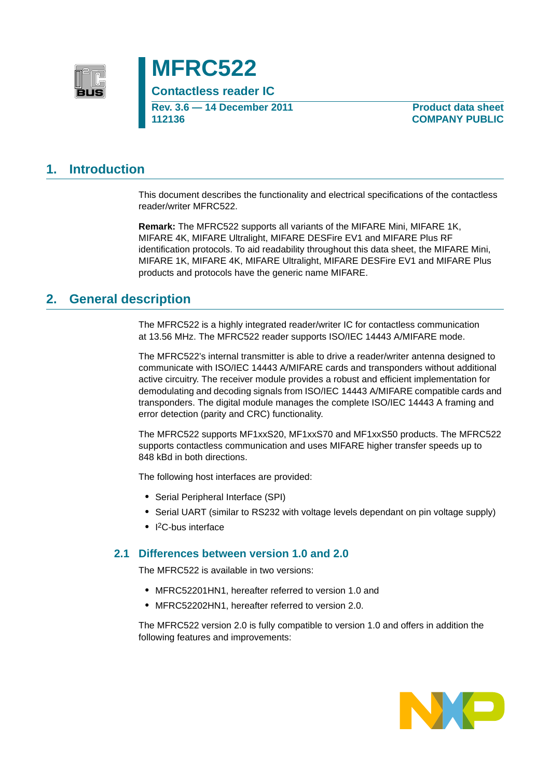



**Contactless reader IC Rev. 3.6 — 14 December 2011 112136**

**Product data sheet COMPANY PUBLIC**

# **1. Introduction**

This document describes the functionality and electrical specifications of the contactless reader/writer MFRC522.

**Remark:** The MFRC522 supports all variants of the MIFARE Mini, MIFARE 1K, MIFARE 4K, MIFARE Ultralight, MIFARE DESFire EV1 and MIFARE Plus RF identification protocols. To aid readability throughout this data sheet, the MIFARE Mini, MIFARE 1K, MIFARE 4K, MIFARE Ultralight, MIFARE DESFire EV1 and MIFARE Plus products and protocols have the generic name MIFARE.

# **2. General description**

The MFRC522 is a highly integrated reader/writer IC for contactless communication at 13.56 MHz. The MFRC522 reader supports ISO/IEC 14443 A/MIFARE mode.

The MFRC522's internal transmitter is able to drive a reader/writer antenna designed to communicate with ISO/IEC 14443 A/MIFARE cards and transponders without additional active circuitry. The receiver module provides a robust and efficient implementation for demodulating and decoding signals from ISO/IEC 14443 A/MIFARE compatible cards and transponders. The digital module manages the complete ISO/IEC 14443 A framing and error detection (parity and CRC) functionality.

The MFRC522 supports MF1xxS20, MF1xxS70 and MF1xxS50 products. The MFRC522 supports contactless communication and uses MIFARE higher transfer speeds up to 848 kBd in both directions.

The following host interfaces are provided:

- **•** Serial Peripheral Interface (SPI)
- **•** Serial UART (similar to RS232 with voltage levels dependant on pin voltage supply)
- **•** I 2C-bus interface

### **2.1 Differences between version 1.0 and 2.0**

The MFRC522 is available in two versions:

- **•** MFRC52201HN1, hereafter referred to version 1.0 and
- **•** MFRC52202HN1, hereafter referred to version 2.0.

The MFRC522 version 2.0 is fully compatible to version 1.0 and offers in addition the following features and improvements:

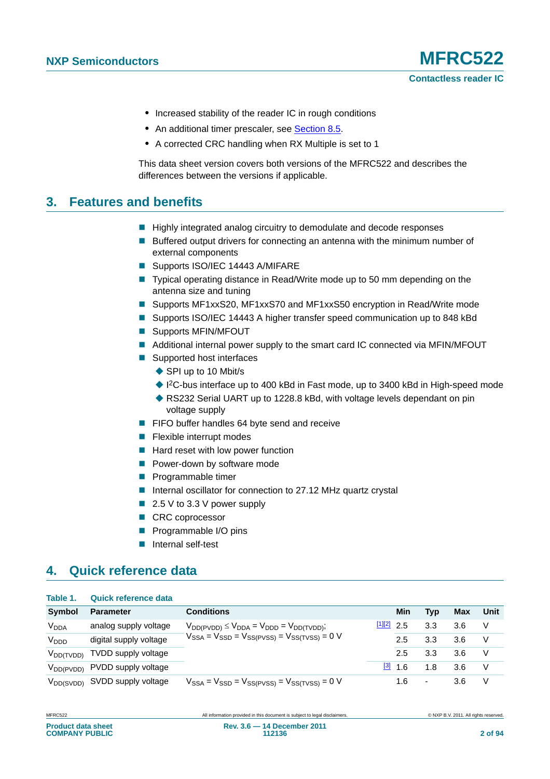- **•** Increased stability of the reader IC in rough conditions
- An additional timer prescaler, see [Section 8.5.](#page-29-0)
- **•** A corrected CRC handling when RX Multiple is set to 1

This data sheet version covers both versions of the MFRC522 and describes the differences between the versions if applicable.

# **3. Features and benefits**

- Highly integrated analog circuitry to demodulate and decode responses
- **Buffered output drivers for connecting an antenna with the minimum number of** external components
- Supports ISO/IEC 14443 A/MIFARE
- Typical operating distance in Read/Write mode up to 50 mm depending on the antenna size and tuning
- Supports MF1xxS20, MF1xxS70 and MF1xxS50 encryption in Read/Write mode
- Supports ISO/IEC 14443 A higher transfer speed communication up to 848 kBd
- Supports MFIN/MFOUT
- Additional internal power supply to the smart card IC connected via MFIN/MFOUT
- Supported host interfaces
	- ◆ SPI up to 10 Mbit/s
	- ◆ I<sup>2</sup>C-bus interface up to 400 kBd in Fast mode, up to 3400 kBd in High-speed mode
	- ◆ RS232 Serial UART up to 1228.8 kBd, with voltage levels dependant on pin voltage supply
- **FIFO buffer handles 64 byte send and receive**
- $\blacksquare$  Flexible interrupt modes
- $\blacksquare$  Hard reset with low power function
- **Power-down by software mode**
- **Programmable timer**
- Internal oscillator for connection to 27.12 MHz quartz crystal
- $\blacksquare$  2.5 V to 3.3 V power supply
- CRC coprocessor
- **Programmable I/O pins**
- Internal self-test

# **4. Quick reference data**

**Table 1. Quick reference data**

| Table 1.               | Quick reference data                      |                                                                                                                  |                      |     |     |            |      |
|------------------------|-------------------------------------------|------------------------------------------------------------------------------------------------------------------|----------------------|-----|-----|------------|------|
| Symbol                 | <b>Parameter</b>                          | <b>Conditions</b>                                                                                                |                      | Min | Typ | <b>Max</b> | Unit |
| <b>V<sub>DDA</sub></b> | analog supply voltage                     | $V_{DD(PVDD)} \leq V_{DDA} = V_{DDD} = V_{DD(TVDD)};$<br>$V_{SSA} = V_{SSD} = V_{SS(PVSS)} = V_{SS(TVSS)} = 0$ V | $\frac{[1][2]}{2.5}$ |     | 3.3 | 3.6        | V    |
| V <sub>DDD</sub>       | digital supply voltage                    |                                                                                                                  |                      | 2.5 | 3.3 | 3.6        | V    |
| V <sub>DD(TVDD)</sub>  | TVDD supply voltage                       |                                                                                                                  |                      | 2.5 | 3.3 | 3.6        | V    |
|                        | V <sub>DD(PVDD)</sub> PVDD supply voltage |                                                                                                                  | $[3]$                | 1.6 | 1.8 | 3.6        | V    |
|                        | V <sub>DD(SVDD)</sub> SVDD supply voltage | $V_{SSA} = V_{SSD} = V_{SS(PVSS)} = V_{SS(TVSS)} = 0$ V                                                          |                      | 1.6 | ۰   | 3.6        | V    |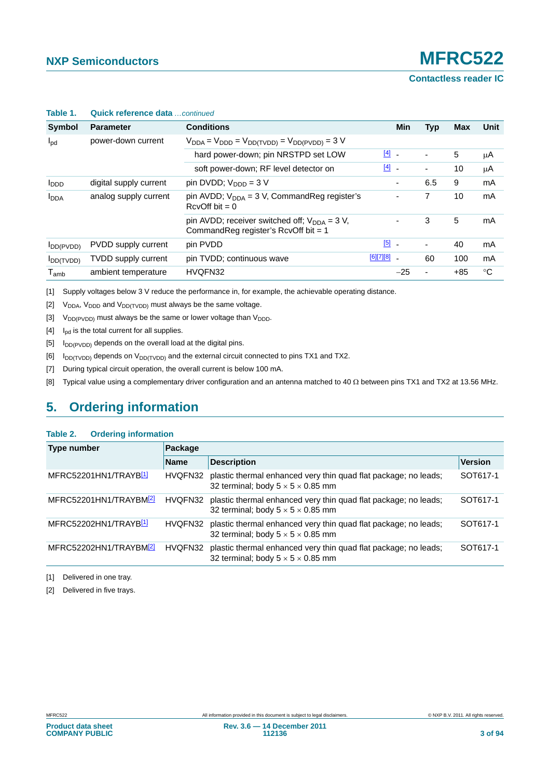**Contactless reader IC**

| Table 1.         | Quick reference data continued |                                                                                                      |               |       |                          |            |      |
|------------------|--------------------------------|------------------------------------------------------------------------------------------------------|---------------|-------|--------------------------|------------|------|
| Symbol           | <b>Parameter</b>               | <b>Conditions</b>                                                                                    |               | Min   | <b>Typ</b>               | <b>Max</b> | Unit |
| $I_{\text{pd}}$  | power-down current             | $V_{DDA} = V_{DDD} = V_{DD(TVDD)} = V_{DD(PVDD)} = 3 V$                                              |               |       |                          |            |      |
|                  |                                | hard power-down; pin NRSTPD set LOW                                                                  | $\boxed{4}$   |       | $\overline{\phantom{a}}$ | 5          | μA   |
|                  |                                | soft power-down; RF level detector on                                                                | $\boxed{4}$ - |       | $\overline{\phantom{a}}$ | 10         | μA   |
| I <sub>DDD</sub> | digital supply current         | pin DVDD; $V_{\text{DDD}} = 3 V$                                                                     |               | ٠     | 6.5                      | 9          | mA   |
| <b>I</b> DDA     | analog supply current          | pin AVDD; $V_{DDA} = 3 V$ , CommandReg register's<br>$RcvOff bit = 0$                                |               | -     | 7                        | 10         | mA   |
|                  |                                | pin AVDD; receiver switched off; $V_{\text{DDA}} = 3 V$ ,<br>Command Reg register's RcvOff bit = $1$ |               | -     | 3                        | 5          | mA   |
| $I_{DD(PVDD)}$   | PVDD supply current            | pin PVDD                                                                                             | $[5]$ $-$     |       | ٠                        | 40         | mA   |
| $I_{DD(TVDD)}$   | <b>TVDD supply current</b>     | pin TVDD; continuous wave                                                                            | $[6][7][8]$ _ |       | 60                       | 100        | mA   |
| $T_{amb}$        | ambient temperature            | HVQFN32                                                                                              |               | $-25$ | ٠                        | $+85$      | °C   |

### **Table 1. Quick reference data** *…continued*

[1] Supply voltages below 3 V reduce the performance in, for example, the achievable operating distance.

- [2]  $V_{DDA}$ ,  $V_{DDD}$  and  $V_{DD(TVDD)}$  must always be the same voltage.
- [3]  $V_{DD(PVDD)}$  must always be the same or lower voltage than  $V_{DDD}$ .
- <span id="page-2-0"></span> $[4]$  I<sub>pd</sub> is the total current for all supplies.
- <span id="page-2-1"></span> $[5]$  I<sub>DD(PVDD)</sub> depends on the overall load at the digital pins.
- $[6]$  I<sub>DD(TVDD)</sub> depends on V<sub>DD(TVDD)</sub> and the external circuit connected to pins TX1 and TX2.
- [7] During typical circuit operation, the overall current is below 100 mA.
- <span id="page-2-2"></span>[8] Typical value using a complementary driver configuration and an antenna matched to 40  $\Omega$  between pins TX1 and TX2 at 13.56 MHz.

# **5. Ordering information**

### **Table 2. Ordering information**

| Type number                        | Package     |                                                                                                                  |                |  |  |  |
|------------------------------------|-------------|------------------------------------------------------------------------------------------------------------------|----------------|--|--|--|
|                                    | <b>Name</b> | <b>Description</b>                                                                                               | <b>Version</b> |  |  |  |
| MFRC52201HN1/TRAYB[1]              | HVQFN32     | plastic thermal enhanced very thin quad flat package; no leads;<br>32 terminal; body $5 \times 5 \times 0.85$ mm | SOT617-1       |  |  |  |
| MFRC52201HN1/TRAYBM <sup>2</sup>   | HVQFN32     | plastic thermal enhanced very thin quad flat package; no leads;<br>32 terminal; body $5 \times 5 \times 0.85$ mm | SOT617-1       |  |  |  |
| MFRC52202HN1/TRAYB <sup>1</sup>    | HVQFN32     | plastic thermal enhanced very thin quad flat package; no leads;<br>32 terminal; body $5 \times 5 \times 0.85$ mm | SOT617-1       |  |  |  |
| MFRC52202HN1/TRAYBM <sup>[2]</sup> | HVQFN32     | plastic thermal enhanced very thin quad flat package; no leads;<br>32 terminal; body $5 \times 5 \times 0.85$ mm | SOT617-1       |  |  |  |

<span id="page-2-3"></span>[1] Delivered in one tray.

<span id="page-2-4"></span>[2] Delivered in five trays.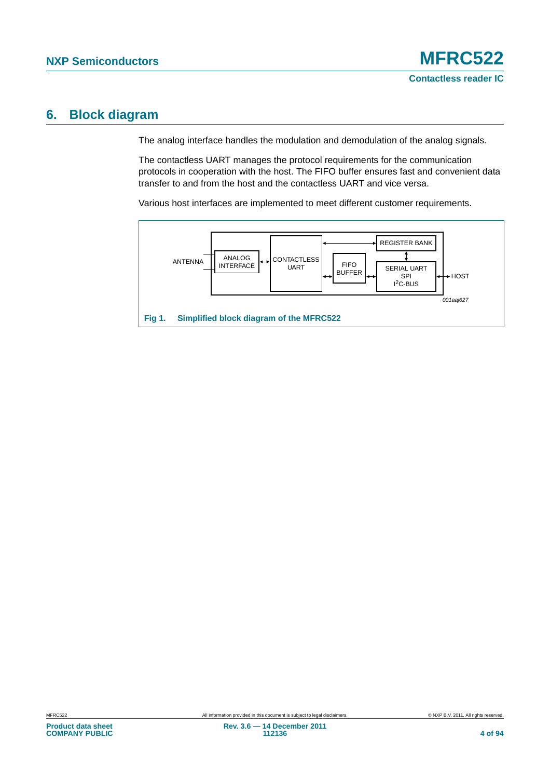# **6. Block diagram**

The analog interface handles the modulation and demodulation of the analog signals.

The contactless UART manages the protocol requirements for the communication protocols in cooperation with the host. The FIFO buffer ensures fast and convenient data transfer to and from the host and the contactless UART and vice versa.

Various host interfaces are implemented to meet different customer requirements.

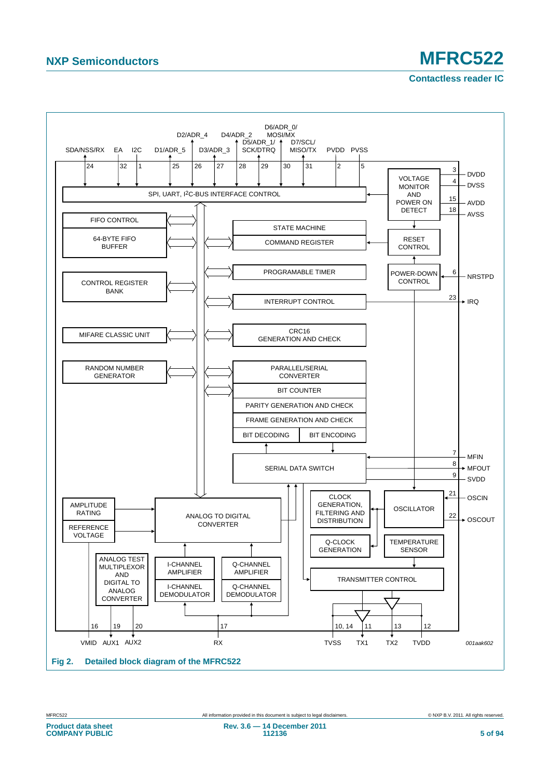# **NXP Semiconductors MFRC522**

**Contactless reader IC**

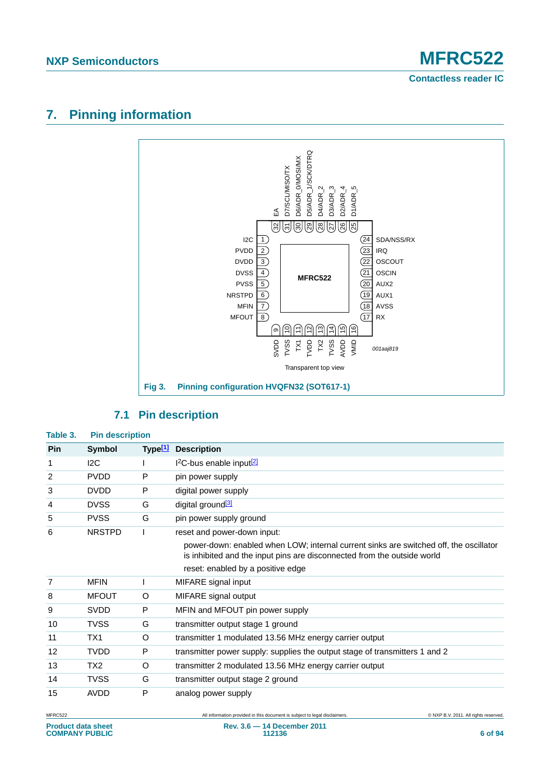**Contactless reader IC**

# **7. Pinning information**



# **Table 3. Pin description Pin Symbol Type[\[1\]](#page-6-0) Description**

### **7.1 Pin description**

| гш | OVIIIDOI        |         | <b>TYPER DESCRIPTION</b>                                                                                                                                         |
|----|-----------------|---------|------------------------------------------------------------------------------------------------------------------------------------------------------------------|
| 1  | 12C             |         | $12C$ -bus enable input $\sqrt{2}$                                                                                                                               |
| 2  | <b>PVDD</b>     | P       | pin power supply                                                                                                                                                 |
| 3  | <b>DVDD</b>     | P       | digital power supply                                                                                                                                             |
| 4  | <b>DVSS</b>     | G       | digital ground <sup>[3]</sup>                                                                                                                                    |
| 5  | <b>PVSS</b>     | G       | pin power supply ground                                                                                                                                          |
| 6  | <b>NRSTPD</b>   | L       | reset and power-down input:                                                                                                                                      |
|    |                 |         | power-down: enabled when LOW; internal current sinks are switched off, the oscillator<br>is inhibited and the input pins are disconnected from the outside world |
|    |                 |         | reset: enabled by a positive edge                                                                                                                                |
| 7  | <b>MFIN</b>     |         | MIFARE signal input                                                                                                                                              |
| 8  | <b>MFOUT</b>    | O       | MIFARE signal output                                                                                                                                             |
| 9  | <b>SVDD</b>     | P       | MFIN and MFOUT pin power supply                                                                                                                                  |
| 10 | <b>TVSS</b>     | G       | transmitter output stage 1 ground                                                                                                                                |
| 11 | TX1             | $\circ$ | transmitter 1 modulated 13.56 MHz energy carrier output                                                                                                          |
| 12 | <b>TVDD</b>     | P       | transmitter power supply: supplies the output stage of transmitters 1 and 2                                                                                      |
| 13 | TX <sub>2</sub> | O       | transmitter 2 modulated 13.56 MHz energy carrier output                                                                                                          |
| 14 | <b>TVSS</b>     | G       | transmitter output stage 2 ground                                                                                                                                |
| 15 | <b>AVDD</b>     | P       | analog power supply                                                                                                                                              |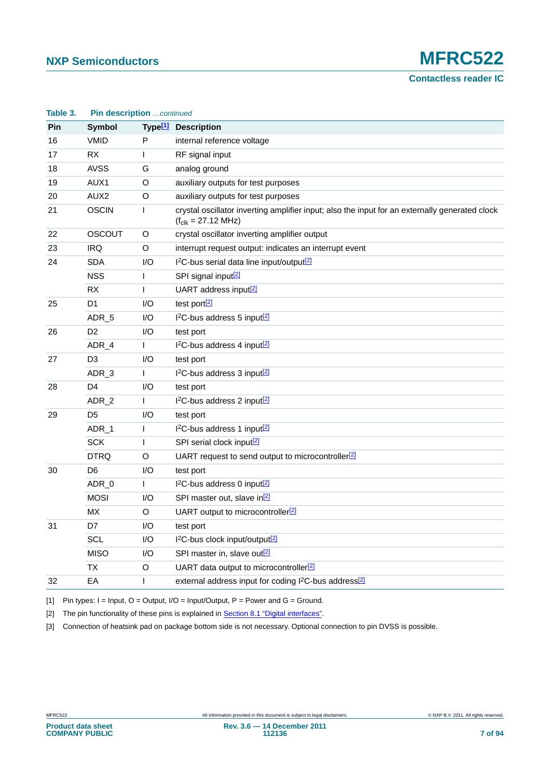# **NXP Semiconductors MFRC522**

**Contactless reader IC**

| Table 3.   | Pin description continued |         |                                                                                                                                   |  |
|------------|---------------------------|---------|-----------------------------------------------------------------------------------------------------------------------------------|--|
| <b>Pin</b> | <b>Symbol</b>             |         | Type <sup>[1]</sup> Description                                                                                                   |  |
| 16         | <b>VMID</b>               | P       | internal reference voltage                                                                                                        |  |
| 17         | <b>RX</b>                 | L       | RF signal input                                                                                                                   |  |
| 18         | <b>AVSS</b>               | G       | analog ground                                                                                                                     |  |
| 19         | AUX1                      | O       | auxiliary outputs for test purposes                                                                                               |  |
| 20         | AUX <sub>2</sub>          | O       | auxiliary outputs for test purposes                                                                                               |  |
| 21         | <b>OSCIN</b>              | L       | crystal oscillator inverting amplifier input; also the input for an externally generated clock<br>$(f_{c1k} = 27.12 \text{ MHz})$ |  |
| 22         | <b>OSCOUT</b>             | O       | crystal oscillator inverting amplifier output                                                                                     |  |
| 23         | <b>IRQ</b>                | $\circ$ | interrupt request output: indicates an interrupt event                                                                            |  |
| 24         | <b>SDA</b>                | I/O     | I <sup>2</sup> C-bus serial data line input/output <sup>[2]</sup>                                                                 |  |
|            | <b>NSS</b>                |         | SPI signal input <sup>[2]</sup>                                                                                                   |  |
|            | <b>RX</b>                 | L       | UART address input <sup>[2]</sup>                                                                                                 |  |
| 25         | D <sub>1</sub>            | I/O     | test port[2]                                                                                                                      |  |
|            | ADR_5                     | I/O     | 1 <sup>2</sup> C-bus address 5 input <sup>[2]</sup>                                                                               |  |
| 26         | D <sub>2</sub>            | I/O     | test port                                                                                                                         |  |
|            | ADR_4                     | L       | I <sup>2</sup> C-bus address 4 input <sup>[2]</sup>                                                                               |  |
| 27         | D <sub>3</sub>            | I/O     | test port                                                                                                                         |  |
|            | ADR_3                     | L       | I <sup>2</sup> C-bus address 3 input <sup>[2]</sup>                                                                               |  |
| 28         | D <sub>4</sub>            | I/O     | test port                                                                                                                         |  |
|            | ADR_2                     | L       | I <sup>2</sup> C-bus address 2 input <sup>[2]</sup>                                                                               |  |
| 29         | D <sub>5</sub>            | I/O     | test port                                                                                                                         |  |
|            | ADR_1                     | L       | I <sup>2</sup> C-bus address 1 input <sup>[2]</sup>                                                                               |  |
|            | <b>SCK</b>                | I       | SPI serial clock input <sup>[2]</sup>                                                                                             |  |
|            | <b>DTRQ</b>               | O       | UART request to send output to microcontroller <sup>[2]</sup>                                                                     |  |
| 30         | D <sub>6</sub>            | I/O     | test port                                                                                                                         |  |
|            | ADR_0                     | L       | I <sup>2</sup> C-bus address 0 input <sup>[2]</sup>                                                                               |  |
|            | <b>MOSI</b>               | I/O     | SPI master out, slave in <sup>[2]</sup>                                                                                           |  |
|            | MX                        | O       | UART output to microcontroller <sup>[2]</sup>                                                                                     |  |
| 31         | D7                        | I/O     | test port                                                                                                                         |  |
|            | SCL                       | I/O     | I <sup>2</sup> C-bus clock input/output <sup>[2]</sup>                                                                            |  |
|            | <b>MISO</b>               | I/O     | SPI master in, slave out <sup>[2]</sup>                                                                                           |  |
|            | <b>TX</b>                 | O       | UART data output to microcontroller <sup>[2]</sup>                                                                                |  |
| 32         | EA                        | L       | external address input for coding I <sup>2</sup> C-bus address <sup>[2]</sup>                                                     |  |
|            |                           |         |                                                                                                                                   |  |

<span id="page-6-0"></span>[1] Pin types:  $I = Input$ ,  $O = Output$ ,  $I/O = Input/Output$ ,  $P = Power$  and  $G = Ground$ .

<span id="page-6-1"></span>[2] The pin functionality of these pins is explained in [Section 8.1 "Digital interfaces"](#page-8-0).

<span id="page-6-2"></span>[3] Connection of heatsink pad on package bottom side is not necessary. Optional connection to pin DVSS is possible.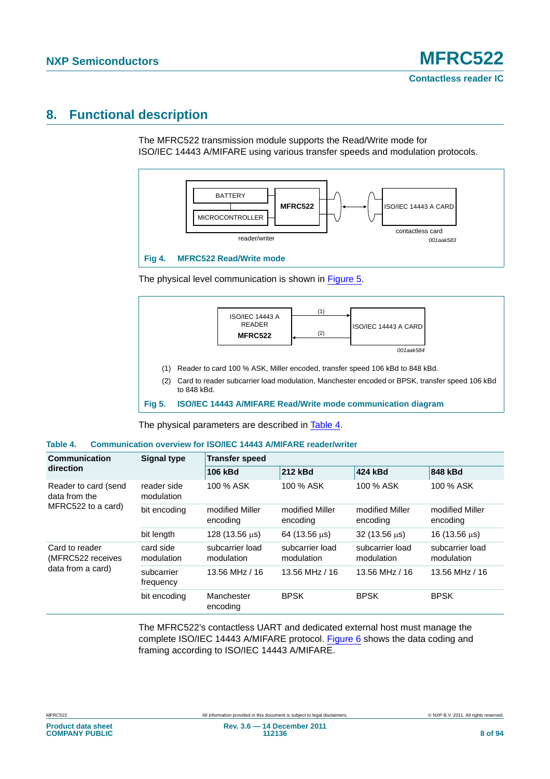# **8. Functional description**

The MFRC522 transmission module supports the Read/Write mode for ISO/IEC 14443 A/MIFARE using various transfer speeds and modulation protocols.



The physical level communication is shown in [Figure 5](#page-7-0).



<span id="page-7-0"></span>**Fig 5. ISO/IEC 14443 A/MIFARE Read/Write mode communication diagram**

The physical parameters are described in [Table 4](#page-7-1).

<span id="page-7-1"></span>

| Table 4. | <b>Communication overview for ISO/IEC 14443 A/MIFARE reader/writer</b> |  |  |
|----------|------------------------------------------------------------------------|--|--|
|          |                                                                        |  |  |

| Communication                         | <b>Signal type</b>        | <b>Transfer speed</b>         |                               |                                 |                               |  |  |
|---------------------------------------|---------------------------|-------------------------------|-------------------------------|---------------------------------|-------------------------------|--|--|
| direction                             |                           | 106 kBd                       | 212 kBd                       | 424 kBd                         | 848 kBd                       |  |  |
| Reader to card (send<br>data from the | reader side<br>modulation | 100 % ASK                     | 100 % ASK                     | 100 % ASK                       | 100 % ASK                     |  |  |
| MFRC522 to a card)                    | bit encoding              | modified Miller<br>encoding   | modified Miller<br>encoding   | modified Miller<br>encoding     | modified Miller<br>encoding   |  |  |
|                                       | bit length                | $128(13.56 \,\mu s)$          | 64 (13.56 $\mu$ s)            | $32(13.56 \text{ }\mu\text{s})$ | 16 (13.56 $\mu$ s)            |  |  |
| Card to reader<br>(MFRC522 receives   | card side<br>modulation   | subcarrier load<br>modulation | subcarrier load<br>modulation | subcarrier load<br>modulation   | subcarrier load<br>modulation |  |  |
| data from a card)                     | subcarrier<br>frequency   | 13.56 MHz / 16                | 13.56 MHz / 16                | 13.56 MHz / 16                  | 13.56 MHz / 16                |  |  |
|                                       | bit encoding              | Manchester<br>encoding        | <b>BPSK</b>                   | <b>BPSK</b>                     | <b>BPSK</b>                   |  |  |

The MFRC522's contactless UART and dedicated external host must manage the complete ISO/IEC 14443 A/MIFARE protocol. [Figure 6](#page-8-1) shows the data coding and framing according to ISO/IEC 14443 A/MIFARE.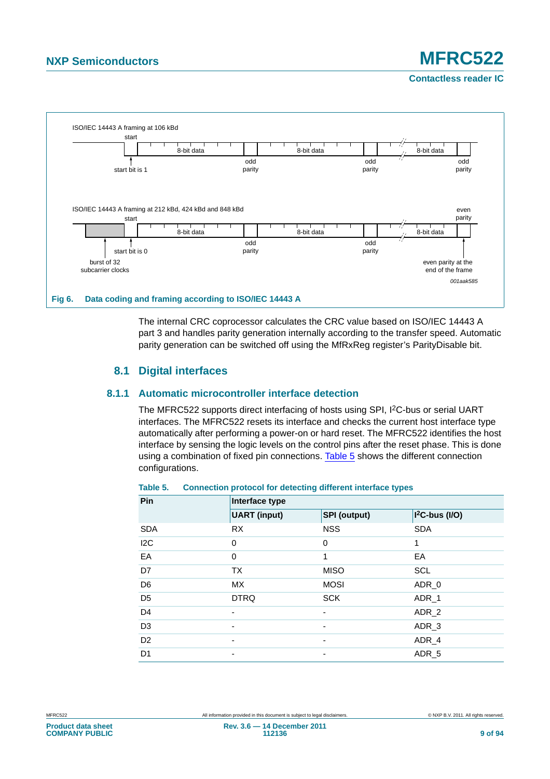# **NXP Semiconductors MFRC522**

**Contactless reader IC**



<span id="page-8-1"></span>The internal CRC coprocessor calculates the CRC value based on ISO/IEC 14443 A part 3 and handles parity generation internally according to the transfer speed. Automatic parity generation can be switched off using the MfRxReg register's ParityDisable bit.

### **8.1 Digital interfaces**

### <span id="page-8-0"></span>**8.1.1 Automatic microcontroller interface detection**

The MFRC522 supports direct interfacing of hosts using SPI, I<sup>2</sup>C-bus or serial UART interfaces. The MFRC522 resets its interface and checks the current host interface type automatically after performing a power-on or hard reset. The MFRC522 identifies the host interface by sensing the logic levels on the control pins after the reset phase. This is done using a combination of fixed pin connections. [Table 5](#page-8-2) shows the different connection configurations.

| Pin            | Interface type           |                     |                  |  |  |  |  |
|----------------|--------------------------|---------------------|------------------|--|--|--|--|
|                | <b>UART</b> (input)      | <b>SPI</b> (output) | $I2C-bus (I/O)$  |  |  |  |  |
| <b>SDA</b>     | <b>RX</b>                | <b>NSS</b>          | <b>SDA</b>       |  |  |  |  |
| 12C            | 0                        | 0                   | 1                |  |  |  |  |
| EA             | $\Omega$                 | 1                   | EA               |  |  |  |  |
| D7             | <b>TX</b>                | <b>MISO</b>         | <b>SCL</b>       |  |  |  |  |
| D <sub>6</sub> | <b>MX</b>                | <b>MOSI</b>         | ADR_0            |  |  |  |  |
| D <sub>5</sub> | <b>DTRQ</b>              | <b>SCK</b>          | ADR_1            |  |  |  |  |
| D <sub>4</sub> | $\overline{\phantom{0}}$ |                     | ADR <sub>2</sub> |  |  |  |  |
| D <sub>3</sub> | -                        | ۰                   | ADR_3            |  |  |  |  |
| D <sub>2</sub> | ٠                        | ٠                   | ADR <sub>4</sub> |  |  |  |  |
| D <sub>1</sub> | $\overline{\phantom{0}}$ |                     | ADR <sub>5</sub> |  |  |  |  |

### <span id="page-8-2"></span>**Table 5. Connection protocol for detecting different interface types**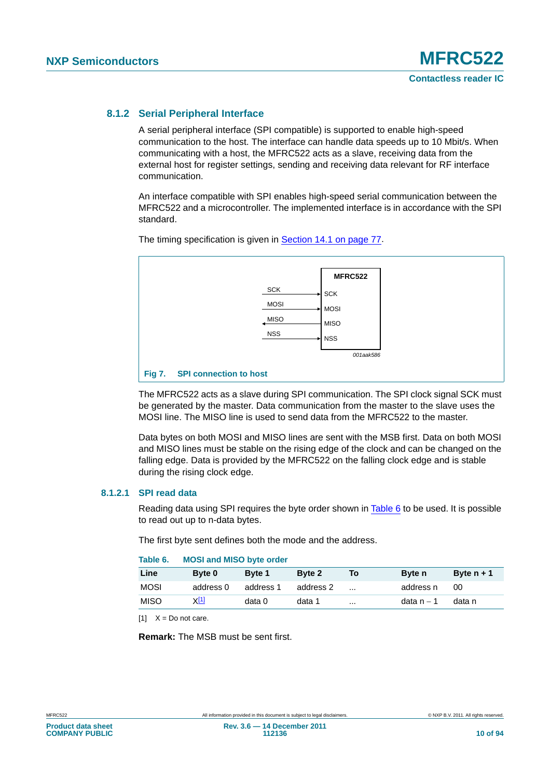### **8.1.2 Serial Peripheral Interface**

A serial peripheral interface (SPI compatible) is supported to enable high-speed communication to the host. The interface can handle data speeds up to 10 Mbit/s. When communicating with a host, the MFRC522 acts as a slave, receiving data from the external host for register settings, sending and receiving data relevant for RF interface communication.

An interface compatible with SPI enables high-speed serial communication between the MFRC522 and a microcontroller. The implemented interface is in accordance with the SPI standard.



The timing specification is given in [Section 14.1 on page 77.](#page-76-2)

The MFRC522 acts as a slave during SPI communication. The SPI clock signal SCK must be generated by the master. Data communication from the master to the slave uses the MOSI line. The MISO line is used to send data from the MFRC522 to the master.

Data bytes on both MOSI and MISO lines are sent with the MSB first. Data on both MOSI and MISO lines must be stable on the rising edge of the clock and can be changed on the falling edge. Data is provided by the MFRC522 on the falling clock edge and is stable during the rising clock edge.

### **8.1.2.1 SPI read data**

Reading data using SPI requires the byte order shown in [Table 6](#page-9-0) to be used. It is possible to read out up to n-data bytes.

The first byte sent defines both the mode and the address.

<span id="page-9-0"></span>

| Table 6.    | <b>MOSI and MISO byte order</b> |               |           |           |               |              |
|-------------|---------------------------------|---------------|-----------|-----------|---------------|--------------|
| Line        | Byte 0                          | <b>Byte 1</b> | Byte 2    | To        | <b>Byte</b> n | Byte $n + 1$ |
| <b>MOSI</b> | address 0                       | address 1     | address 2 | $\ddotsc$ | address n     | 00           |
| <b>MISO</b> | X[1]                            | data 0        | data 1    | $\cdots$  | data n $-1$   | data n       |

<span id="page-9-1"></span> $[11 \t X = Do$  not care.

**Remark:** The MSB must be sent first.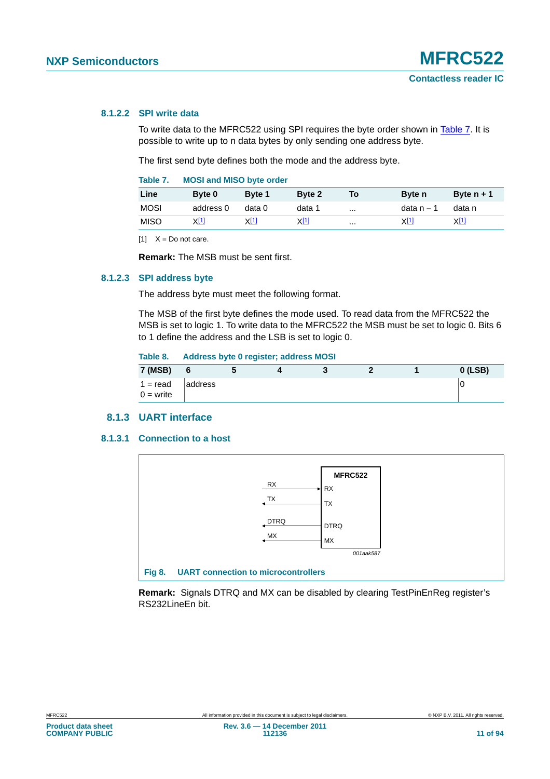### **8.1.2.2 SPI write data**

To write data to the MFRC522 using SPI requires the byte order shown in [Table 7.](#page-10-0) It is possible to write up to n data bytes by only sending one address byte.

The first send byte defines both the mode and the address byte.

<span id="page-10-0"></span>

| Table 7. |  | <b>MOSI and MISO byte order</b> |  |  |
|----------|--|---------------------------------|--|--|
|----------|--|---------------------------------|--|--|

| Line        | Byte 0      | Byte 1      | Byte 2      | To       | <b>Byte</b> n | Byte $n + 1$ |
|-------------|-------------|-------------|-------------|----------|---------------|--------------|
| MOSI        | address 0   | data 0      | data 1      | $\cdots$ | data n – 1    | data n       |
| <b>MISO</b> | <u>X[1]</u> | <u>X[1]</u> | <u>X[1]</u> | $\cdots$ | <u>X[1]</u>   | <u>ХШ</u>    |

<span id="page-10-1"></span> $[1]$   $X = Do$  not care.

**Remark:** The MSB must be sent first.

### **8.1.2.3 SPI address byte**

The address byte must meet the following format.

The MSB of the first byte defines the mode used. To read data from the MFRC522 the MSB is set to logic 1. To write data to the MFRC522 the MSB must be set to logic 0. Bits 6 to 1 define the address and the LSB is set to logic 0.

### **Table 8. Address byte 0 register; address MOSI**

| <b>7 (MSB)</b>            | 6       |  |  | $0$ (LSB) |
|---------------------------|---------|--|--|-----------|
| $1 = read$<br>$0 =$ write | address |  |  |           |

### **8.1.3 UART interface**

### **8.1.3.1 Connection to a host**



**Remark:** Signals DTRQ and MX can be disabled by clearing TestPinEnReg register's RS232LineEn bit.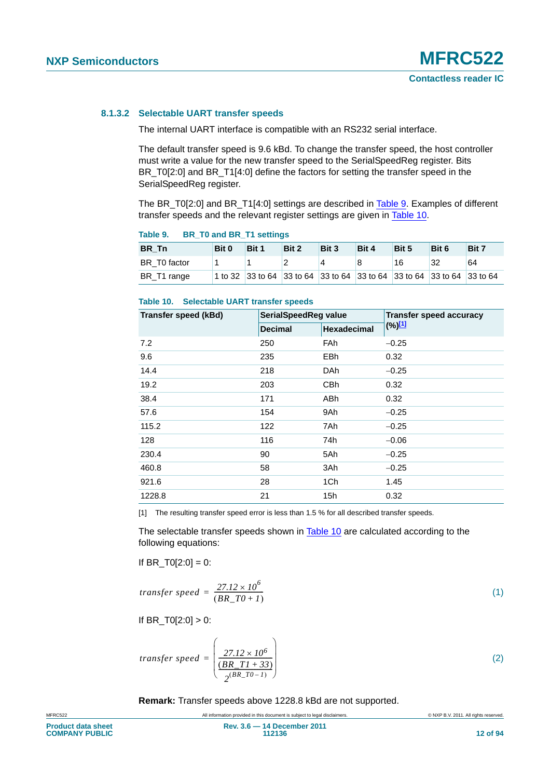### **8.1.3.2 Selectable UART transfer speeds**

The internal UART interface is compatible with an RS232 serial interface.

The default transfer speed is 9.6 kBd. To change the transfer speed, the host controller must write a value for the new transfer speed to the SerialSpeedReg register. Bits BR\_T0[2:0] and BR\_T1[4:0] define the factors for setting the transfer speed in the SerialSpeedReg register.

The BR\_T0[2:0] and BR\_T1[4:0] settings are described in [Table 9](#page-11-0). Examples of different transfer speeds and the relevant register settings are given in [Table 10.](#page-11-1)

| BR Tn        | Bit 0 | Bit 1                                                                  | Bit 2 | Bit 3 | Bit 4 | Bit 5 | Bit 6 | Bit 7 |
|--------------|-------|------------------------------------------------------------------------|-------|-------|-------|-------|-------|-------|
| BR T0 factor |       |                                                                        |       |       | 8     | 16    | 32    | 64    |
| BR T1 range  |       | 1 to 32 33 to 64 33 to 64 33 to 64 33 to 64 33 to 64 33 to 64 33 to 64 |       |       |       |       |       |       |

### <span id="page-11-0"></span>**Table 9. BR\_T0 and BR\_T1 settings**

### <span id="page-11-1"></span>**Table 10. Selectable UART transfer speeds**

| Transfer speed (kBd) | SerialSpeedReg value |                    | <b>Transfer speed accuracy</b> |
|----------------------|----------------------|--------------------|--------------------------------|
|                      | <b>Decimal</b>       | <b>Hexadecimal</b> | (%) <sup>[1]</sup>             |
| 7.2                  | 250                  | <b>FAh</b>         | $-0.25$                        |
| 9.6                  | 235                  | <b>EBh</b>         | 0.32                           |
| 14.4                 | 218                  | DAh                | $-0.25$                        |
| 19.2                 | 203                  | <b>CBh</b>         | 0.32                           |
| 38.4                 | 171                  | ABh                | 0.32                           |
| 57.6                 | 154                  | 9Ah                | $-0.25$                        |
| 115.2                | 122                  | 7Ah                | $-0.25$                        |
| 128                  | 116                  | 74h                | $-0.06$                        |
| 230.4                | 90                   | 5Ah                | $-0.25$                        |
| 460.8                | 58                   | 3Ah                | $-0.25$                        |
| 921.6                | 28                   | 1Ch                | 1.45                           |
| 1228.8               | 21                   | 15h                | 0.32                           |

<span id="page-11-2"></span>[1] The resulting transfer speed error is less than 1.5 % for all described transfer speeds.

The selectable transfer speeds shown in [Table 10](#page-11-1) are calculated according to the following equations:

If BR  $TO[2:0] = 0$ :

$$
transfer\ speed = \frac{27.12 \times 10^6}{(BR\_T0 + 1)}\tag{1}
$$

If  $BR_T0[2:0] > 0$ :

$$
transfer\ speed = \left(\frac{27.12 \times 10^6}{\frac{(BR\_TI + 33)}{2^{(BR\_T0 - 1)}}}\right)
$$
\n
$$
\tag{2}
$$

**Remark:** Transfer speeds above 1228.8 kBd are not supported.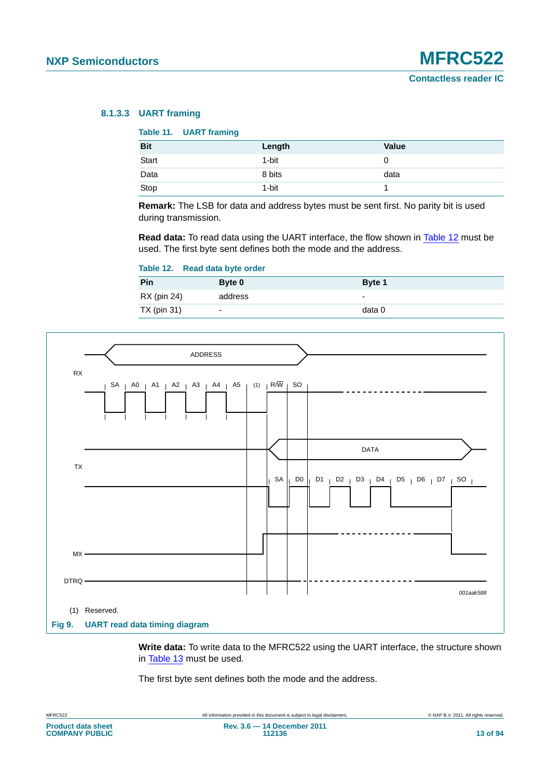### **8.1.3.3 UART framing**

### **Table 11. UART framing**

| <b>Bit</b> | Length | <b>Value</b> |
|------------|--------|--------------|
| Start      | 1-bit  | U            |
| Data       | 8 bits | data         |
| Stop       | 1-bit  |              |

**Remark:** The LSB for data and address bytes must be sent first. No parity bit is used during transmission.

**Read data:** To read data using the UART interface, the flow shown in [Table 12](#page-12-0) must be used. The first byte sent defines both the mode and the address.

### <span id="page-12-0"></span>**Table 12. Read data byte order**

| Pin         | Byte 0  | Byte 1 |
|-------------|---------|--------|
| RX (pin 24) | address | -      |
| TX (pin 31) | -       | data 0 |



**Write data:** To write data to the MFRC522 using the UART interface, the structure shown in [Table 13](#page-13-0) must be used.

The first byte sent defines both the mode and the address.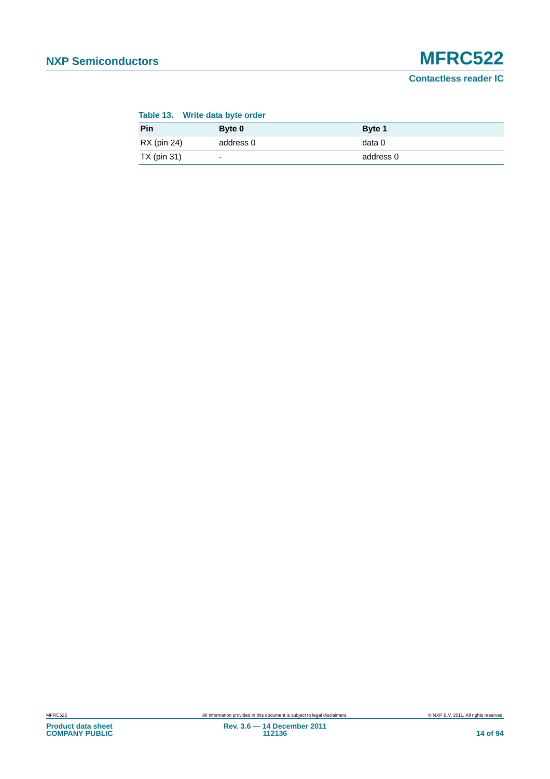# **NXP Semiconductors MFRC522**

**Contactless reader IC**

### <span id="page-13-0"></span>**Table 13. Write data byte order**

| Pin         | $B$ yte $0$              | Byte 1    |
|-------------|--------------------------|-----------|
| RX (pin 24) | address 0                | data 0    |
| TX (pin 31) | $\overline{\phantom{0}}$ | address 0 |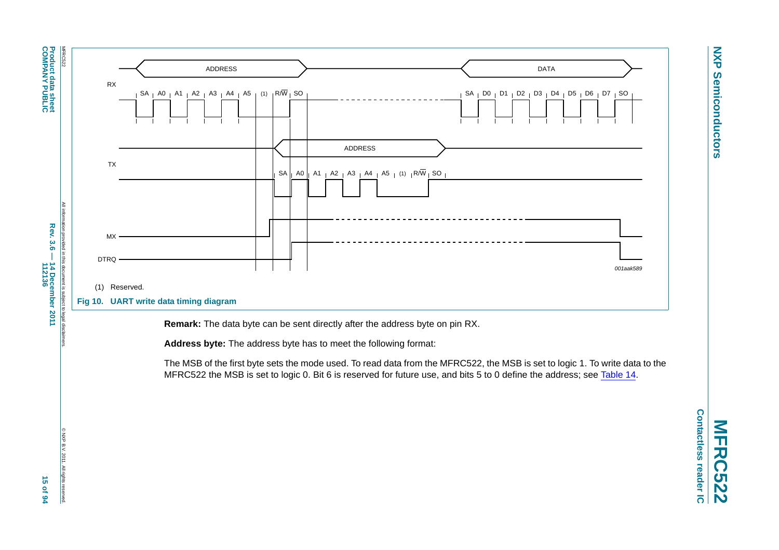**Product data sheet<br>COMPANY PUBLIC COMPANY PUBLIC Product data sheet**

**Rev. 3.6 — 14 December 2011**



**Remark:** The data byte can be sent directly after the address byte on pin RX.

**Address byte:** The address byte has to meet the following format:

The MSB of the first byte sets the mode used. To read data from the MFRC522, the MSB is set to logic 1. To write data to the MFRC522 the MSB is set to logic 0. Bit 6 is reserved for future use, and bits 5 to 0 define the address; see [Table](#page-15-0) 14.

© NXP B.V. 2011. All rights reserved.

rese

CNXP B.V. 2011. All rights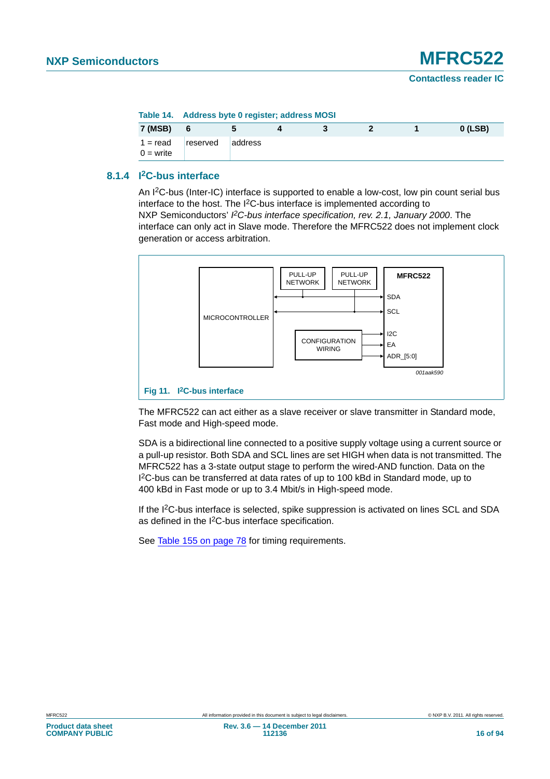<span id="page-15-0"></span>

| Table 14. | <b>Address byte 0 register; address MOSI</b> |  |  |
|-----------|----------------------------------------------|--|--|
|           |                                              |  |  |

| 7 (MSB)                   |          |         |  |  | $0$ (LSB) |
|---------------------------|----------|---------|--|--|-----------|
| $1 = read$<br>$0 =$ write | reserved | address |  |  |           |

### **8.1.4 I2C-bus interface**

An I2C-bus (Inter-IC) interface is supported to enable a low-cost, low pin count serial bus interface to the host. The I<sup>2</sup>C-bus interface is implemented according to NXP Semiconductors' PC-bus interface specification, rev. 2.1, January 2000. The interface can only act in Slave mode. Therefore the MFRC522 does not implement clock generation or access arbitration.



The MFRC522 can act either as a slave receiver or slave transmitter in Standard mode, Fast mode and High-speed mode.

SDA is a bidirectional line connected to a positive supply voltage using a current source or a pull-up resistor. Both SDA and SCL lines are set HIGH when data is not transmitted. The MFRC522 has a 3-state output stage to perform the wired-AND function. Data on the I 2C-bus can be transferred at data rates of up to 100 kBd in Standard mode, up to 400 kBd in Fast mode or up to 3.4 Mbit/s in High-speed mode.

If the I2C-bus interface is selected, spike suppression is activated on lines SCL and SDA as defined in the I<sup>2</sup>C-bus interface specification.

See [Table 155 on page 78](#page-77-0) for timing requirements.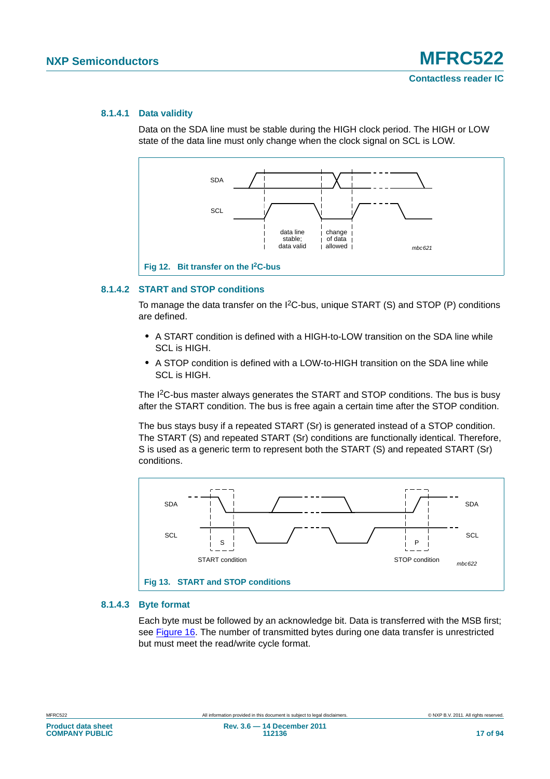### **8.1.4.1 Data validity**

Data on the SDA line must be stable during the HIGH clock period. The HIGH or LOW state of the data line must only change when the clock signal on SCL is LOW.



### **8.1.4.2 START and STOP conditions**

To manage the data transfer on the I2C-bus, unique START (S) and STOP (P) conditions are defined.

- **•** A START condition is defined with a HIGH-to-LOW transition on the SDA line while SCL is HIGH.
- **•** A STOP condition is defined with a LOW-to-HIGH transition on the SDA line while SCL is HIGH.

The I<sup>2</sup>C-bus master always generates the START and STOP conditions. The bus is busy after the START condition. The bus is free again a certain time after the STOP condition.

The bus stays busy if a repeated START (Sr) is generated instead of a STOP condition. The START (S) and repeated START (Sr) conditions are functionally identical. Therefore, S is used as a generic term to represent both the START (S) and repeated START (Sr) conditions.



### **8.1.4.3 Byte format**

Each byte must be followed by an acknowledge bit. Data is transferred with the MSB first; see [Figure 16](#page-18-0). The number of transmitted bytes during one data transfer is unrestricted but must meet the read/write cycle format.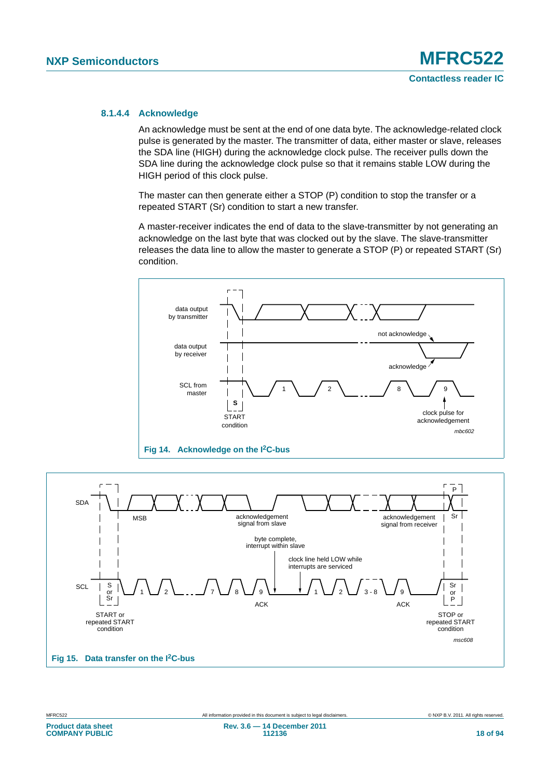### **8.1.4.4 Acknowledge**

An acknowledge must be sent at the end of one data byte. The acknowledge-related clock pulse is generated by the master. The transmitter of data, either master or slave, releases the SDA line (HIGH) during the acknowledge clock pulse. The receiver pulls down the SDA line during the acknowledge clock pulse so that it remains stable LOW during the HIGH period of this clock pulse.

The master can then generate either a STOP (P) condition to stop the transfer or a repeated START (Sr) condition to start a new transfer.

A master-receiver indicates the end of data to the slave-transmitter by not generating an acknowledge on the last byte that was clocked out by the slave. The slave-transmitter releases the data line to allow the master to generate a STOP (P) or repeated START (Sr) condition.





**COMPANY PUBLIC**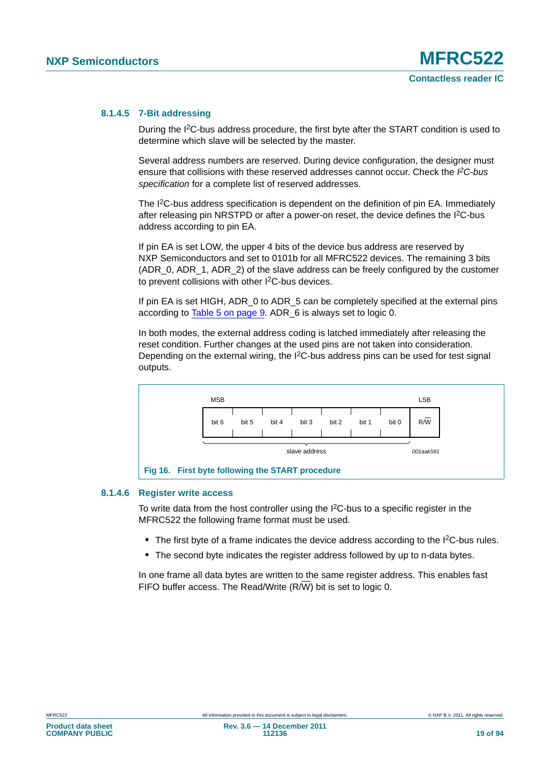### **8.1.4.5 7-Bit addressing**

During the I2C-bus address procedure, the first byte after the START condition is used to determine which slave will be selected by the master.

Several address numbers are reserved. During device configuration, the designer must ensure that collisions with these reserved addresses cannot occur. Check the *I 2C-bus specification* for a complete list of reserved addresses.

The I<sup>2</sup>C-bus address specification is dependent on the definition of pin EA. Immediately after releasing pin NRSTPD or after a power-on reset, the device defines the I2C-bus address according to pin EA.

If pin EA is set LOW, the upper 4 bits of the device bus address are reserved by NXP Semiconductors and set to 0101b for all MFRC522 devices. The remaining 3 bits (ADR\_0, ADR\_1, ADR\_2) of the slave address can be freely configured by the customer to prevent collisions with other I2C-bus devices.

If pin EA is set HIGH, ADR 0 to ADR 5 can be completely specified at the external pins according to [Table 5 on page 9.](#page-8-2) ADR\_6 is always set to logic 0.

In both modes, the external address coding is latched immediately after releasing the reset condition. Further changes at the used pins are not taken into consideration. Depending on the external wiring, the  $1<sup>2</sup>C$ -bus address pins can be used for test signal outputs.



### **8.1.4.6 Register write access**

<span id="page-18-0"></span>To write data from the host controller using the  $I<sup>2</sup>C$ -bus to a specific register in the MFRC522 the following frame format must be used.

- The first byte of a frame indicates the device address according to the I<sup>2</sup>C-bus rules.
- **•** The second byte indicates the register address followed by up to n-data bytes.

In one frame all data bytes are written to the same register address. This enables fast FIFO buffer access. The Read/Write (R/W) bit is set to logic 0.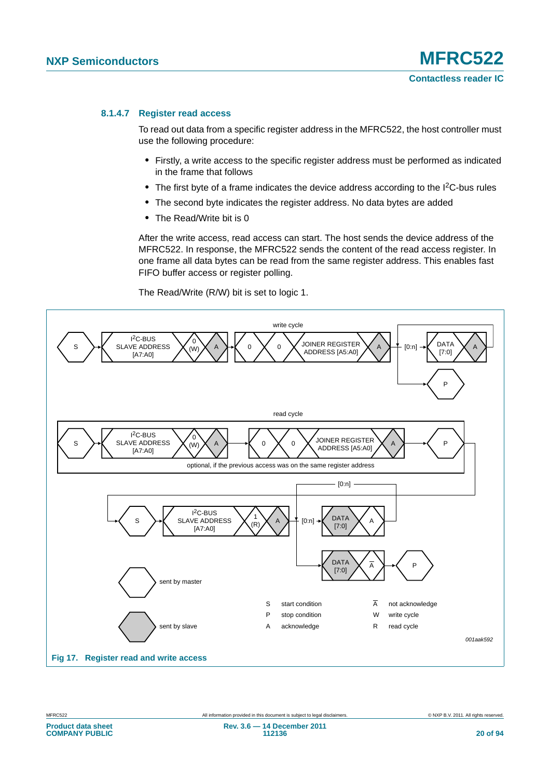### **8.1.4.7 Register read access**

To read out data from a specific register address in the MFRC522, the host controller must use the following procedure:

- **•** Firstly, a write access to the specific register address must be performed as indicated in the frame that follows
- The first byte of a frame indicates the device address according to the I<sup>2</sup>C-bus rules
- **•** The second byte indicates the register address. No data bytes are added
- **•** The Read/Write bit is 0

After the write access, read access can start. The host sends the device address of the MFRC522. In response, the MFRC522 sends the content of the read access register. In one frame all data bytes can be read from the same register address. This enables fast FIFO buffer access or register polling.

The Read/Write (R/W) bit is set to logic 1.



**COMPANY PUBLIC**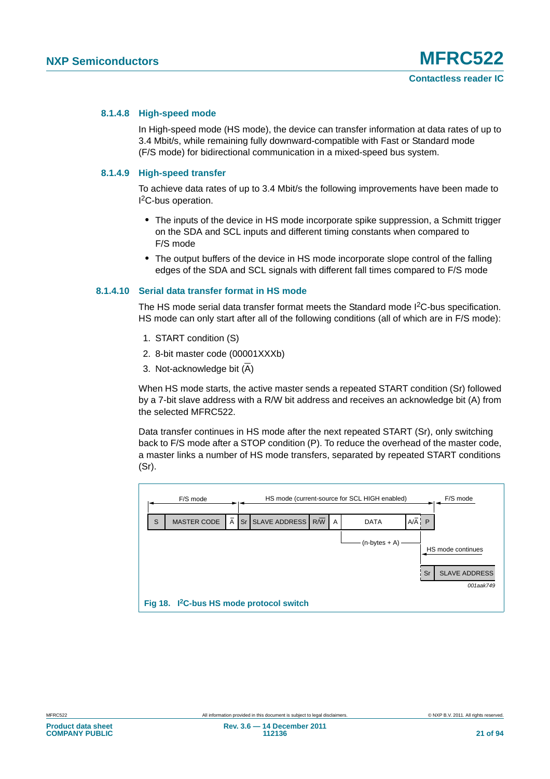### **8.1.4.8 High-speed mode**

In High-speed mode (HS mode), the device can transfer information at data rates of up to 3.4 Mbit/s, while remaining fully downward-compatible with Fast or Standard mode (F/S mode) for bidirectional communication in a mixed-speed bus system.

### **8.1.4.9 High-speed transfer**

To achieve data rates of up to 3.4 Mbit/s the following improvements have been made to <sup>2</sup>C-bus operation.

- **•** The inputs of the device in HS mode incorporate spike suppression, a Schmitt trigger on the SDA and SCL inputs and different timing constants when compared to F/S mode
- **•** The output buffers of the device in HS mode incorporate slope control of the falling edges of the SDA and SCL signals with different fall times compared to F/S mode

### **8.1.4.10 Serial data transfer format in HS mode**

The HS mode serial data transfer format meets the Standard mode I<sup>2</sup>C-bus specification. HS mode can only start after all of the following conditions (all of which are in F/S mode):

- 1. START condition (S)
- 2. 8-bit master code (00001XXXb)
- 3. Not-acknowledge bit  $(\overline{A})$

When HS mode starts, the active master sends a repeated START condition (Sr) followed by a 7-bit slave address with a R/W bit address and receives an acknowledge bit (A) from the selected MFRC522.

Data transfer continues in HS mode after the next repeated START (Sr), only switching back to F/S mode after a STOP condition (P). To reduce the overhead of the master code, a master links a number of HS mode transfers, separated by repeated START conditions (Sr).

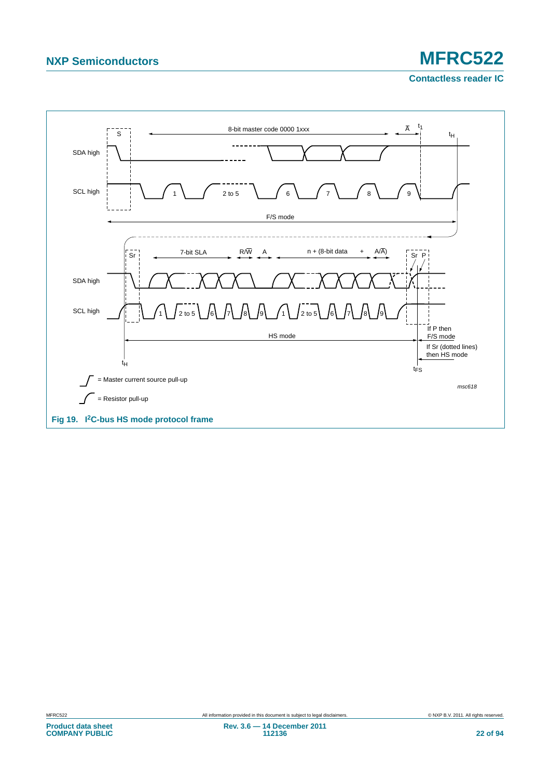# **NXP Semiconductors MFRC522**

**Contactless reader IC**

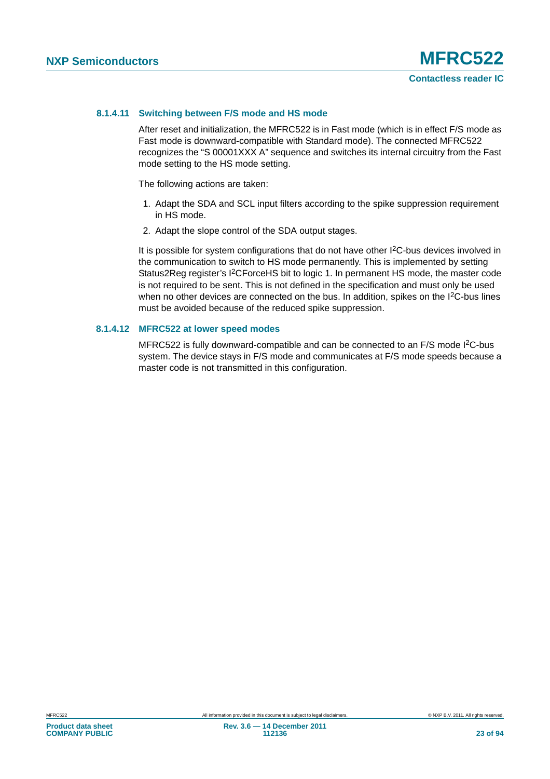### **8.1.4.11 Switching between F/S mode and HS mode**

After reset and initialization, the MFRC522 is in Fast mode (which is in effect F/S mode as Fast mode is downward-compatible with Standard mode). The connected MFRC522 recognizes the "S 00001XXX A" sequence and switches its internal circuitry from the Fast mode setting to the HS mode setting.

The following actions are taken:

- 1. Adapt the SDA and SCL input filters according to the spike suppression requirement in HS mode.
- 2. Adapt the slope control of the SDA output stages.

It is possible for system configurations that do not have other I<sup>2</sup>C-bus devices involved in the communication to switch to HS mode permanently. This is implemented by setting Status2Reg register's I2CForceHS bit to logic 1. In permanent HS mode, the master code is not required to be sent. This is not defined in the specification and must only be used when no other devices are connected on the bus. In addition, spikes on the I<sup>2</sup>C-bus lines must be avoided because of the reduced spike suppression.

### **8.1.4.12 MFRC522 at lower speed modes**

MFRC522 is fully downward-compatible and can be connected to an F/S mode I<sup>2</sup>C-bus system. The device stays in F/S mode and communicates at F/S mode speeds because a master code is not transmitted in this configuration.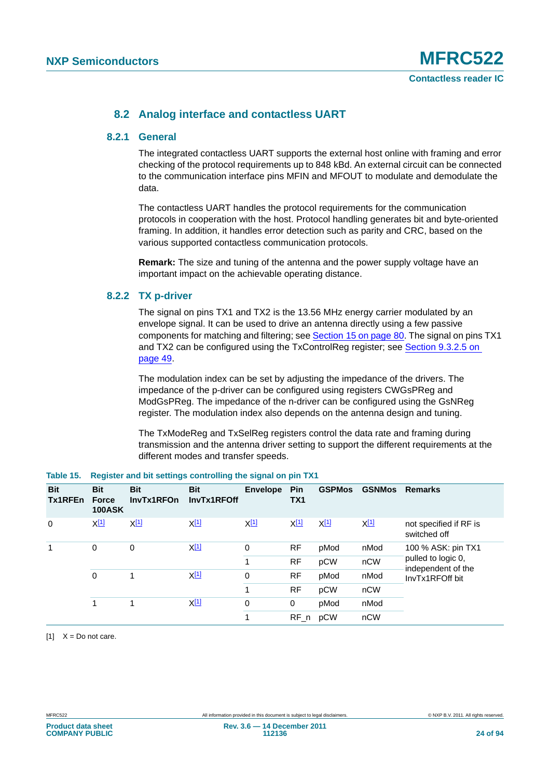### **8.2 Analog interface and contactless UART**

### **8.2.1 General**

The integrated contactless UART supports the external host online with framing and error checking of the protocol requirements up to 848 kBd. An external circuit can be connected to the communication interface pins MFIN and MFOUT to modulate and demodulate the data.

The contactless UART handles the protocol requirements for the communication protocols in cooperation with the host. Protocol handling generates bit and byte-oriented framing. In addition, it handles error detection such as parity and CRC, based on the various supported contactless communication protocols.

**Remark:** The size and tuning of the antenna and the power supply voltage have an important impact on the achievable operating distance.

### **8.2.2 TX p-driver**

The signal on pins TX1 and TX2 is the 13.56 MHz energy carrier modulated by an envelope signal. It can be used to drive an antenna directly using a few passive components for matching and filtering; see [Section 15 on page 80](#page-79-0). The signal on pins TX1 and TX2 can be configured using the TxControlReg register; see [Section 9.3.2.5 on](#page-48-0)  [page 49](#page-48-0).

The modulation index can be set by adjusting the impedance of the drivers. The impedance of the p-driver can be configured using registers CWGsPReg and ModGsPReg. The impedance of the n-driver can be configured using the GsNReg register. The modulation index also depends on the antenna design and tuning.

The TxModeReg and TxSelReg registers control the data rate and framing during transmission and the antenna driver setting to support the different requirements at the different modes and transfer speeds.

| <b>Bit</b><br>Tx1RFEn | <b>Bit</b><br><b>Force</b><br><b>100ASK</b> | <b>Bit</b><br>InvTx1RFOn | <b>Bit</b><br>InvTx1RFOff | <b>Envelope</b>  | Pin<br>TX <sub>1</sub> | <b>GSPMos</b>    | <b>GSNMos</b> | <b>Remarks</b>                           |
|-----------------------|---------------------------------------------|--------------------------|---------------------------|------------------|------------------------|------------------|---------------|------------------------------------------|
| 0                     | X <sup>[1]</sup>                            | X <sup>[1]</sup>         | X <sup>[1]</sup>          | X <sup>[1]</sup> | X[1]                   | X <sup>[1]</sup> | XII           | not specified if RF is<br>switched off   |
| 0<br>1<br>0           |                                             | 0                        | $X^{[1]}$                 | 0                | <b>RF</b>              | pMod             | nMod          | 100 % ASK: pin TX1                       |
|                       |                                             |                          |                           | 1                | RF                     | pCW              | nCW           | pulled to logic 0,<br>independent of the |
|                       |                                             |                          | $X^{[1]}$                 | 0                | <b>RF</b>              | pMod             | nMod          | InvTx1RFOff bit                          |
|                       |                                             |                          |                           | 1                | <b>RF</b>              | pCW              | nCW           |                                          |
| 1                     |                                             |                          | <u>X[1]</u>               | 0                | 0                      | pMod             | nMod          |                                          |
|                       |                                             |                          |                           | 1                | $RF_n$                 | pCW              | nCW           |                                          |

### <span id="page-23-1"></span>**Table 15. Register and bit settings controlling the signal on pin TX1**

<span id="page-23-0"></span> $[1]$   $X = Do$  not care.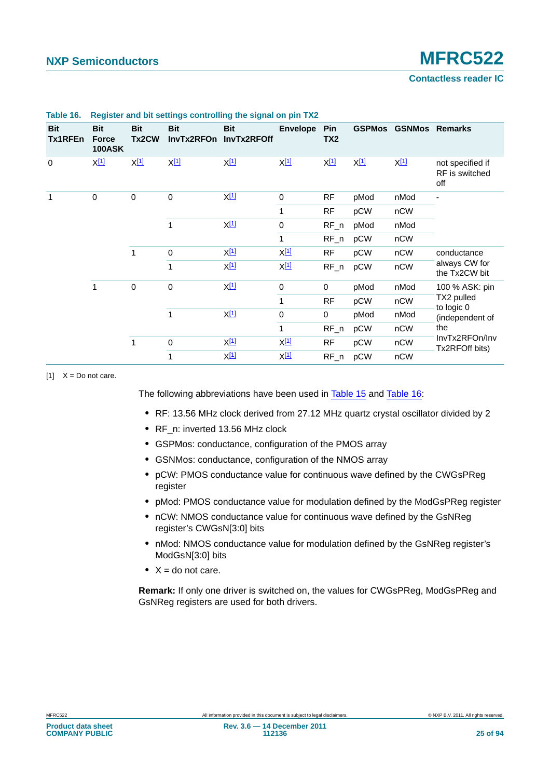### **Contactless reader IC**

| <b>Bit</b><br>Tx1RFEn | <b>Bit</b><br><b>Force</b><br><b>100ASK</b> | <b>Bit</b><br>Tx2CW | <b>Bit</b><br>InvTx2RFOn | <b>Bit</b><br>InvTx2RFOff       | <b>Envelope</b>      | <b>Pin</b><br>TX <sub>2</sub> |                       | <b>GSPMos GSNMos Remarks</b> |                                           |      |      |
|-----------------------|---------------------------------------------|---------------------|--------------------------|---------------------------------|----------------------|-------------------------------|-----------------------|------------------------------|-------------------------------------------|------|------|
| $\mathbf 0$           | $X^{[1]}$                                   | $X^{[1]}$           | $X^{[1]}$                | $X^{[1]}$                       | $X^{[1]}$            | $X^{[1]}$                     | $X^{\underline{[1]}}$ | $X^{[1]}$                    | not specified if<br>RF is switched<br>off |      |      |
| 1                     | $\pmb{0}$                                   | $\mathbf 0$         | $\mathbf 0$              | $X^{[1]}$                       | $\mathbf 0$          | <b>RF</b>                     | pMod                  | nMod                         |                                           |      |      |
|                       |                                             |                     |                          | 1                               | <b>RF</b>            | pCW                           | nCW                   |                              |                                           |      |      |
|                       |                                             |                     |                          |                                 |                      | 1                             | $X^{[1]}$             | 0                            | $RF_n$                                    | pMod | nMod |
|                       |                                             |                     |                          |                                 | 1                    | $RF_n$                        | pCW                   | nCW                          |                                           |      |      |
|                       |                                             | 1                   | 0                        | $X^{[1]}$                       | <u>X[1]</u>          | <b>RF</b>                     | pCW                   | nCW                          | conductance                               |      |      |
|                       |                                             |                     | 1                        | $X^{[1]}$                       | $X^{[1]}$            | $RF_n$                        | pCW                   | nCW                          | always CW for<br>the Tx2CW bit            |      |      |
|                       | 1                                           | $\mathbf 0$         | $\boldsymbol{0}$         | X[1]                            | $\mathbf 0$          | $\mathbf 0$                   | pMod                  | nMod                         | 100 % ASK: pin<br>TX2 pulled              |      |      |
|                       |                                             |                     |                          |                                 | $\mathbf{1}$         | <b>RF</b>                     | pCW                   | nCW                          |                                           |      |      |
|                       |                                             |                     | $\mathbf{1}$             | $X_1$ <sup><math>1</math></sup> | 0                    | 0                             | pMod                  | nMod                         | to logic 0<br>(independent of             |      |      |
|                       |                                             |                     |                          |                                 | $\mathbf{1}$         | $RF_n$                        | pCW                   | nCW                          | the                                       |      |      |
|                       |                                             | 1                   | 0                        | X <sup>[1]</sup>                | X[1]                 | <b>RF</b>                     | pCW                   | nCW                          | InvTx2RFOn/Inv<br>Tx2RFOff bits)          |      |      |
|                       |                                             |                     | 1                        | X[1]                            | $X_1$ <sup>[1]</sup> | $RF_n$                        | pCW                   | nCW                          |                                           |      |      |

### <span id="page-24-1"></span>**Table 16. Register and bit settings controlling the signal on pin TX2**

<span id="page-24-0"></span> $[1]$   $X = Do$  not care.

The following abbreviations have been used in [Table 15](#page-23-1) and [Table 16](#page-24-1):

- **•** RF: 13.56 MHz clock derived from 27.12 MHz quartz crystal oscillator divided by 2
- **•** RF\_n: inverted 13.56 MHz clock
- **•** GSPMos: conductance, configuration of the PMOS array
- **•** GSNMos: conductance, configuration of the NMOS array
- **•** pCW: PMOS conductance value for continuous wave defined by the CWGsPReg register
- **•** pMod: PMOS conductance value for modulation defined by the ModGsPReg register
- **•** nCW: NMOS conductance value for continuous wave defined by the GsNReg register's CWGsN[3:0] bits
- **•** nMod: NMOS conductance value for modulation defined by the GsNReg register's ModGsN[3:0] bits
- **•** X = do not care.

**Remark:** If only one driver is switched on, the values for CWGsPReg, ModGsPReg and GsNReg registers are used for both drivers.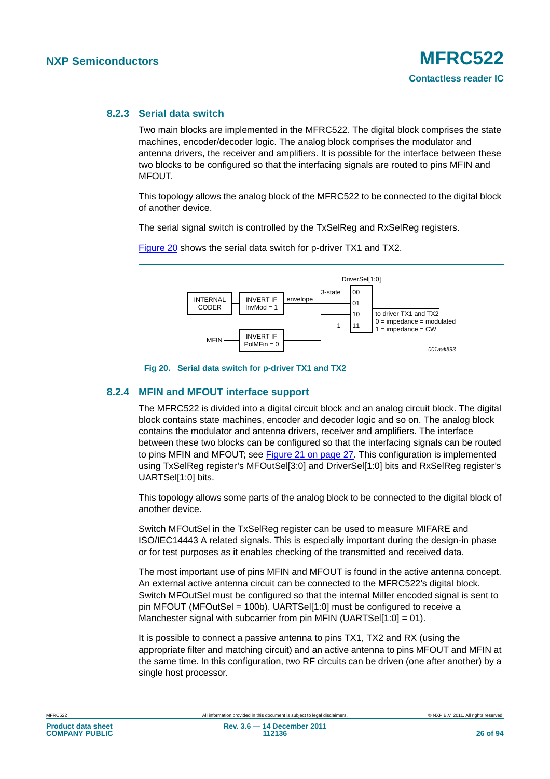## **8.2.3 Serial data switch**

Two main blocks are implemented in the MFRC522. The digital block comprises the state machines, encoder/decoder logic. The analog block comprises the modulator and antenna drivers, the receiver and amplifiers. It is possible for the interface between these two blocks to be configured so that the interfacing signals are routed to pins MFIN and MFOUT.

This topology allows the analog block of the MFRC522 to be connected to the digital block of another device.

The serial signal switch is controlled by the TxSelReg and RxSelReg registers.



[Figure 20](#page-25-0) shows the serial data switch for p-driver TX1 and TX2.

### <span id="page-25-0"></span>**8.2.4 MFIN and MFOUT interface support**

The MFRC522 is divided into a digital circuit block and an analog circuit block. The digital block contains state machines, encoder and decoder logic and so on. The analog block contains the modulator and antenna drivers, receiver and amplifiers. The interface between these two blocks can be configured so that the interfacing signals can be routed to pins MFIN and MFOUT; see [Figure 21 on page 27.](#page-26-0) This configuration is implemented using TxSelReg register's MFOutSel[3:0] and DriverSel[1:0] bits and RxSelReg register's UARTSel[1:0] bits.

This topology allows some parts of the analog block to be connected to the digital block of another device.

Switch MFOutSel in the TxSelReg register can be used to measure MIFARE and ISO/IEC14443 A related signals. This is especially important during the design-in phase or for test purposes as it enables checking of the transmitted and received data.

The most important use of pins MFIN and MFOUT is found in the active antenna concept. An external active antenna circuit can be connected to the MFRC522's digital block. Switch MFOutSel must be configured so that the internal Miller encoded signal is sent to pin MFOUT (MFOutSel = 100b). UARTSel[1:0] must be configured to receive a Manchester signal with subcarrier from pin MFIN (UARTSel[1:0] = 01).

It is possible to connect a passive antenna to pins TX1, TX2 and RX (using the appropriate filter and matching circuit) and an active antenna to pins MFOUT and MFIN at the same time. In this configuration, two RF circuits can be driven (one after another) by a single host processor.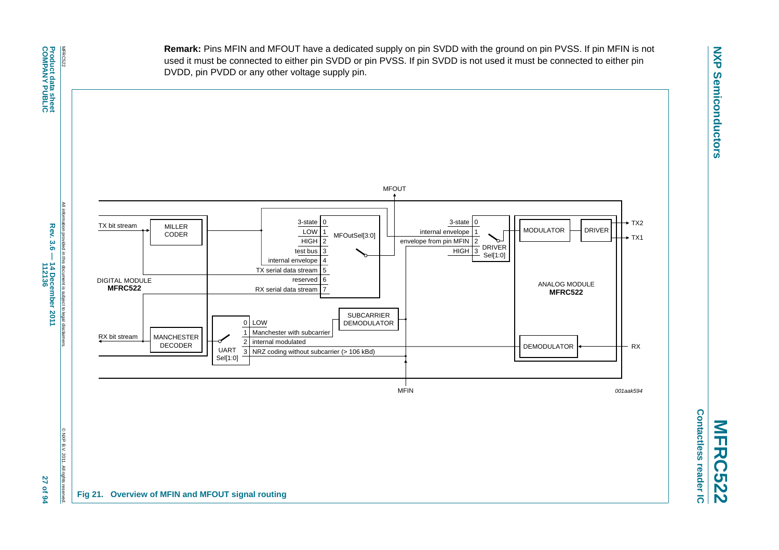**Remark:** Pins MFIN and MFOUT have a dedicated supply on pin SVDD with the ground on pin PVSS. If pin MFIN is not used it must be connected to either pin SVDD or pin PVSS. If pin SVDD is not used it must be connected to either pin DVDD, pin PVDD or any other voltage supply pin.



<span id="page-26-0"></span>**Contactless reader IC Contactless reader IC MFRC522**

© NXP B.V. 2011. All rights reserved.

**All rights** 

27 of 94

@NXPB.V.2011

All information provided in this document is subject to legal disclaimers. ation provided in this document is subject to legal disclain Rev. 3.6 -**Rev. 3.6 — 14 December 2011 14 December 2011<br>112136 112136 27 of 94**

All inforr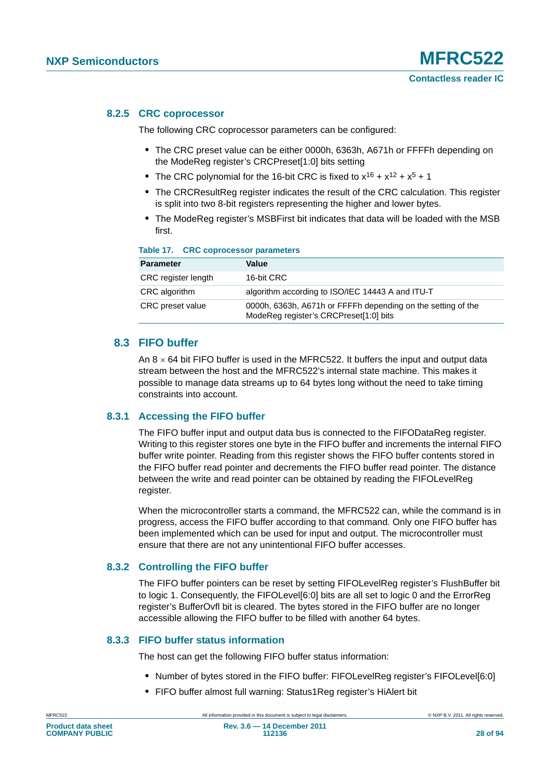### **8.2.5 CRC coprocessor**

The following CRC coprocessor parameters can be configured:

- **•** The CRC preset value can be either 0000h, 6363h, A671h or FFFFh depending on the ModeReg register's CRCPreset[1:0] bits setting
- The CRC polynomial for the 16-bit CRC is fixed to  $x^{16} + x^{12} + x^5 + 1$
- **•** The CRCResultReg register indicates the result of the CRC calculation. This register is split into two 8-bit registers representing the higher and lower bytes.
- **•** The ModeReg register's MSBFirst bit indicates that data will be loaded with the MSB first.

### **Table 17. CRC coprocessor parameters**

| <b>Parameter</b>        | Value                                                                                                  |
|-------------------------|--------------------------------------------------------------------------------------------------------|
| CRC register length     | 16-bit CRC                                                                                             |
| CRC algorithm           | algorithm according to ISO/IEC 14443 A and ITU-T                                                       |
| <b>CRC</b> preset value | 0000h, 6363h, A671h or FFFFh depending on the setting of the<br>ModeReg register's CRCPreset[1:0] bits |

### **8.3 FIFO buffer**

An  $8 \times 64$  bit FIFO buffer is used in the MFRC522. It buffers the input and output data stream between the host and the MFRC522's internal state machine. This makes it possible to manage data streams up to 64 bytes long without the need to take timing constraints into account.

### **8.3.1 Accessing the FIFO buffer**

The FIFO buffer input and output data bus is connected to the FIFODataReg register. Writing to this register stores one byte in the FIFO buffer and increments the internal FIFO buffer write pointer. Reading from this register shows the FIFO buffer contents stored in the FIFO buffer read pointer and decrements the FIFO buffer read pointer. The distance between the write and read pointer can be obtained by reading the FIFOLevelReg register.

When the microcontroller starts a command, the MFRC522 can, while the command is in progress, access the FIFO buffer according to that command. Only one FIFO buffer has been implemented which can be used for input and output. The microcontroller must ensure that there are not any unintentional FIFO buffer accesses.

### **8.3.2 Controlling the FIFO buffer**

The FIFO buffer pointers can be reset by setting FIFOLevelReg register's FlushBuffer bit to logic 1. Consequently, the FIFOLevel[6:0] bits are all set to logic 0 and the ErrorReg register's BufferOvfl bit is cleared. The bytes stored in the FIFO buffer are no longer accessible allowing the FIFO buffer to be filled with another 64 bytes.

### **8.3.3 FIFO buffer status information**

The host can get the following FIFO buffer status information:

- **•** Number of bytes stored in the FIFO buffer: FIFOLevelReg register's FIFOLevel[6:0]
- **•** FIFO buffer almost full warning: Status1Reg register's HiAlert bit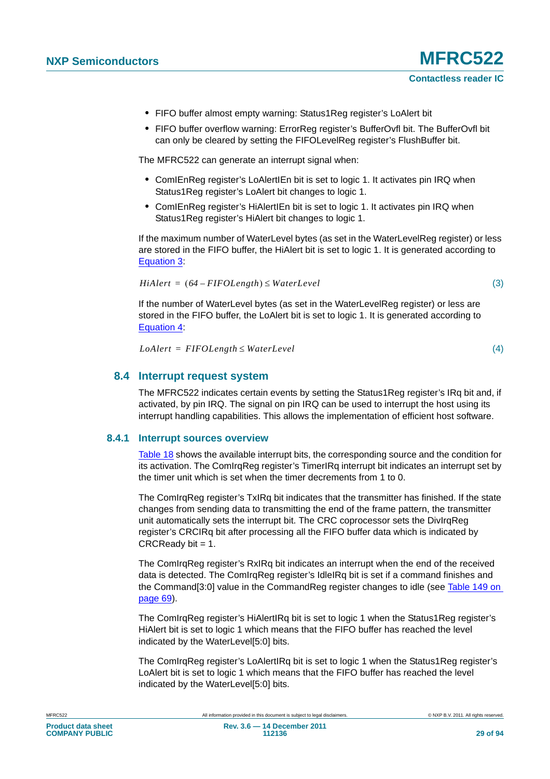- **•** FIFO buffer almost empty warning: Status1Reg register's LoAlert bit
- **•** FIFO buffer overflow warning: ErrorReg register's BufferOvfl bit. The BufferOvfl bit can only be cleared by setting the FIFOLevelReg register's FlushBuffer bit.

The MFRC522 can generate an interrupt signal when:

- **•** ComIEnReg register's LoAlertIEn bit is set to logic 1. It activates pin IRQ when Status1Reg register's LoAlert bit changes to logic 1.
- **•** ComIEnReg register's HiAlertIEn bit is set to logic 1. It activates pin IRQ when Status1Reg register's HiAlert bit changes to logic 1.

If the maximum number of WaterLevel bytes (as set in the WaterLevelReg register) or less are stored in the FIFO buffer, the HiAlert bit is set to logic 1. It is generated according to [Equation 3:](#page-28-0)

<span id="page-28-0"></span>
$$
HiAlert = (64 - FIFOLength) \le WaterLevel
$$
\n(3)

If the number of WaterLevel bytes (as set in the WaterLevelReg register) or less are stored in the FIFO buffer, the LoAlert bit is set to logic 1. It is generated according to [Equation 4:](#page-28-1)

<span id="page-28-1"></span> $L\text{o}$ *Alert* = FIFOLength  $\leq$  WaterLevel

(4)

### **8.4 Interrupt request system**

The MFRC522 indicates certain events by setting the Status1Reg register's IRq bit and, if activated, by pin IRQ. The signal on pin IRQ can be used to interrupt the host using its interrupt handling capabilities. This allows the implementation of efficient host software.

### **8.4.1 Interrupt sources overview**

[Table 18](#page-29-1) shows the available interrupt bits, the corresponding source and the condition for its activation. The ComIrgReg register's TimerIRg interrupt bit indicates an interrupt set by the timer unit which is set when the timer decrements from 1 to 0.

The ComIrqReg register's TxIRq bit indicates that the transmitter has finished. If the state changes from sending data to transmitting the end of the frame pattern, the transmitter unit automatically sets the interrupt bit. The CRC coprocessor sets the DivIrqReg register's CRCIRq bit after processing all the FIFO buffer data which is indicated by  $CRCReadv bit = 1.$ 

The ComIrqReg register's RxIRq bit indicates an interrupt when the end of the received data is detected. The ComIrqReg register's IdleIRq bit is set if a command finishes and the Command[3:0] value in the CommandReg register changes to idle (see [Table 149 on](#page-68-0)  [page 69](#page-68-0)).

The ComIrqReg register's HiAlertIRq bit is set to logic 1 when the Status1Reg register's HiAlert bit is set to logic 1 which means that the FIFO buffer has reached the level indicated by the WaterLevel[5:0] bits.

The ComIrqReg register's LoAlertIRq bit is set to logic 1 when the Status1Reg register's LoAlert bit is set to logic 1 which means that the FIFO buffer has reached the level indicated by the WaterLevel[5:0] bits.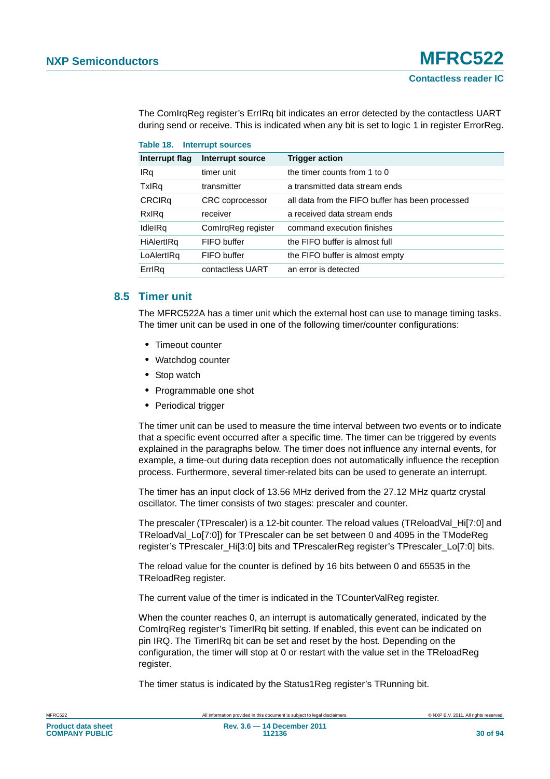The ComIrqReg register's ErrIRq bit indicates an error detected by the contactless UART during send or receive. This is indicated when any bit is set to logic 1 in register ErrorReg.

<span id="page-29-1"></span>

|                | Table 18. Interrupt sources |                                                  |  |  |  |  |
|----------------|-----------------------------|--------------------------------------------------|--|--|--|--|
| Interrupt flag | Interrupt source            | <b>Trigger action</b>                            |  |  |  |  |
| IRq            | timer unit                  | the timer counts from 1 to 0                     |  |  |  |  |
| <b>TxIRq</b>   | transmitter                 | a transmitted data stream ends                   |  |  |  |  |
| <b>CRCIRq</b>  | CRC coprocessor             | all data from the FIFO buffer has been processed |  |  |  |  |
| RxIRq          | receiver                    | a received data stream ends                      |  |  |  |  |
| IdleIRq        | ComirgReg register          | command execution finishes                       |  |  |  |  |
| HiAlertIRq     | FIFO buffer                 | the FIFO buffer is almost full                   |  |  |  |  |
| LoAlertIRq     | FIFO buffer                 | the FIFO buffer is almost empty                  |  |  |  |  |
| ErrlRq         | contactless UART            | an error is detected                             |  |  |  |  |

### <span id="page-29-0"></span>**8.5 Timer unit**

The MFRC522A has a timer unit which the external host can use to manage timing tasks. The timer unit can be used in one of the following timer/counter configurations:

- **•** Timeout counter
- **•** Watchdog counter
- **•** Stop watch
- **•** Programmable one shot
- **•** Periodical trigger

The timer unit can be used to measure the time interval between two events or to indicate that a specific event occurred after a specific time. The timer can be triggered by events explained in the paragraphs below. The timer does not influence any internal events, for example, a time-out during data reception does not automatically influence the reception process. Furthermore, several timer-related bits can be used to generate an interrupt.

The timer has an input clock of 13.56 MHz derived from the 27.12 MHz quartz crystal oscillator. The timer consists of two stages: prescaler and counter.

The prescaler (TPrescaler) is a 12-bit counter. The reload values (TReloadVal\_Hi[7:0] and TReloadVal\_Lo[7:0]) for TPrescaler can be set between 0 and 4095 in the TModeReg register's TPrescaler Hi[3:0] bits and TPrescalerReg register's TPrescaler Lo[7:0] bits.

The reload value for the counter is defined by 16 bits between 0 and 65535 in the TReloadReg register.

The current value of the timer is indicated in the TCounterValReg register.

When the counter reaches 0, an interrupt is automatically generated, indicated by the ComIrqReg register's TimerIRq bit setting. If enabled, this event can be indicated on pin IRQ. The TimerIRq bit can be set and reset by the host. Depending on the configuration, the timer will stop at 0 or restart with the value set in the TReloadReg register.

The timer status is indicated by the Status1Reg register's TRunning bit.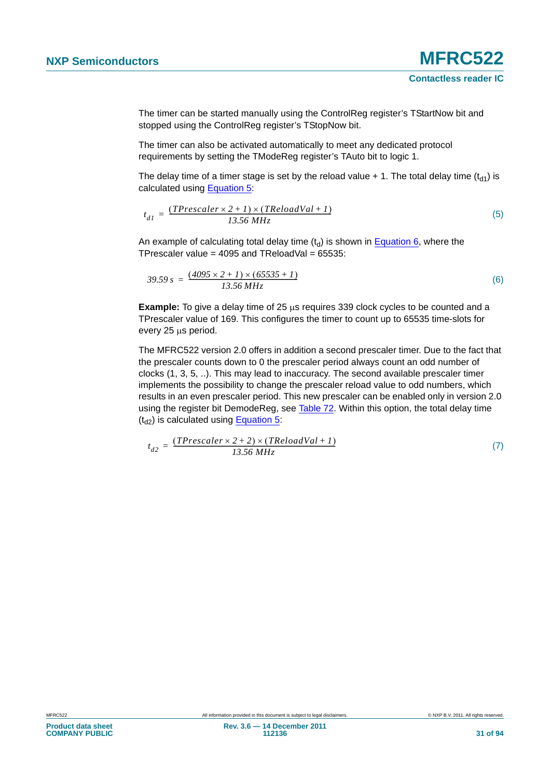The timer can be started manually using the ControlReg register's TStartNow bit and stopped using the ControlReg register's TStopNow bit.

The timer can also be activated automatically to meet any dedicated protocol requirements by setting the TModeReg register's TAuto bit to logic 1.

The delay time of a timer stage is set by the reload value  $+1$ . The total delay time (t<sub>d1</sub>) is calculated using [Equation 5](#page-30-0):

<span id="page-30-0"></span>
$$
t_{d1} = \frac{(TPrescale r \times 2 + 1) \times (TReloadVal + 1)}{13.56 MHz}
$$
 (5)

An example of calculating total delay time  $(t_d)$  is shown in [Equation 6,](#page-30-1) where the TPrescaler value =  $4095$  and TReloadVal =  $65535$ :

<span id="page-30-1"></span>
$$
39.59 s = \frac{(4095 \times 2 + I) \times (65535 + I)}{13.56 MHz}
$$
 (6)

**Example:** To give a delay time of 25  $\mu$ s requires 339 clock cycles to be counted and a TPrescaler value of 169. This configures the timer to count up to 65535 time-slots for every 25 us period.

The MFRC522 version 2.0 offers in addition a second prescaler timer. Due to the fact that the prescaler counts down to 0 the prescaler period always count an odd number of clocks (1, 3, 5, ..). This may lead to inaccuracy. The second available prescaler timer implements the possibility to change the prescaler reload value to odd numbers, which results in an even prescaler period. This new prescaler can be enabled only in version 2.0 using the register bit DemodeReg, see [Table 72](#page-51-0). Within this option, the total delay time  $(t_{d2})$  is calculated using [Equation 5:](#page-30-0)

$$
t_{d2} = \frac{(TPrescale r \times 2 + 2) \times (TReloadVal + 1)}{13.56 MHz}
$$
 (7)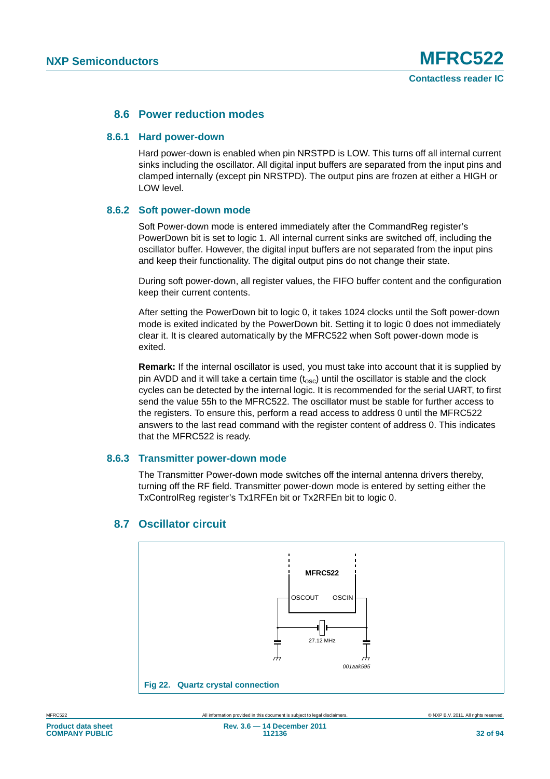### **8.6 Power reduction modes**

### **8.6.1 Hard power-down**

Hard power-down is enabled when pin NRSTPD is LOW. This turns off all internal current sinks including the oscillator. All digital input buffers are separated from the input pins and clamped internally (except pin NRSTPD). The output pins are frozen at either a HIGH or LOW level.

### **8.6.2 Soft power-down mode**

Soft Power-down mode is entered immediately after the CommandReg register's PowerDown bit is set to logic 1. All internal current sinks are switched off, including the oscillator buffer. However, the digital input buffers are not separated from the input pins and keep their functionality. The digital output pins do not change their state.

During soft power-down, all register values, the FIFO buffer content and the configuration keep their current contents.

After setting the PowerDown bit to logic 0, it takes 1024 clocks until the Soft power-down mode is exited indicated by the PowerDown bit. Setting it to logic 0 does not immediately clear it. It is cleared automatically by the MFRC522 when Soft power-down mode is exited.

**Remark:** If the internal oscillator is used, you must take into account that it is supplied by pin AVDD and it will take a certain time  $(t_{\rm osc})$  until the oscillator is stable and the clock cycles can be detected by the internal logic. It is recommended for the serial UART, to first send the value 55h to the MFRC522. The oscillator must be stable for further access to the registers. To ensure this, perform a read access to address 0 until the MFRC522 answers to the last read command with the register content of address 0. This indicates that the MFRC522 is ready.

### **8.6.3 Transmitter power-down mode**

The Transmitter Power-down mode switches off the internal antenna drivers thereby, turning off the RF field. Transmitter power-down mode is entered by setting either the TxControlReg register's Tx1RFEn bit or Tx2RFEn bit to logic 0.



### **8.7 Oscillator circuit**

**COMPANY PUBLIC**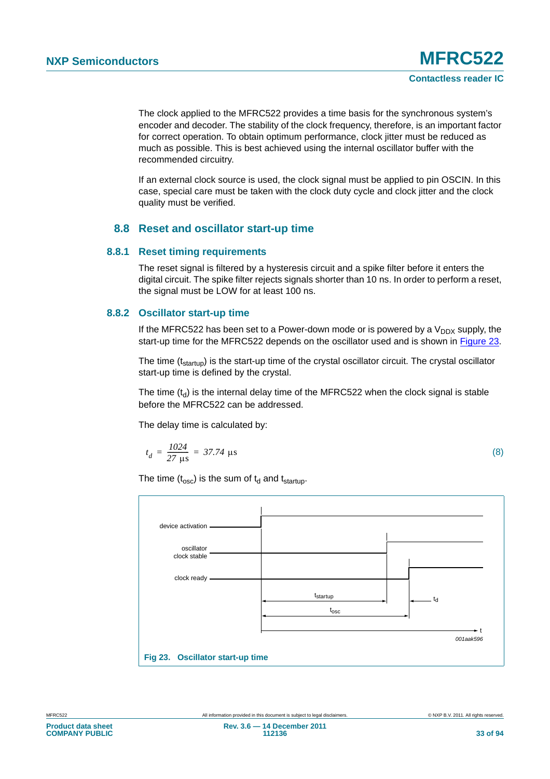The clock applied to the MFRC522 provides a time basis for the synchronous system's encoder and decoder. The stability of the clock frequency, therefore, is an important factor for correct operation. To obtain optimum performance, clock jitter must be reduced as much as possible. This is best achieved using the internal oscillator buffer with the recommended circuitry.

If an external clock source is used, the clock signal must be applied to pin OSCIN. In this case, special care must be taken with the clock duty cycle and clock jitter and the clock quality must be verified.

### **8.8 Reset and oscillator start-up time**

### **8.8.1 Reset timing requirements**

The reset signal is filtered by a hysteresis circuit and a spike filter before it enters the digital circuit. The spike filter rejects signals shorter than 10 ns. In order to perform a reset, the signal must be LOW for at least 100 ns.

### **8.8.2 Oscillator start-up time**

If the MFRC522 has been set to a Power-down mode or is powered by a  $V_{DDX}$  supply, the start-up time for the MFRC522 depends on the oscillator used and is shown in [Figure 23.](#page-32-0)

The time  $(t_{\text{startup}})$  is the start-up time of the crystal oscillator circuit. The crystal oscillator start-up time is defined by the crystal.

The time  $(t<sub>d</sub>)$  is the internal delay time of the MFRC522 when the clock signal is stable before the MFRC522 can be addressed.

The delay time is calculated by:

$$
t_d = \frac{1024}{27 \text{ }\mu\text{s}} = 37.74 \text{ }\mu\text{s}
$$
 (8)

The time  $(t_{\rm osc})$  is the sum of  $t_d$  and  $t_{\rm startup}$ .

<span id="page-32-0"></span>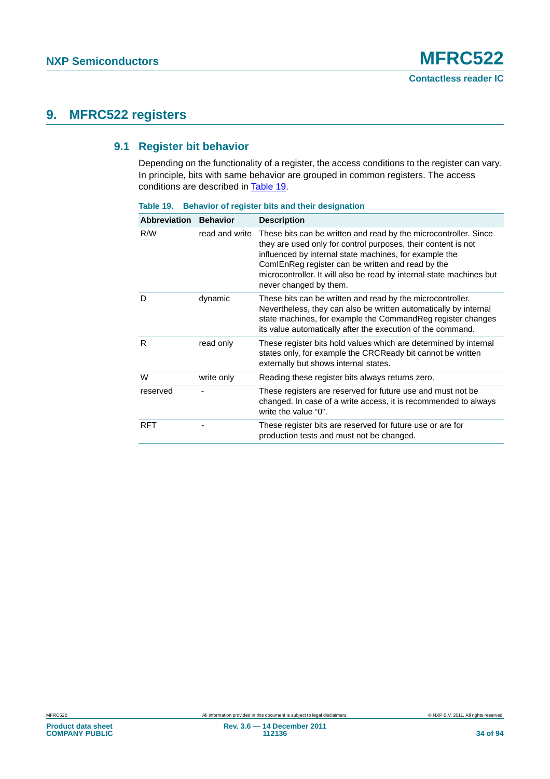# **9. MFRC522 registers**

### **9.1 Register bit behavior**

Depending on the functionality of a register, the access conditions to the register can vary. In principle, bits with same behavior are grouped in common registers. The access conditions are described in [Table 19](#page-33-0).

| <b>Abbreviation</b> | <b>Behavior</b> | <b>Description</b>                                                                                                                                                                                                                                                                                                                                 |
|---------------------|-----------------|----------------------------------------------------------------------------------------------------------------------------------------------------------------------------------------------------------------------------------------------------------------------------------------------------------------------------------------------------|
| R/W                 | read and write  | These bits can be written and read by the microcontroller. Since<br>they are used only for control purposes, their content is not<br>influenced by internal state machines, for example the<br>ComIEnReg register can be written and read by the<br>microcontroller. It will also be read by internal state machines but<br>never changed by them. |
| D                   | dynamic         | These bits can be written and read by the microcontroller.<br>Nevertheless, they can also be written automatically by internal<br>state machines, for example the Command Reg register changes<br>its value automatically after the execution of the command.                                                                                      |
| R                   | read only       | These register bits hold values which are determined by internal<br>states only, for example the CRCReady bit cannot be written<br>externally but shows internal states.                                                                                                                                                                           |
| W                   | write only      | Reading these register bits always returns zero.                                                                                                                                                                                                                                                                                                   |
| reserved            |                 | These registers are reserved for future use and must not be<br>changed. In case of a write access, it is recommended to always<br>write the value "0".                                                                                                                                                                                             |
| <b>RFT</b>          |                 | These register bits are reserved for future use or are for<br>production tests and must not be changed.                                                                                                                                                                                                                                            |

<span id="page-33-0"></span>**Table 19. Behavior of register bits and their designation**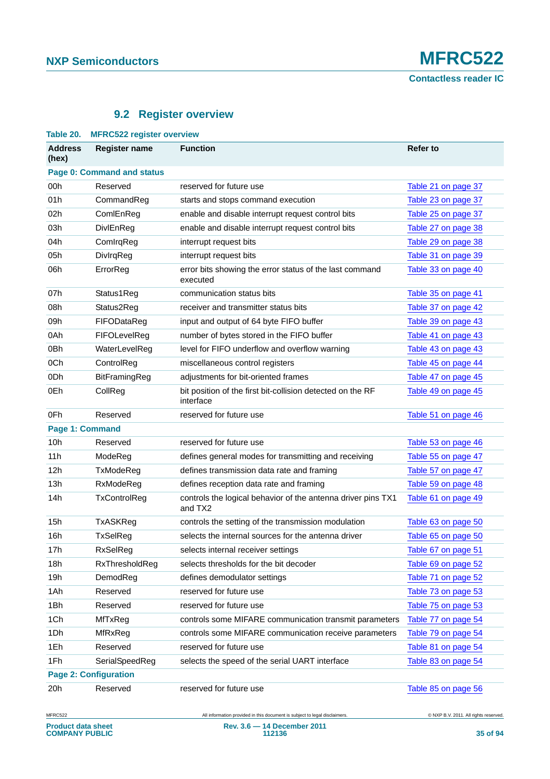# **9.2 Register overview**

| Table 20.                         | <b>MFRC522 register overview</b> |                                                                         |                     |  |  |
|-----------------------------------|----------------------------------|-------------------------------------------------------------------------|---------------------|--|--|
| <b>Address</b><br>(hex)           | <b>Register name</b>             | <b>Function</b>                                                         | Refer to            |  |  |
| <b>Page 0: Command and status</b> |                                  |                                                                         |                     |  |  |
| 00h                               | Reserved                         | reserved for future use                                                 | Table 21 on page 37 |  |  |
| 01h                               | CommandReg                       | starts and stops command execution                                      | Table 23 on page 37 |  |  |
| 02h                               | ComlEnReg                        | enable and disable interrupt request control bits                       | Table 25 on page 37 |  |  |
| 03h                               | DivlEnReg                        | enable and disable interrupt request control bits                       | Table 27 on page 38 |  |  |
| 04h                               | ComIrqReg                        | interrupt request bits                                                  | Table 29 on page 38 |  |  |
| 05h                               | DivlrqReg                        | interrupt request bits                                                  | Table 31 on page 39 |  |  |
| 06h                               | ErrorReg                         | error bits showing the error status of the last command<br>executed     | Table 33 on page 40 |  |  |
| 07h                               | Status1Reg                       | communication status bits                                               | Table 35 on page 41 |  |  |
| 08h                               | Status2Reg                       | receiver and transmitter status bits                                    | Table 37 on page 42 |  |  |
| 09h                               | FIFODataReg                      | input and output of 64 byte FIFO buffer                                 | Table 39 on page 43 |  |  |
| 0Ah                               | FIFOLevelReg                     | number of bytes stored in the FIFO buffer                               | Table 41 on page 43 |  |  |
| 0Bh                               | WaterLevelReg                    | level for FIFO underflow and overflow warning                           | Table 43 on page 43 |  |  |
| 0Ch                               | ControlReg                       | miscellaneous control registers                                         | Table 45 on page 44 |  |  |
| 0 <sub>Dh</sub>                   | BitFramingReg                    | adjustments for bit-oriented frames                                     | Table 47 on page 45 |  |  |
| 0Eh                               | CollReg                          | bit position of the first bit-collision detected on the RF<br>interface | Table 49 on page 45 |  |  |
| 0Fh                               | Reserved                         | reserved for future use                                                 | Table 51 on page 46 |  |  |
| Page 1: Command                   |                                  |                                                                         |                     |  |  |
| 10 <sub>h</sub>                   | Reserved                         | reserved for future use                                                 | Table 53 on page 46 |  |  |
| 11h                               | ModeReg                          | defines general modes for transmitting and receiving                    | Table 55 on page 47 |  |  |
| 12h                               | TxModeReg                        | defines transmission data rate and framing                              | Table 57 on page 47 |  |  |
| 13h                               | RxModeReg                        | defines reception data rate and framing                                 | Table 59 on page 48 |  |  |
| 14h                               | TxControlReg                     | controls the logical behavior of the antenna driver pins TX1<br>and TX2 | Table 61 on page 49 |  |  |
| 15h                               | <b>TxASKReg</b>                  | controls the setting of the transmission modulation                     | Table 63 on page 50 |  |  |
| 16h                               | TxSelReg                         | selects the internal sources for the antenna driver                     | Table 65 on page 50 |  |  |
| 17h                               | <b>RxSelReg</b>                  | selects internal receiver settings                                      | Table 67 on page 51 |  |  |
| 18h                               | RxThresholdReg                   | selects thresholds for the bit decoder                                  | Table 69 on page 52 |  |  |
| 19h                               | DemodReg                         | defines demodulator settings                                            | Table 71 on page 52 |  |  |
| 1Ah                               | Reserved                         | reserved for future use                                                 | Table 73 on page 53 |  |  |
| 1Bh                               | Reserved                         | reserved for future use                                                 | Table 75 on page 53 |  |  |
| 1Ch                               | MfTxReg                          | controls some MIFARE communication transmit parameters                  | Table 77 on page 54 |  |  |
| 1Dh                               | MfRxReg                          | controls some MIFARE communication receive parameters                   | Table 79 on page 54 |  |  |
| 1Eh                               | Reserved                         | reserved for future use                                                 | Table 81 on page 54 |  |  |
| 1Fh                               | SerialSpeedReg                   | selects the speed of the serial UART interface                          | Table 83 on page 54 |  |  |
| <b>Page 2: Configuration</b>      |                                  |                                                                         |                     |  |  |
| 20h                               | Reserved                         | reserved for future use                                                 | Table 85 on page 56 |  |  |

All information provided in this document is subject to legal disclaimers. @ NXP B.V. 2011. All rights reserved.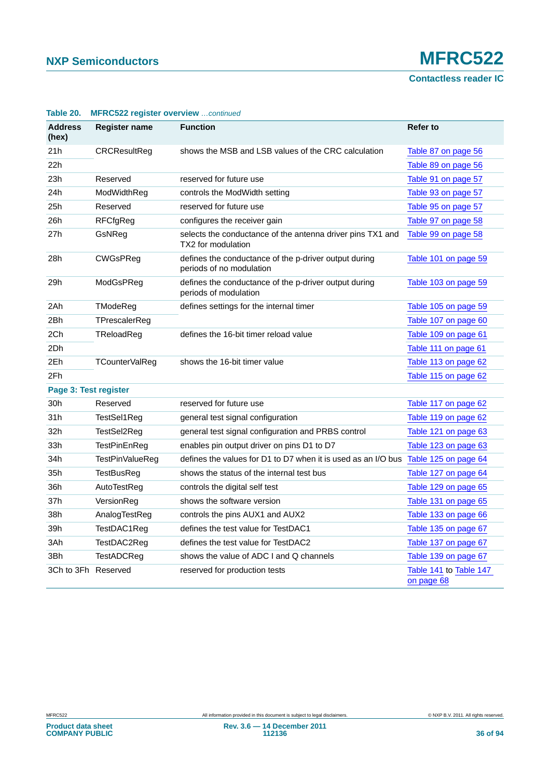**Contactless reader IC**

| <b>Address</b><br>(hex) | <b>Register name</b>  | <b>Function</b>                                                                   | <b>Refer to</b>                      |
|-------------------------|-----------------------|-----------------------------------------------------------------------------------|--------------------------------------|
| 21h                     | <b>CRCResultReg</b>   | shows the MSB and LSB values of the CRC calculation                               | Table 87 on page 56                  |
| 22h                     |                       |                                                                                   | Table 89 on page 56                  |
| 23h                     | Reserved              | reserved for future use                                                           | Table 91 on page 57                  |
| 24h                     | ModWidthReg           | controls the ModWidth setting                                                     | Table 93 on page 57                  |
| 25h                     | Reserved              | reserved for future use                                                           | Table 95 on page 57                  |
| 26h                     | <b>RFCfgReg</b>       | configures the receiver gain                                                      | Table 97 on page 58                  |
| 27h                     | GsNReg                | selects the conductance of the antenna driver pins TX1 and<br>TX2 for modulation  | Table 99 on page 58                  |
| 28h                     | CWGsPReg              | defines the conductance of the p-driver output during<br>periods of no modulation | Table 101 on page 59                 |
| 29h                     | ModGsPReg             | defines the conductance of the p-driver output during<br>periods of modulation    | Table 103 on page 59                 |
| 2Ah                     | TModeReg              | defines settings for the internal timer                                           | Table 105 on page 59                 |
| 2Bh                     | TPrescalerReg         |                                                                                   | Table 107 on page 60                 |
| 2Ch                     | TReloadReg            | defines the 16-bit timer reload value                                             | Table 109 on page 61                 |
| 2Dh                     |                       |                                                                                   | Table 111 on page 61                 |
| 2Eh                     | <b>TCounterValReg</b> | shows the 16-bit timer value                                                      | Table 113 on page 62                 |
| 2Fh                     |                       |                                                                                   | Table 115 on page 62                 |
| Page 3: Test register   |                       |                                                                                   |                                      |
| 30h                     | Reserved              | reserved for future use                                                           | Table 117 on page 62                 |
| 31h                     | TestSel1Reg           | general test signal configuration                                                 | Table 119 on page 62                 |
| 32h                     | TestSel2Reg           | general test signal configuration and PRBS control                                | Table 121 on page 63                 |
| 33h                     | TestPinEnReg          | enables pin output driver on pins D1 to D7                                        | Table 123 on page 63                 |
| 34h                     | TestPinValueReg       | defines the values for D1 to D7 when it is used as an I/O bus                     | Table 125 on page 64                 |
| 35h                     | TestBusReg            | shows the status of the internal test bus                                         | Table 127 on page 64                 |
| 36h                     | AutoTestReg           | controls the digital self test                                                    | Table 129 on page 65                 |
| 37h                     | VersionReg            | shows the software version                                                        | Table 131 on page 65                 |
| 38h                     | AnalogTestReg         | controls the pins AUX1 and AUX2                                                   | Table 133 on page 66                 |
| 39h                     | TestDAC1Reg           | defines the test value for TestDAC1                                               | Table 135 on page 67                 |
| 3Ah                     | TestDAC2Req           | defines the test value for TestDAC2                                               | Table 137 on page 67                 |
| 3Bh                     | TestADCReg            | shows the value of ADC I and Q channels                                           | Table 139 on page 67                 |
| 3Ch to 3Fh Reserved     |                       | reserved for production tests                                                     | Table 141 to Table 147<br>on page 68 |

### **Table 20. MFRC522 register overview** *…continued*

**Product data sheet COMPANY PUBLIC**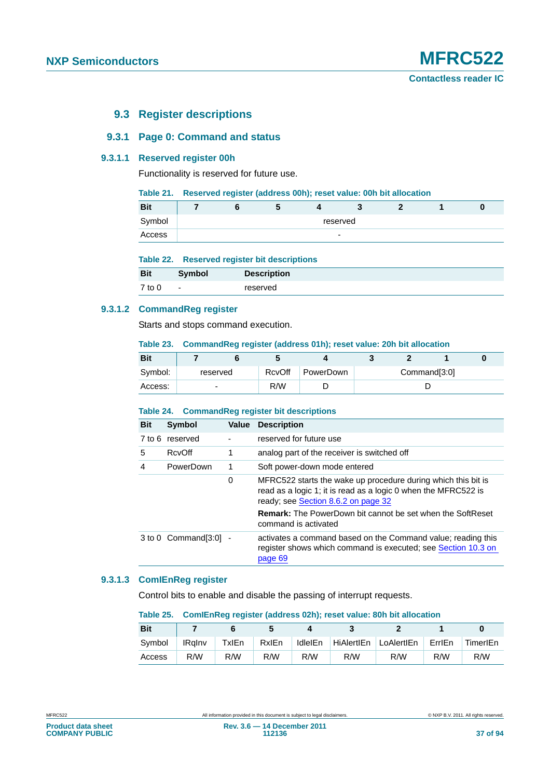# **9.3 Register descriptions**

# **9.3.1 Page 0: Command and status**

# **9.3.1.1 Reserved register 00h**

Functionality is reserved for future use.

#### **Table 21. Reserved register (address 00h); reset value: 00h bit allocation**

| <b>Bit</b> |  |  |                          |  |  |
|------------|--|--|--------------------------|--|--|
| Symbol     |  |  | reserved                 |  |  |
| Access     |  |  | $\overline{\phantom{0}}$ |  |  |

| Table 22. |  |  |  | <b>Reserved register bit descriptions</b> |  |
|-----------|--|--|--|-------------------------------------------|--|
|-----------|--|--|--|-------------------------------------------|--|

| <b>Bit</b> | <b>Symbol</b>            | <b>Description</b> |
|------------|--------------------------|--------------------|
| $7$ to $0$ | $\overline{\phantom{0}}$ | reserved           |

# **9.3.1.2 CommandReg register**

Starts and stops command execution.

#### **Table 23. CommandReg register (address 01h); reset value: 20h bit allocation**

| <b>Bit</b> |                          |        |           |  |              |  |
|------------|--------------------------|--------|-----------|--|--------------|--|
| Symbol:    | reserved                 | RcvOff | PowerDown |  | Command[3:0] |  |
| Access:    | $\overline{\phantom{0}}$ | R/W    |           |  |              |  |

# **Table 24. CommandReg register bit descriptions**

| <b>Bit</b> | Symbol                    | Value | <b>Description</b>                                                                                                                                                     |  |  |
|------------|---------------------------|-------|------------------------------------------------------------------------------------------------------------------------------------------------------------------------|--|--|
|            | 7 to 6 reserved           |       | reserved for future use                                                                                                                                                |  |  |
| 5          | <b>RcvOff</b>             |       | analog part of the receiver is switched off                                                                                                                            |  |  |
| 4          | PowerDown                 | 1     | Soft power-down mode entered                                                                                                                                           |  |  |
|            |                           | 0     | MFRC522 starts the wake up procedure during which this bit is<br>read as a logic 1; it is read as a logic 0 when the MFRC522 is<br>ready; see Section 8.6.2 on page 32 |  |  |
|            |                           |       | <b>Remark:</b> The PowerDown bit cannot be set when the SoftReset<br>command is activated                                                                              |  |  |
|            | $3$ to $0$ Command[3:0] - |       | activates a command based on the Command value; reading this<br>register shows which command is executed; see Section 10.3 on<br>page 69                               |  |  |

# **9.3.1.3 ComIEnReg register**

Control bits to enable and disable the passing of interrupt requests.

#### **Table 25. ComIEnReg register (address 02h); reset value: 80h bit allocation**

| <b>Bit</b> |               |       |              |         |                       |     |        |          |
|------------|---------------|-------|--------------|---------|-----------------------|-----|--------|----------|
| Symbol     | <b>IRalny</b> | TxIEn | <b>RxIEn</b> | IdleIEn | HiAlertIEn LoAlertIEn |     | ErrlEn | TimerIEn |
| Access     | R/W           | R/W   | R/W          | R/W     | R/W                   | R/W | R/W    | R/W      |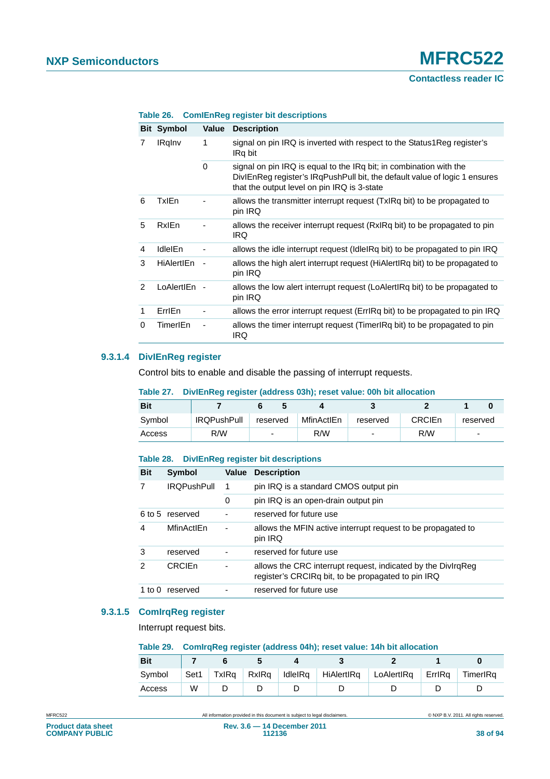# **Contactless reader IC**

|               | <b>Bit Symbol</b> | Value                    | <b>Description</b>                                                                                                                                                                              |
|---------------|-------------------|--------------------------|-------------------------------------------------------------------------------------------------------------------------------------------------------------------------------------------------|
| 7             | <b>IRgInv</b>     | 1                        | signal on pin IRQ is inverted with respect to the Status1Reg register's<br>IRq bit                                                                                                              |
|               |                   | 0                        | signal on pin IRQ is equal to the IRq bit; in combination with the<br>DivIEnReg register's IRgPushPull bit, the default value of logic 1 ensures<br>that the output level on pin IRQ is 3-state |
| 6             | <b>TxIEn</b>      |                          | allows the transmitter interrupt request (TxIRq bit) to be propagated to<br>pin IRQ                                                                                                             |
| 5             | RxlEn             |                          | allows the receiver interrupt request (RxIRq bit) to be propagated to pin<br><b>IRQ</b>                                                                                                         |
| 4             | IdleIEn           |                          | allows the idle interrupt request (Idle Rq bit) to be propagated to pin IRQ                                                                                                                     |
| 3             | <b>HiAlertIEn</b> |                          | allows the high alert interrupt request (HiAlertIRq bit) to be propagated to<br>pin IRQ                                                                                                         |
| $\mathcal{P}$ | LoAlertIEn        | $\overline{\phantom{a}}$ | allows the low alert interrupt request (LoAlertIRq bit) to be propagated to<br>pin IRQ                                                                                                          |
| 1             | ErrlEn            | $\overline{\phantom{a}}$ | allows the error interrupt request (ErrlRq bit) to be propagated to pin IRQ                                                                                                                     |
| 0             | TimerIEn          |                          | allows the timer interrupt request (TimerlRq bit) to be propagated to pin<br>IRQ                                                                                                                |

#### **Table 26. ComIEnReg register bit descriptions**

# **9.3.1.4 DivIEnReg register**

Control bits to enable and disable the passing of interrupt requests.

#### **Table 27. DivIEnReg register (address 03h); reset value: 00h bit allocation**

| <b>Bit</b> |                    |                          |            |                          |        |                          |
|------------|--------------------|--------------------------|------------|--------------------------|--------|--------------------------|
| Symbol     | <b>IRQPushPull</b> | reserved                 | MfinActIEn | reserved                 | CRCIEn | reserved                 |
| Access     | R/W                | $\overline{\phantom{0}}$ | R/W        | $\overline{\phantom{0}}$ | R/W    | $\overline{\phantom{a}}$ |

#### **Table 28. DivIEnReg register bit descriptions**

| <b>Bit</b> | Symbol             | Value                    | <b>Description</b>                                                                                                 |
|------------|--------------------|--------------------------|--------------------------------------------------------------------------------------------------------------------|
|            | <b>IROPushPull</b> | 1                        | pin IRQ is a standard CMOS output pin                                                                              |
|            |                    | 0                        | pin IRQ is an open-drain output pin                                                                                |
|            | 6 to 5 reserved    |                          | reserved for future use                                                                                            |
| 4          | MfinActIEn         | $\overline{\phantom{a}}$ | allows the MFIN active interrupt request to be propagated to<br>pin IRQ                                            |
| 3          | reserved           |                          | reserved for future use                                                                                            |
| 2          | CRCIEn             | -                        | allows the CRC interrupt request, indicated by the DivirgReg<br>register's CRCIRq bit, to be propagated to pin IRQ |
| 1 to 0     | reserved           |                          | reserved for future use                                                                                            |

# **9.3.1.5 ComIrqReg register**

Interrupt request bits.

#### **Table 29. ComIrqReg register (address 04h); reset value: 14h bit allocation**

| <b>Bit</b> |      |       |  |                                           |          |          |
|------------|------|-------|--|-------------------------------------------|----------|----------|
| Symbol     | Set1 | TxIRa |  | RxIRq   IdleIRq   HiAlertIRq   LoAlertIRq | ∣ ErrlRa | TimerIRa |
| Access     | W    |       |  |                                           |          |          |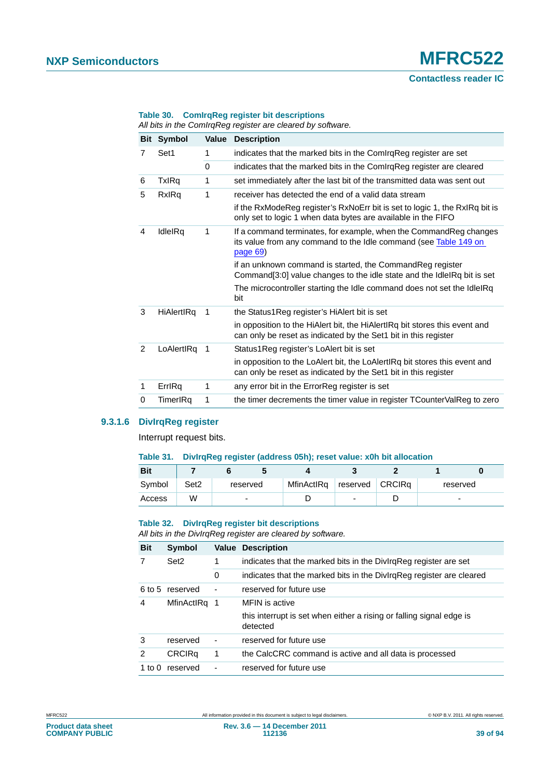#### **Table 30. ComIrqReg register bit descriptions**

*All bits in the ComIrqReg register are cleared by software.*

|                |                   |                          | nii pilo in tho Oomingi log rogiolor dro olodrod by collinaro.                                                                                      |
|----------------|-------------------|--------------------------|-----------------------------------------------------------------------------------------------------------------------------------------------------|
|                | <b>Bit Symbol</b> | Value                    | <b>Description</b>                                                                                                                                  |
| 7              | Set1              | 1                        | indicates that the marked bits in the ComirgReg register are set                                                                                    |
|                |                   | $\Omega$                 | indicates that the marked bits in the ComirgReg register are cleared                                                                                |
| 6              | <b>TxIRq</b>      | 1                        | set immediately after the last bit of the transmitted data was sent out                                                                             |
| 5              | RxIRq             | 1                        | receiver has detected the end of a valid data stream                                                                                                |
|                |                   |                          | if the RxModeReg register's RxNoErr bit is set to logic 1, the RxIRq bit is<br>only set to logic 1 when data bytes are available in the FIFO        |
| 4              | IdleIRq           | 1                        | If a command terminates, for example, when the Command Reg changes<br>its value from any command to the Idle command (see Table 149 on<br>page $69$ |
|                |                   |                          | if an unknown command is started, the CommandReg register<br>Command[3:0] value changes to the idle state and the IdleIRq bit is set                |
|                |                   |                          | The microcontroller starting the Idle command does not set the IdleIRq<br>bit                                                                       |
| 3              | HiAlertIRq        | $\overline{\phantom{1}}$ | the Status1Reg register's HiAlert bit is set                                                                                                        |
|                |                   |                          | in opposition to the HiAlert bit, the HiAlertIRq bit stores this event and<br>can only be reset as indicated by the Set1 bit in this register       |
| $\mathfrak{p}$ | LoAlertIRq 1      |                          | Status1Reg register's LoAlert bit is set                                                                                                            |
|                |                   |                          | in opposition to the LoAlert bit, the LoAlertIRq bit stores this event and<br>can only be reset as indicated by the Set1 bit in this register       |
| 1              | ErrlRq            | 1                        | any error bit in the ErrorReg register is set                                                                                                       |
| 0              | TimerIRq          | 1                        | the timer decrements the timer value in register TCounterValReg to zero                                                                             |

# **9.3.1.6 DivIrqReg register**

Interrupt request bits.

#### **Table 31. DivIrqReg register (address 05h); reset value: x0h bit allocation**

| <b>Bit</b> |                  |          |            |                   |          |  |
|------------|------------------|----------|------------|-------------------|----------|--|
| Symbol     | Set <sub>2</sub> | reserved | MfinActIRq | reserved   CRCIRq | reserved |  |
| Access     | W                |          |            | -                 | -        |  |

#### **Table 32. DivIrqReg register bit descriptions**

*All bits in the DivIrqReg register are cleared by software.*

| <b>Bit</b>        | <b>Symbol</b>    |                          | <b>Value Description</b>                                                         |
|-------------------|------------------|--------------------------|----------------------------------------------------------------------------------|
|                   | Set <sub>2</sub> | 1                        | indicates that the marked bits in the Divirg Reg register are set                |
|                   | reserved         |                          | indicates that the marked bits in the DivIrgReg register are cleared             |
| 6 to 5            |                  |                          | reserved for future use                                                          |
| 4<br>MfinActIRq 1 |                  |                          | MFIN is active                                                                   |
|                   |                  |                          | this interrupt is set when either a rising or falling signal edge is<br>detected |
| 3                 | reserved         | $\overline{\phantom{0}}$ | reserved for future use                                                          |
| 2                 | <b>CRCIRq</b>    | 1                        | the CalcCRC command is active and all data is processed                          |
| 1 to 0            | reserved         |                          | reserved for future use                                                          |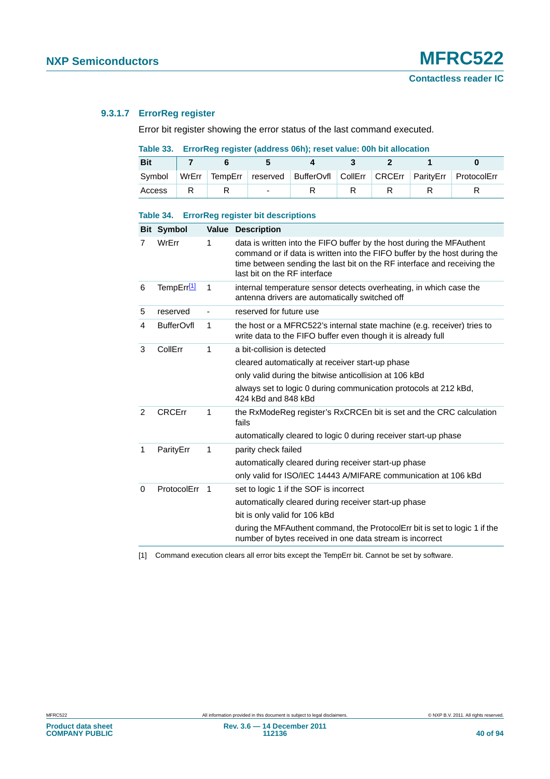# **9.3.1.7 ErrorReg register**

Error bit register showing the error status of the last command executed.

**Table 33. ErrorReg register (address 06h); reset value: 00h bit allocation**

| <b>Bit</b> |  |                          |  |  |                                                                        |
|------------|--|--------------------------|--|--|------------------------------------------------------------------------|
| Symbol     |  |                          |  |  | WrErr TempErr reserved BufferOvfl CollErr CRCErr ParityErr ProtocolErr |
| Access     |  | $\overline{\phantom{0}}$ |  |  |                                                                        |

# **Table 34. ErrorReg register bit descriptions**

|   | <b>Bit Symbol</b> |                          | <b>Value Description</b>                                                                                                                                                                                                                                      |
|---|-------------------|--------------------------|---------------------------------------------------------------------------------------------------------------------------------------------------------------------------------------------------------------------------------------------------------------|
|   | WrErr             | 1                        | data is written into the FIFO buffer by the host during the MFAuthent<br>command or if data is written into the FIFO buffer by the host during the<br>time between sending the last bit on the RF interface and receiving the<br>last bit on the RF interface |
| 6 | TempErr[1]        | 1                        | internal temperature sensor detects overheating, in which case the<br>antenna drivers are automatically switched off                                                                                                                                          |
| 5 | reserved          |                          | reserved for future use                                                                                                                                                                                                                                       |
| 4 | <b>BufferOvfl</b> | 1                        | the host or a MFRC522's internal state machine (e.g. receiver) tries to<br>write data to the FIFO buffer even though it is already full                                                                                                                       |
| 3 | CollErr           | 1                        | a bit-collision is detected                                                                                                                                                                                                                                   |
|   |                   |                          | cleared automatically at receiver start-up phase                                                                                                                                                                                                              |
|   |                   |                          | only valid during the bitwise anticollision at 106 kBd                                                                                                                                                                                                        |
|   |                   |                          | always set to logic 0 during communication protocols at 212 kBd,<br>424 kBd and 848 kBd                                                                                                                                                                       |
| 2 | <b>CRCErr</b>     | 1                        | the RxModeReg register's RxCRCEn bit is set and the CRC calculation<br>fails                                                                                                                                                                                  |
|   |                   |                          | automatically cleared to logic 0 during receiver start-up phase                                                                                                                                                                                               |
| 1 | ParityErr         | 1                        | parity check failed                                                                                                                                                                                                                                           |
|   |                   |                          | automatically cleared during receiver start-up phase                                                                                                                                                                                                          |
|   |                   |                          | only valid for ISO/IEC 14443 A/MIFARE communication at 106 kBd                                                                                                                                                                                                |
| 0 | ProtocolErr       | $\overline{\phantom{1}}$ | set to logic 1 if the SOF is incorrect                                                                                                                                                                                                                        |
|   |                   |                          | automatically cleared during receiver start-up phase                                                                                                                                                                                                          |
|   |                   |                          | bit is only valid for 106 kBd                                                                                                                                                                                                                                 |
|   |                   |                          | during the MFAuthent command, the ProtocolErr bit is set to logic 1 if the<br>number of bytes received in one data stream is incorrect                                                                                                                        |

<span id="page-39-0"></span>[1] Command execution clears all error bits except the TempErr bit. Cannot be set by software.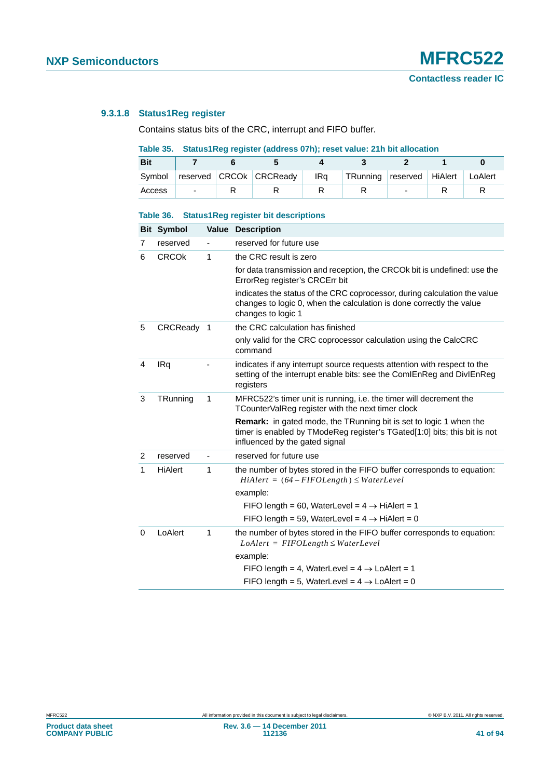# <span id="page-40-0"></span>**9.3.1.8 Status1Reg register**

Contains status bits of the CRC, interrupt and FIFO buffer.

# **Table 35. Status1Reg register (address 07h); reset value: 21h bit allocation**

| <b>Bit</b> |                          |                         |     |                                     |  |  |
|------------|--------------------------|-------------------------|-----|-------------------------------------|--|--|
| Symbol     |                          | reserved CRCOk CRCReady | IRa | TRunning reserved HiAlert   LoAlert |  |  |
| Access     | $\overline{\phantom{0}}$ |                         |     |                                     |  |  |

#### **Table 36. Status1Reg register bit descriptions**

|                | <b>Bit Symbol</b> |   | <b>Value Description</b>                                                                                                                                                                 |
|----------------|-------------------|---|------------------------------------------------------------------------------------------------------------------------------------------------------------------------------------------|
| 7              | reserved          |   | reserved for future use                                                                                                                                                                  |
| 6              | <b>CRCOK</b>      | 1 | the CRC result is zero                                                                                                                                                                   |
|                |                   |   | for data transmission and reception, the CRCO k bit is undefined: use the<br>ErrorReg register's CRCErr bit                                                                              |
|                |                   |   | indicates the status of the CRC coprocessor, during calculation the value<br>changes to logic 0, when the calculation is done correctly the value<br>changes to logic 1                  |
| 5              | CRCReady 1        |   | the CRC calculation has finished                                                                                                                                                         |
|                |                   |   | only valid for the CRC coprocessor calculation using the CalcCRC<br>command                                                                                                              |
| 4              | IRq               |   | indicates if any interrupt source requests attention with respect to the<br>setting of the interrupt enable bits: see the ComIEnReg and DivIEnReg<br>registers                           |
| 3              | TRunning          | 1 | MFRC522's timer unit is running, i.e. the timer will decrement the<br>TCounterValReg register with the next timer clock                                                                  |
|                |                   |   | <b>Remark:</b> in gated mode, the TRunning bit is set to logic 1 when the<br>timer is enabled by TModeReg register's TGated[1:0] bits; this bit is not<br>influenced by the gated signal |
| $\overline{2}$ | reserved          |   | reserved for future use                                                                                                                                                                  |
| 1              | <b>HiAlert</b>    | 1 | the number of bytes stored in the FIFO buffer corresponds to equation:<br>$H\in (64 - FIFOLength) \le WaterLevel$                                                                        |
|                |                   |   | example:                                                                                                                                                                                 |
|                |                   |   | FIFO length = 60, WaterLevel = $4 \rightarrow H$ HiAlert = 1                                                                                                                             |
|                |                   |   | FIFO length = 59, WaterLevel = $4 \rightarrow H$ HiAlert = 0                                                                                                                             |
| 0              | LoAlert           | 1 | the number of bytes stored in the FIFO buffer corresponds to equation:<br>$LoAlert = FIFOLength \le WaterLevel$                                                                          |
|                |                   |   | example:                                                                                                                                                                                 |
|                |                   |   | FIFO length = 4, WaterLevel = $4 \rightarrow$ LoAlert = 1                                                                                                                                |
|                |                   |   | FIFO length = 5, WaterLevel = $4 \rightarrow$ LoAlert = 0                                                                                                                                |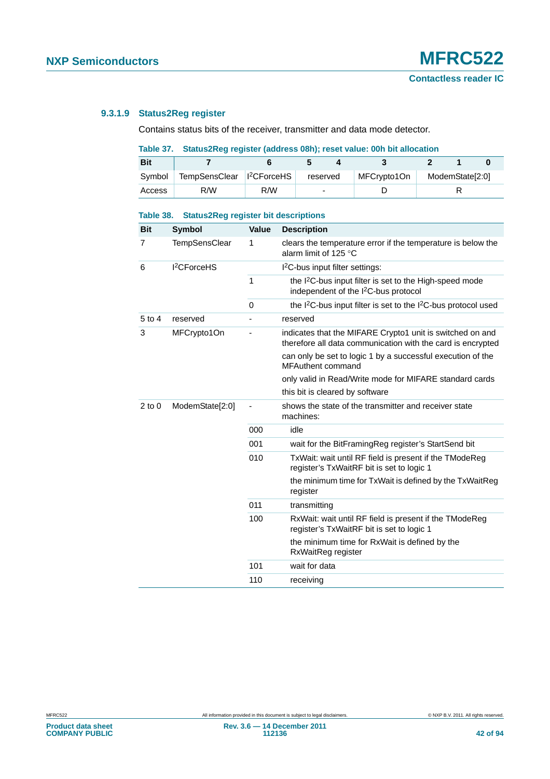# **9.3.1.9 Status2Reg register**

Contains status bits of the receiver, transmitter and data mode detector.

# **Table 37. Status2Reg register (address 08h); reset value: 00h bit allocation**

| <b>Bit</b> |                             |     |                          |             |                 |  |
|------------|-----------------------------|-----|--------------------------|-------------|-----------------|--|
| Symbol     | TempSensClear     2CForceHS |     | reserved                 | MFCrvpto1On | ModemState[2:0] |  |
| Access     | R/W                         | R/W | $\overline{\phantom{0}}$ |             |                 |  |

| <b>Bit</b>                    | Symbol                  | <b>Value</b> | <b>Description</b>                                                                                                       |
|-------------------------------|-------------------------|--------------|--------------------------------------------------------------------------------------------------------------------------|
| $\overline{7}$                | <b>TempSensClear</b>    | 1            | clears the temperature error if the temperature is below the<br>alarm limit of 125 °C                                    |
| 6                             | I <sup>2</sup> CForceHS |              | I <sup>2</sup> C-bus input filter settings:                                                                              |
|                               |                         | 1            | the I <sup>2</sup> C-bus input filter is set to the High-speed mode<br>independent of the I <sup>2</sup> C-bus protocol  |
|                               |                         | $\Omega$     | the I <sup>2</sup> C-bus input filter is set to the I <sup>2</sup> C-bus protocol used                                   |
| $5$ to $4$                    | reserved                |              | reserved                                                                                                                 |
| 3                             | MFCrypto1On             |              | indicates that the MIFARE Crypto1 unit is switched on and<br>therefore all data communication with the card is encrypted |
|                               |                         |              | can only be set to logic 1 by a successful execution of the<br><b>MFAuthent command</b>                                  |
|                               |                         |              | only valid in Read/Write mode for MIFARE standard cards                                                                  |
|                               |                         |              | this bit is cleared by software                                                                                          |
| $2$ to $0$<br>ModemState[2:0] |                         |              | shows the state of the transmitter and receiver state<br>machines:                                                       |
|                               |                         | 000          | idle                                                                                                                     |
|                               |                         | 001          | wait for the BitFramingReg register's StartSend bit                                                                      |
|                               |                         | 010          | TxWait: wait until RF field is present if the TModeReg<br>register's TxWaitRF bit is set to logic 1                      |
|                               |                         |              | the minimum time for TxWait is defined by the TxWaitReg<br>register                                                      |
|                               |                         | 011          | transmitting                                                                                                             |
|                               |                         | 100          | RxWait: wait until RF field is present if the TModeReg<br>register's TxWaitRF bit is set to logic 1                      |
|                               |                         |              | the minimum time for RxWait is defined by the<br>RxWaitReg register                                                      |
|                               |                         | 101          | wait for data                                                                                                            |
|                               |                         | 110          | receiving                                                                                                                |

#### **Table 38. Status2Reg register bit descriptions**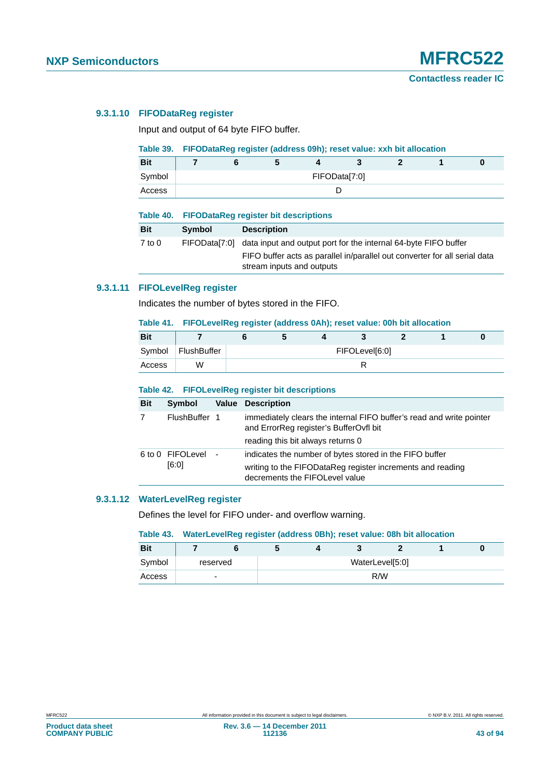# **9.3.1.10 FIFODataReg register**

Input and output of 64 byte FIFO buffer.

#### **Table 39. FIFODataReg register (address 09h); reset value: xxh bit allocation**

| <b>Bit</b> |  |  |               |  |  |
|------------|--|--|---------------|--|--|
| Symbol     |  |  | FIFOData[7:0] |  |  |
| Access     |  |  |               |  |  |

|            | Table 40. FIFODataReg register bit descriptions |                                                                                                                                                                                                      |  |  |  |  |
|------------|-------------------------------------------------|------------------------------------------------------------------------------------------------------------------------------------------------------------------------------------------------------|--|--|--|--|
| Bit        | Symbol                                          | <b>Description</b>                                                                                                                                                                                   |  |  |  |  |
| $7$ to $0$ |                                                 | FIFOData <sup>[7:0]</sup> data input and output port for the internal 64-byte FIFO buffer<br>FIFO buffer acts as parallel in/parallel out converter for all serial data<br>stream inputs and outputs |  |  |  |  |

# **9.3.1.11 FIFOLevelReg register**

Indicates the number of bytes stored in the FIFO.

# **Table 41. FIFOLevelReg register (address 0Ah); reset value: 00h bit allocation**

| <b>Bit</b> |             |  |                |  |  |
|------------|-------------|--|----------------|--|--|
| Symbol     | FlushBuffer |  | FIFOLevel[6:0] |  |  |
| Access     | W           |  |                |  |  |

#### **Table 42. FIFOLevelReg register bit descriptions**

| <b>Bit</b> | Symbol                      | <b>Value Description</b>                                                                                                                                |
|------------|-----------------------------|---------------------------------------------------------------------------------------------------------------------------------------------------------|
| 7          | FlushBuffer 1               | immediately clears the internal FIFO buffer's read and write pointer<br>and ErrorReg register's BufferOvfl bit<br>reading this bit always returns 0     |
|            | 6 to 0 FIFOLevel -<br>[6:0] | indicates the number of bytes stored in the FIFO buffer<br>writing to the FIFODataReg register increments and reading<br>decrements the FIFOLevel value |

#### **9.3.1.12 WaterLevelReg register**

Defines the level for FIFO under- and overflow warning.

#### **Table 43. WaterLevelReg register (address 0Bh); reset value: 08h bit allocation**

| <b>Bit</b> |          | $\overline{\phantom{a}}$ |  |                 |  |
|------------|----------|--------------------------|--|-----------------|--|
| Symbol     | reserved |                          |  | WaterLevel[5:0] |  |
| Access     | -        |                          |  | R/W             |  |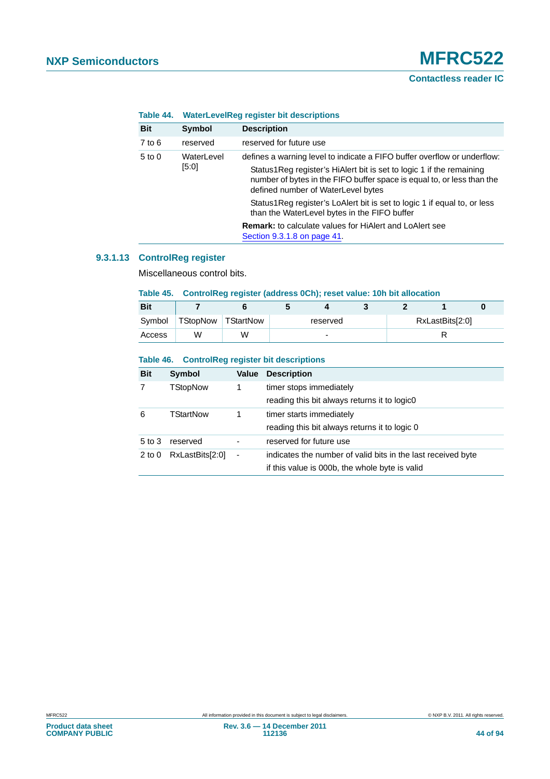| TADI <del>C</del> 44. |            | <b>Trade Level Register bit descriptions</b>                                                                                                                                         |  |  |  |  |  |
|-----------------------|------------|--------------------------------------------------------------------------------------------------------------------------------------------------------------------------------------|--|--|--|--|--|
| <b>Bit</b>            | Symbol     | <b>Description</b>                                                                                                                                                                   |  |  |  |  |  |
| $7$ to $6$            | reserved   | reserved for future use                                                                                                                                                              |  |  |  |  |  |
| $5$ to $0$            | WaterLevel | defines a warning level to indicate a FIFO buffer overflow or underflow:                                                                                                             |  |  |  |  |  |
|                       | [5:0]      | Status1Reg register's HiAlert bit is set to logic 1 if the remaining<br>number of bytes in the FIFO buffer space is equal to, or less than the<br>defined number of WaterLevel bytes |  |  |  |  |  |
|                       |            | Status 1 Reg register's LoAlert bit is set to logic 1 if equal to, or less<br>than the WaterLevel bytes in the FIFO buffer                                                           |  |  |  |  |  |
|                       |            | <b>Remark:</b> to calculate values for HiAlert and LoAlert see<br>Section 9.3.1.8 on page 41.                                                                                        |  |  |  |  |  |

# **Table 44. WaterLevelReg register bit descriptions**

# **9.3.1.13 ControlReg register**

Miscellaneous control bits.

#### **Table 45. ControlReg register (address 0Ch); reset value: 10h bit allocation**

| <b>Bit</b> |                    |   |          |                          |  |                 |  |
|------------|--------------------|---|----------|--------------------------|--|-----------------|--|
| Symbol     | TStopNow TStartNow |   | reserved |                          |  | RxLastBits[2:0] |  |
| Access     | W                  | w |          | $\overline{\phantom{0}}$ |  |                 |  |

#### **Table 46. ControlReg register bit descriptions**

| <b>Bit</b> | Symbol           | Value | <b>Description</b>                                           |
|------------|------------------|-------|--------------------------------------------------------------|
| 7          | TStopNow         | 1     | timer stops immediately                                      |
|            |                  |       | reading this bit always returns it to logic0                 |
| 6          | <b>TStartNow</b> | 1     | timer starts immediately                                     |
|            |                  |       | reading this bit always returns it to logic 0                |
| $5$ to $3$ | reserved         | -     | reserved for future use                                      |
| $2$ to $0$ | RxLastBits[2:0]  | ٠     | indicates the number of valid bits in the last received byte |
|            |                  |       | if this value is 000b, the whole byte is valid               |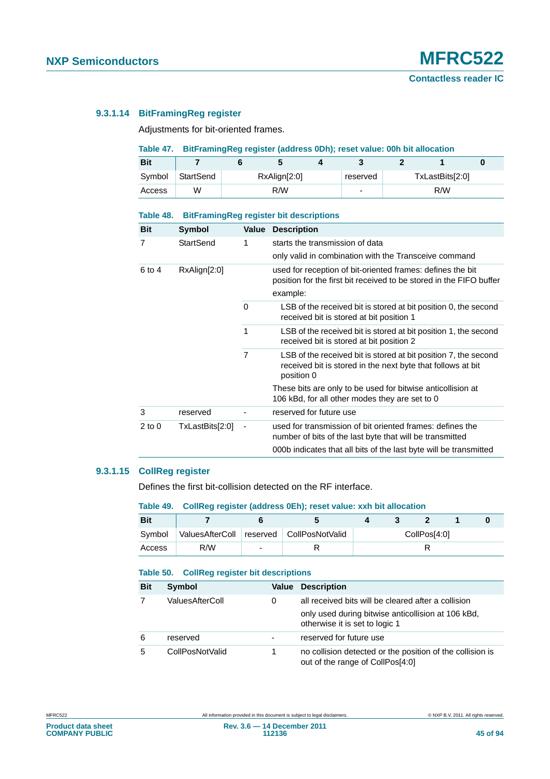# **9.3.1.14 BitFramingReg register**

Adjustments for bit-oriented frames.

### **Table 47. BitFramingReg register (address 0Dh); reset value: 00h bit allocation**

| <b>Bit</b> |           |              |                          |                 |     |  |  |
|------------|-----------|--------------|--------------------------|-----------------|-----|--|--|
| Symbol     | StartSend | RxAlign[2:0] | reserved                 | TxLastBits[2:0] |     |  |  |
| Access     | W         | R/W          | $\overline{\phantom{0}}$ |                 | R/W |  |  |

#### **Table 48. BitFramingReg register bit descriptions**

| <b>Bit</b> | <b>Symbol</b>    |                          | <b>Value Description</b>                                                                                                                     |
|------------|------------------|--------------------------|----------------------------------------------------------------------------------------------------------------------------------------------|
| 7          | <b>StartSend</b> | 1                        | starts the transmission of data                                                                                                              |
|            |                  |                          | only valid in combination with the Transceive command                                                                                        |
| 6 to 4     | RxAlign[2:0]     |                          | used for reception of bit-oriented frames: defines the bit<br>position for the first bit received to be stored in the FIFO buffer            |
|            |                  |                          | example:                                                                                                                                     |
|            |                  | 0                        | LSB of the received bit is stored at bit position 0, the second<br>received bit is stored at bit position 1                                  |
|            |                  | 1                        | LSB of the received bit is stored at bit position 1, the second<br>received bit is stored at bit position 2                                  |
|            |                  | $\overline{7}$           | LSB of the received bit is stored at bit position 7, the second<br>received bit is stored in the next byte that follows at bit<br>position 0 |
|            |                  |                          | These bits are only to be used for bitwise anticollision at<br>106 kBd, for all other modes they are set to 0                                |
| 3          | reserved         |                          | reserved for future use                                                                                                                      |
| $2$ to $0$ | TxLastBits[2:0]  | $\overline{\phantom{a}}$ | used for transmission of bit oriented frames: defines the<br>number of bits of the last byte that will be transmitted                        |
|            |                  |                          | 000b indicates that all bits of the last byte will be transmitted                                                                            |

# **9.3.1.15 CollReg register**

Defines the first bit-collision detected on the RF interface.

#### **Table 49. CollReg register (address 0Eh); reset value: xxh bit allocation**

| <b>Bit</b> |     |   |                                          |  |              |  |
|------------|-----|---|------------------------------------------|--|--------------|--|
| Symbol     |     |   | ValuesAfterColl reserved CollPosNotValid |  | CollPos[4:0] |  |
| Access     | R/W | ۰ |                                          |  |              |  |

# **Table 50. CollReg register bit descriptions**

| <b>Bit</b> | <b>Symbol</b>   | Value                    | <b>Description</b>                                                                            |  |  |  |  |  |
|------------|-----------------|--------------------------|-----------------------------------------------------------------------------------------------|--|--|--|--|--|
|            | ValuesAfterColl | 0                        | all received bits will be cleared after a collision                                           |  |  |  |  |  |
|            |                 |                          | only used during bitwise anticollision at 106 kBd,<br>otherwise it is set to logic 1          |  |  |  |  |  |
| 6          | reserved        | $\overline{\phantom{0}}$ | reserved for future use                                                                       |  |  |  |  |  |
| 5          | CollPosNotValid |                          | no collision detected or the position of the collision is<br>out of the range of CollPos[4:0] |  |  |  |  |  |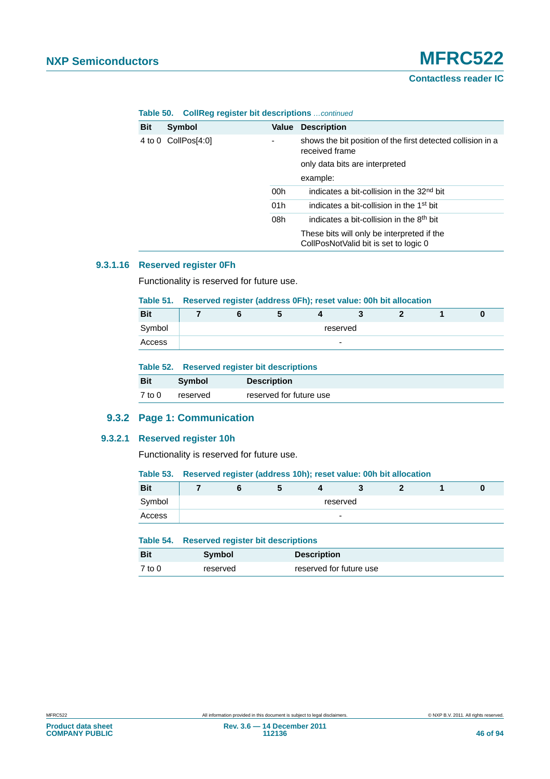| <b>Bit</b> | Symbol              | Value                    | <b>Description</b>                                                                  |
|------------|---------------------|--------------------------|-------------------------------------------------------------------------------------|
|            | 4 to 0 CollPos[4:0] | $\overline{\phantom{0}}$ | shows the bit position of the first detected collision in a<br>received frame       |
|            |                     |                          | only data bits are interpreted                                                      |
|            |                     |                          | example:                                                                            |
|            |                     | 00h                      | indicates a bit-collision in the 32 <sup>nd</sup> bit                               |
|            |                     | 01h                      | indicates a bit-collision in the 1 <sup>st</sup> bit                                |
|            |                     | 08h                      | indicates a bit-collision in the 8 <sup>th</sup> bit                                |
|            |                     |                          | These bits will only be interpreted if the<br>CollPosNotValid bit is set to logic 0 |

# **Table 50. CollReg register bit descriptions** *…continued*

# **9.3.1.16 Reserved register 0Fh**

Functionality is reserved for future use.

#### **Table 51. Reserved register (address 0Fh); reset value: 00h bit allocation**

| <b>Bit</b> |  | w |                          |  |  |
|------------|--|---|--------------------------|--|--|
| Symbol     |  |   | reserved                 |  |  |
| Access     |  |   | $\overline{\phantom{a}}$ |  |  |

#### **Table 52. Reserved register bit descriptions**

| <b>Bit</b> | Symbol   | <b>Description</b>      |
|------------|----------|-------------------------|
| 7 to 0     | reserved | reserved for future use |

# **9.3.2 Page 1: Communication**

#### **9.3.2.1 Reserved register 10h**

Functionality is reserved for future use.

| <b>Bit</b> |          |  |  |  |   |  |  |  |  |
|------------|----------|--|--|--|---|--|--|--|--|
| Symbol     | reserved |  |  |  |   |  |  |  |  |
| Access     |          |  |  |  | - |  |  |  |  |

|            | Table 54. Reserved register bit descriptions |                         |  |  |  |  |
|------------|----------------------------------------------|-------------------------|--|--|--|--|
| <b>Bit</b> | <b>Symbol</b>                                | <b>Description</b>      |  |  |  |  |
| $7$ to $0$ | reserved                                     | reserved for future use |  |  |  |  |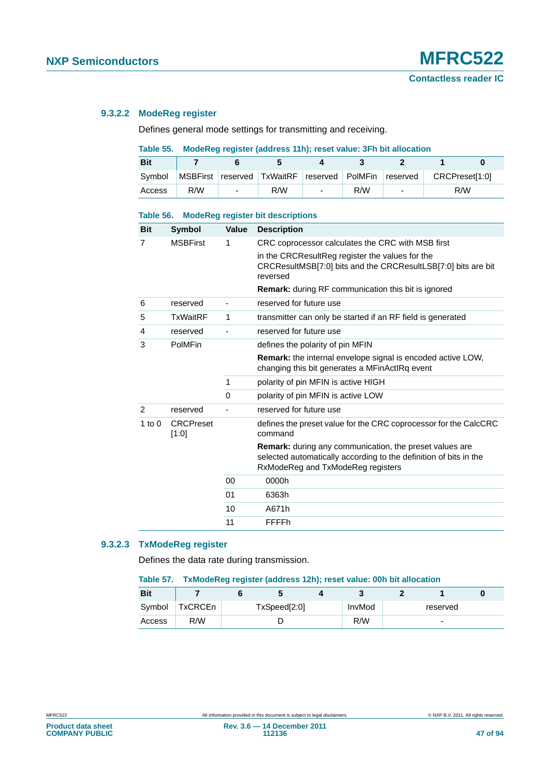# **Contactless reader IC**

# **9.3.2.2 ModeReg register**

Defines general mode settings for transmitting and receiving.

# **Table 55. ModeReg register (address 11h); reset value: 3Fh bit allocation**

| <b>Bit</b> |     |                          |                                             |                          |     |                          |                |  |
|------------|-----|--------------------------|---------------------------------------------|--------------------------|-----|--------------------------|----------------|--|
| Symbol     |     |                          | MSBFirst reserved TxWaitRF reserved PolMFin |                          |     | reserved                 | CRCPreset[1:0] |  |
| Access     | R/W | $\overline{\phantom{0}}$ | R/W                                         | $\overline{\phantom{0}}$ | R/W | $\overline{\phantom{0}}$ | R/W            |  |

# **Table 56. ModeReg register bit descriptions Bit Symbol Value Description**

| Bit      | Symbol                    | Value    | <b>Description</b>                                                                                                                                                                                                                              |
|----------|---------------------------|----------|-------------------------------------------------------------------------------------------------------------------------------------------------------------------------------------------------------------------------------------------------|
| 7        | <b>MSBFirst</b>           | 1        | CRC coprocessor calculates the CRC with MSB first<br>in the CRCResultReg register the values for the<br>CRCResultMSB[7:0] bits and the CRCResultLSB[7:0] bits are bit<br>reversed<br><b>Remark:</b> during RF communication this bit is ignored |
| 6        | reserved                  |          | reserved for future use                                                                                                                                                                                                                         |
| 5        | <b>TxWaitRF</b>           | 1        | transmitter can only be started if an RF field is generated                                                                                                                                                                                     |
| 4        | reserved                  |          | reserved for future use                                                                                                                                                                                                                         |
| 3        | PolMFin                   |          | defines the polarity of pin MFIN                                                                                                                                                                                                                |
|          |                           |          | <b>Remark:</b> the internal envelope signal is encoded active LOW,<br>changing this bit generates a MFinActIRq event                                                                                                                            |
|          |                           | 1        | polarity of pin MFIN is active HIGH                                                                                                                                                                                                             |
|          |                           | $\Omega$ | polarity of pin MFIN is active LOW                                                                                                                                                                                                              |
| 2        | reserved                  |          | reserved for future use                                                                                                                                                                                                                         |
| 1 to $0$ | <b>CRCPreset</b><br>[1:0] |          | defines the preset value for the CRC coprocessor for the CalcCRC<br>command                                                                                                                                                                     |
|          |                           |          | <b>Remark:</b> during any communication, the preset values are<br>selected automatically according to the definition of bits in the<br>RxModeReg and TxModeReg registers                                                                        |
|          |                           | 00       | 0000h                                                                                                                                                                                                                                           |
|          |                           | 01       | 6363h                                                                                                                                                                                                                                           |
|          |                           | 10       | A671h                                                                                                                                                                                                                                           |
|          |                           | 11       | FFFFh                                                                                                                                                                                                                                           |

# **9.3.2.3 TxModeReg register**

Defines the data rate during transmission.

#### **Table 57. TxModeReg register (address 12h); reset value: 00h bit allocation**

| <b>Bit</b> |         |              |  |  |        |          |                          |  |
|------------|---------|--------------|--|--|--------|----------|--------------------------|--|
| Symbol     | TxCRCEn | TxSpeed[2:0] |  |  | InvMod | reserved |                          |  |
| Access     | R/W     |              |  |  | R/W    |          | $\overline{\phantom{0}}$ |  |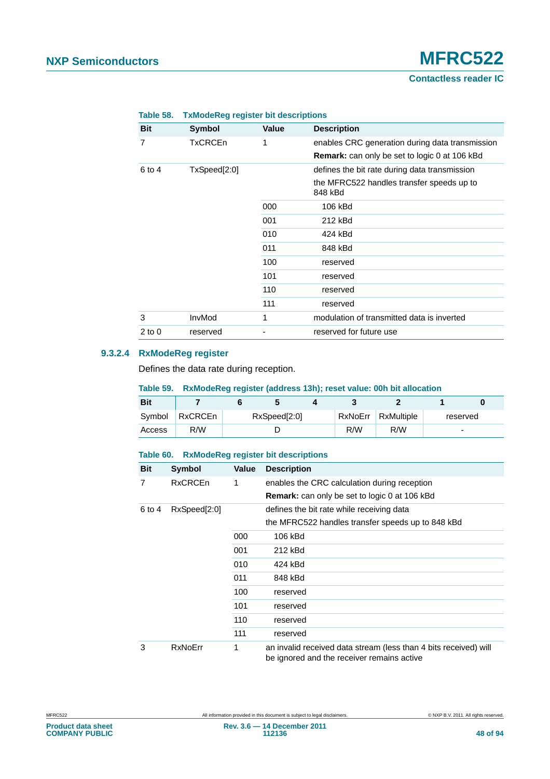**Contactless reader IC**

| <b>Bit</b> | Symbol         | <b>Value</b> | <b>Description</b>                                   |
|------------|----------------|--------------|------------------------------------------------------|
| 7          | <b>TxCRCEn</b> | 1            | enables CRC generation during data transmission      |
|            |                |              | <b>Remark:</b> can only be set to logic 0 at 106 kBd |
| 6 to 4     | TxSpeed[2:0]   |              | defines the bit rate during data transmission        |
|            |                |              | the MFRC522 handles transfer speeds up to<br>848 kBd |
|            |                | 000          | 106 kBd                                              |
|            |                | 001          | 212 kBd                                              |
|            |                | 010          | 424 kBd                                              |
|            |                | 011          | 848 kBd                                              |
|            |                | 100          | reserved                                             |
|            |                | 101          | reserved                                             |
|            |                | 110          | reserved                                             |
|            |                | 111          | reserved                                             |
| 3          | InvMod         | 1            | modulation of transmitted data is inverted           |
| $2$ to $0$ | reserved       |              | reserved for future use                              |

#### **Table 58. TxModeReg register bit descriptions**

# **9.3.2.4 RxModeReg register**

Defines the data rate during reception.

#### **Table 59. RxModeReg register (address 13h); reset value: 00h bit allocation**

| <b>Bit</b> |                |              |  |  |  |                    |          |
|------------|----------------|--------------|--|--|--|--------------------|----------|
| Symbol     | <b>RxCRCEn</b> | RxSpeed[2:0] |  |  |  | RxNoErr RxMultiple | reserved |
| Access     | R/W            |              |  |  |  | R/W                | -        |

#### **Table 60. RxModeReg register bit descriptions**

| <b>Bit</b> | <b>Symbol</b>  | Value | <b>Description</b>                                                                                             |
|------------|----------------|-------|----------------------------------------------------------------------------------------------------------------|
| 7          | <b>RxCRCEn</b> | 1     | enables the CRC calculation during reception                                                                   |
|            |                |       | Remark: can only be set to logic 0 at 106 kBd                                                                  |
| 6 to 4     | RxSpeed[2:0]   |       | defines the bit rate while receiving data                                                                      |
|            |                |       | the MFRC522 handles transfer speeds up to 848 kBd                                                              |
|            |                | 000   | 106 kBd                                                                                                        |
|            |                | 001   | 212 kBd                                                                                                        |
|            |                | 010   | 424 kBd                                                                                                        |
|            |                | 011   | 848 kBd                                                                                                        |
|            |                | 100   | reserved                                                                                                       |
|            |                | 101   | reserved                                                                                                       |
|            |                | 110   | reserved                                                                                                       |
|            |                | 111   | reserved                                                                                                       |
| 3          | <b>RxNoErr</b> | 1     | an invalid received data stream (less than 4 bits received) will<br>be ignored and the receiver remains active |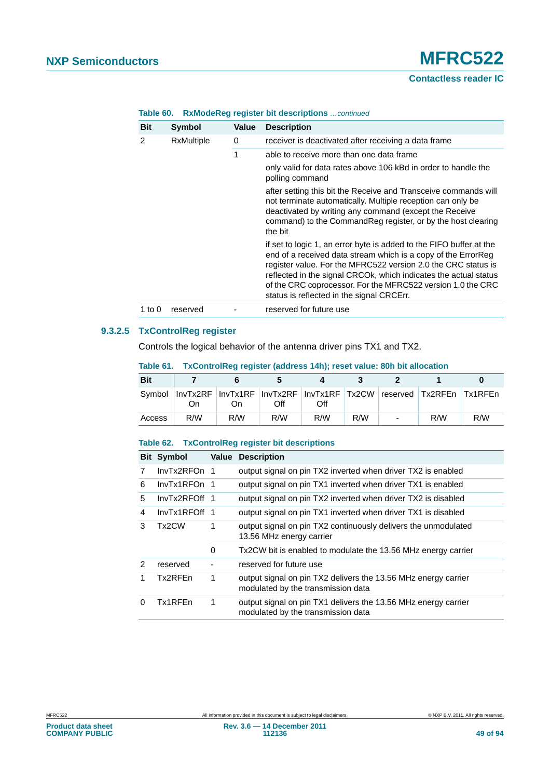# **NXP Semiconductors MFRC522**

# **Contactless reader IC**

| <b>Bit</b> | <b>Symbol</b>     | Value | <b>Description</b>                                                                                                                                                                                                                                                                                                                                                                    |
|------------|-------------------|-------|---------------------------------------------------------------------------------------------------------------------------------------------------------------------------------------------------------------------------------------------------------------------------------------------------------------------------------------------------------------------------------------|
| 2          | <b>RxMultiple</b> | 0     | receiver is deactivated after receiving a data frame                                                                                                                                                                                                                                                                                                                                  |
|            |                   | 1     | able to receive more than one data frame                                                                                                                                                                                                                                                                                                                                              |
|            |                   |       | only valid for data rates above 106 kBd in order to handle the<br>polling command                                                                                                                                                                                                                                                                                                     |
|            |                   |       | after setting this bit the Receive and Transceive commands will<br>not terminate automatically. Multiple reception can only be<br>deactivated by writing any command (except the Receive<br>command) to the CommandReg register, or by the host clearing<br>the bit                                                                                                                   |
|            |                   |       | if set to logic 1, an error byte is added to the FIFO buffer at the<br>end of a received data stream which is a copy of the ErrorReg<br>register value. For the MFRC522 version 2.0 the CRC status is<br>reflected in the signal CRCOK, which indicates the actual status<br>of the CRC coprocessor. For the MFRC522 version 1.0 the CRC<br>status is reflected in the signal CRCErr. |
| 1 to $0$   | reserved          |       | reserved for future use                                                                                                                                                                                                                                                                                                                                                               |

### **Table 60. RxModeReg register bit descriptions** *…continued*

# **9.3.2.5 TxControlReg register**

Controls the logical behavior of the antenna driver pins TX1 and TX2.

| <b>Bit</b> |     |                                                                                 |     |     |     |     |     |
|------------|-----|---------------------------------------------------------------------------------|-----|-----|-----|-----|-----|
|            | On  | Symbol InvTx2RF InvTx1RF InvTx2RF InvTx1RF Tx2CW reserved Tx2RFEn Tx1RFEn<br>On | Off | Off |     |     |     |
| Access     | R/W | R/W                                                                             | R/W | R/W | R/W | R/M | R/W |

#### **Table 61. TxControlReg register (address 14h); reset value: 80h bit allocation**

# **Table 62. TxControlReg register bit descriptions**

|               | <b>Bit Symbol</b>  |          | <b>Value Description</b>                                                                             |
|---------------|--------------------|----------|------------------------------------------------------------------------------------------------------|
| 7             | InvTx2RFOn 1       |          | output signal on pin TX2 inverted when driver TX2 is enabled                                         |
| 6             | InvTx1RFOn 1       |          | output signal on pin TX1 inverted when driver TX1 is enabled                                         |
| 5             | InvTx2RFOff 1      |          | output signal on pin TX2 inverted when driver TX2 is disabled                                        |
| 4             | InvTx1RFOff 1      |          | output signal on pin TX1 inverted when driver TX1 is disabled                                        |
| 3             | Tx <sub>2</sub> CW | 1        | output signal on pin TX2 continuously delivers the unmodulated<br>13.56 MHz energy carrier           |
|               |                    | $\Omega$ | Tx2CW bit is enabled to modulate the 13.56 MHz energy carrier                                        |
| $\mathcal{P}$ | reserved           |          | reserved for future use                                                                              |
| 1             | Tx2RFEn            | 1        | output signal on pin TX2 delivers the 13.56 MHz energy carrier<br>modulated by the transmission data |
| 0             | Tx1RFEn            | 1        | output signal on pin TX1 delivers the 13.56 MHz energy carrier<br>modulated by the transmission data |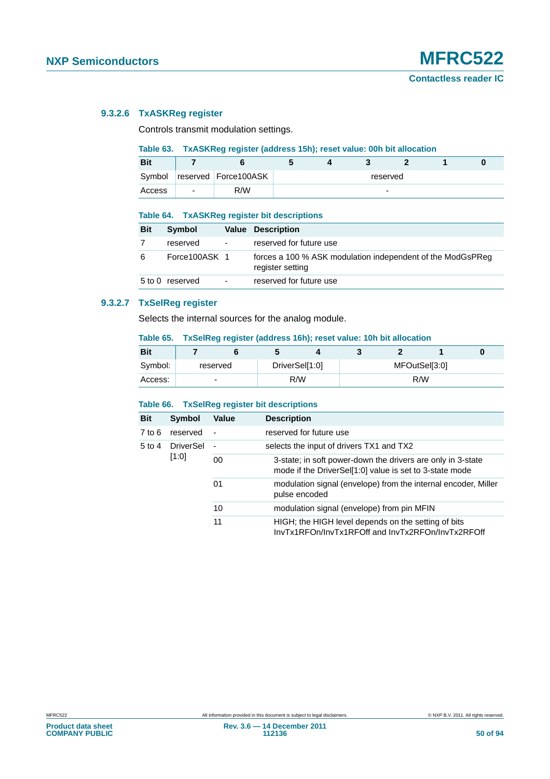# **9.3.2.6 TxASKReg register**

Controls transmit modulation settings.

# **Table 63. TxASKReg register (address 15h); reset value: 00h bit allocation**

| <b>Bit</b> |                |                        |  |          |  |  |
|------------|----------------|------------------------|--|----------|--|--|
| Symbol     |                | reserved   Force100ASK |  | reserved |  |  |
| Access     | $\overline{a}$ | R/W                    |  | -        |  |  |

#### **Table 64. TxASKReg register bit descriptions**

| <b>Bit</b> | Symbol          |                          | <b>Value Description</b>                                                       |
|------------|-----------------|--------------------------|--------------------------------------------------------------------------------|
|            | reserved        | $\overline{\phantom{a}}$ | reserved for future use                                                        |
| 6          | Force100ASK 1   |                          | forces a 100 % ASK modulation independent of the ModGsPReg<br>register setting |
|            | 5 to 0 reserved | $\overline{\phantom{a}}$ | reserved for future use                                                        |

# **9.3.2.7 TxSelReg register**

Selects the internal sources for the analog module.

#### **Table 65. TxSelReg register (address 16h); reset value: 10h bit allocation**

| <b>Bit</b> |                          |  |                |               |     |  |
|------------|--------------------------|--|----------------|---------------|-----|--|
| Symbol:    | reserved                 |  | DriverSel[1:0] | MFOutSel[3:0] |     |  |
| Access:    | $\overline{\phantom{0}}$ |  | R/W            |               | R/W |  |

#### **Table 66. TxSelReg register bit descriptions**

| <b>Bit</b> | Symbol           | Value                                                                                                                  | <b>Description</b>                                                                                       |
|------------|------------------|------------------------------------------------------------------------------------------------------------------------|----------------------------------------------------------------------------------------------------------|
| 7 to 6     | reserved         |                                                                                                                        | reserved for future use                                                                                  |
| 5 to 4     | <b>DriverSel</b> | $\overline{\phantom{a}}$                                                                                               | selects the input of drivers TX1 and TX2                                                                 |
| [1:0]      | 00               | 3-state; in soft power-down the drivers are only in 3-state<br>mode if the DriverSel[1:0] value is set to 3-state mode |                                                                                                          |
|            |                  | 01                                                                                                                     | modulation signal (envelope) from the internal encoder, Miller<br>pulse encoded                          |
|            |                  | 10                                                                                                                     | modulation signal (envelope) from pin MFIN                                                               |
|            |                  | 11                                                                                                                     | HIGH; the HIGH level depends on the setting of bits<br>InvTx1RFOn/InvTx1RFOff and InvTx2RFOn/InvTx2RFOff |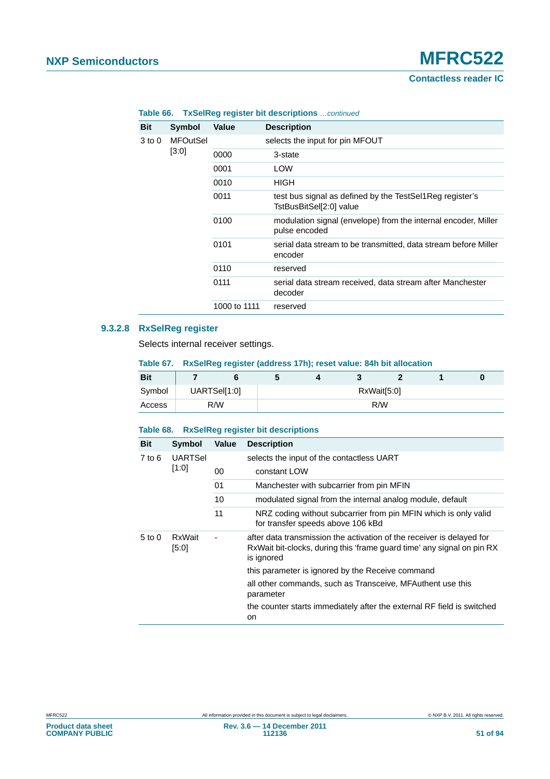**Contactless reader IC**

| <b>Bit</b> | <b>Symbol</b>   | Value                                                                               | <b>Description</b>                                                              |
|------------|-----------------|-------------------------------------------------------------------------------------|---------------------------------------------------------------------------------|
| 3 to 0     | <b>MFOutSel</b> |                                                                                     | selects the input for pin MFOUT                                                 |
|            | [3:0]           | 0000                                                                                | 3-state                                                                         |
|            |                 | 0001                                                                                | LOW                                                                             |
|            |                 | 0010                                                                                | HIGH                                                                            |
|            | 0011            | test bus signal as defined by the TestSel1Reg register's<br>TstBusBitSel[2:0] value |                                                                                 |
|            |                 | 0100                                                                                | modulation signal (envelope) from the internal encoder, Miller<br>pulse encoded |
|            |                 | 0101                                                                                | serial data stream to be transmitted, data stream before Miller<br>encoder      |
|            |                 | 0110                                                                                | reserved                                                                        |
|            | 0111            | serial data stream received, data stream after Manchester<br>decoder                |                                                                                 |
|            |                 | 1000 to 1111                                                                        | reserved                                                                        |

# **Table 66. TxSelReg register bit descriptions** *…continued*

# **9.3.2.8 RxSelReg register**

Selects internal receiver settings.

**Table 67. RxSelReg register (address 17h); reset value: 84h bit allocation**

| <b>Bit</b> |     |              |  |             |  |
|------------|-----|--------------|--|-------------|--|
| Symbol     |     | UARTSel[1:0] |  | RxWait[5:0] |  |
| Access     | R/W |              |  | R/W         |  |

# **Table 68. RxSelReg register bit descriptions**

| <b>Bit</b>        | <b>Symbol</b>   | Value | <b>Description</b>                                                                                                                                            |
|-------------------|-----------------|-------|---------------------------------------------------------------------------------------------------------------------------------------------------------------|
| 7 to 6            | <b>UARTSel</b>  |       | selects the input of the contactless UART                                                                                                                     |
|                   | [1:0]           | 00    | constant LOW                                                                                                                                                  |
|                   |                 | 01    | Manchester with subcarrier from pin MFIN                                                                                                                      |
|                   |                 | 10    | modulated signal from the internal analog module, default                                                                                                     |
|                   |                 | 11    | NRZ coding without subcarrier from pin MFIN which is only valid<br>for transfer speeds above 106 kBd                                                          |
| $5 \text{ to } 0$ | RxWait<br>[5:0] |       | after data transmission the activation of the receiver is delayed for<br>RxWait bit-clocks, during this 'frame guard time' any signal on pin RX<br>is ignored |
|                   |                 |       | this parameter is ignored by the Receive command                                                                                                              |
|                   |                 |       | all other commands, such as Transceive, MFAuthent use this<br>parameter                                                                                       |
|                   |                 |       | the counter starts immediately after the external RF field is switched<br>on                                                                                  |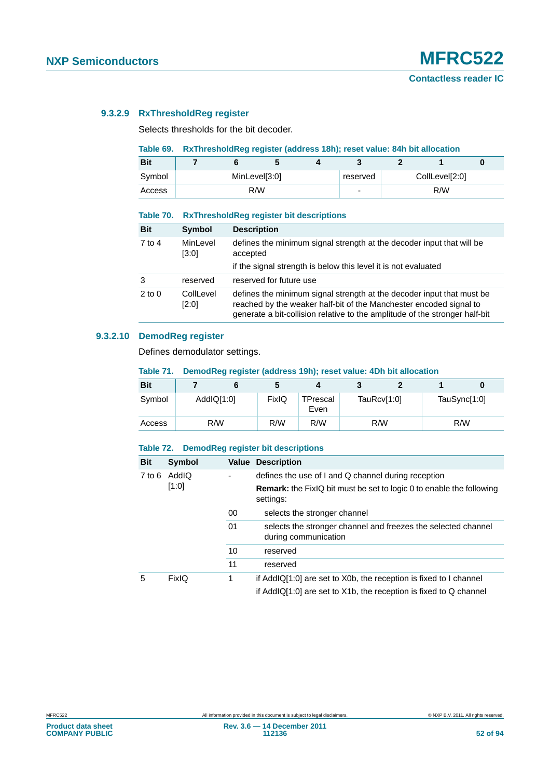# **9.3.2.9 RxThresholdReg register**

Selects thresholds for the bit decoder.

#### **Table 69. RxThresholdReg register (address 18h); reset value: 84h bit allocation**

| <b>Bit</b> |               | $\cdot$ |  |   |                |  |
|------------|---------------|---------|--|---|----------------|--|
| Symbol     | MinLevel[3:0] |         |  |   | CollLevel[2:0] |  |
| Access     |               | R/W     |  | ۰ | R/W            |  |

#### **Table 70. RxThresholdReg register bit descriptions**

| <b>Bit</b> | Symbol             | <b>Description</b>                                                                                                                                                                                                         |
|------------|--------------------|----------------------------------------------------------------------------------------------------------------------------------------------------------------------------------------------------------------------------|
| $7$ to 4   | MinLevel<br>[3:0]  | defines the minimum signal strength at the decoder input that will be<br>accepted                                                                                                                                          |
|            |                    | if the signal strength is below this level it is not evaluated                                                                                                                                                             |
| 3          | reserved           | reserved for future use                                                                                                                                                                                                    |
| $2$ to $0$ | CollLevel<br>[2:0] | defines the minimum signal strength at the decoder input that must be<br>reached by the weaker half-bit of the Manchester encoded signal to<br>generate a bit-collision relative to the amplitude of the stronger half-bit |

# **9.3.2.10 DemodReg register**

Defines demodulator settings.

#### **Table 71. DemodReg register (address 19h); reset value: 4Dh bit allocation**

| <b>Bit</b> |            |       | ◢                |             |              |  |
|------------|------------|-------|------------------|-------------|--------------|--|
| Symbol     | AddIQ[1:0] | FixIQ | TPrescal<br>Even | TauRcv[1:0] | TauSync[1:0] |  |
| Access     | R/W        | R/W   | R/W              | R/W         | R/W          |  |

#### **Table 72. DemodReg register bit descriptions**

| <b>Bit</b>                   | Symbol |                                                                                          | <b>Value Description</b>                                                                                                               |
|------------------------------|--------|------------------------------------------------------------------------------------------|----------------------------------------------------------------------------------------------------------------------------------------|
| $7$ to $6$<br>AddIQ<br>[1:0] |        |                                                                                          | defines the use of I and Q channel during reception                                                                                    |
|                              |        | <b>Remark:</b> the FixIQ bit must be set to logic 0 to enable the following<br>settings: |                                                                                                                                        |
|                              |        | 00                                                                                       | selects the stronger channel                                                                                                           |
|                              |        | 01                                                                                       | selects the stronger channel and freezes the selected channel<br>during communication                                                  |
|                              |        | 10                                                                                       | reserved                                                                                                                               |
|                              |        | 11                                                                                       | reserved                                                                                                                               |
| 5                            | FixIQ  | 1                                                                                        | if AddIQ[1:0] are set to X0b, the reception is fixed to I channel<br>if AddIQ[1:0] are set to X1b, the reception is fixed to Q channel |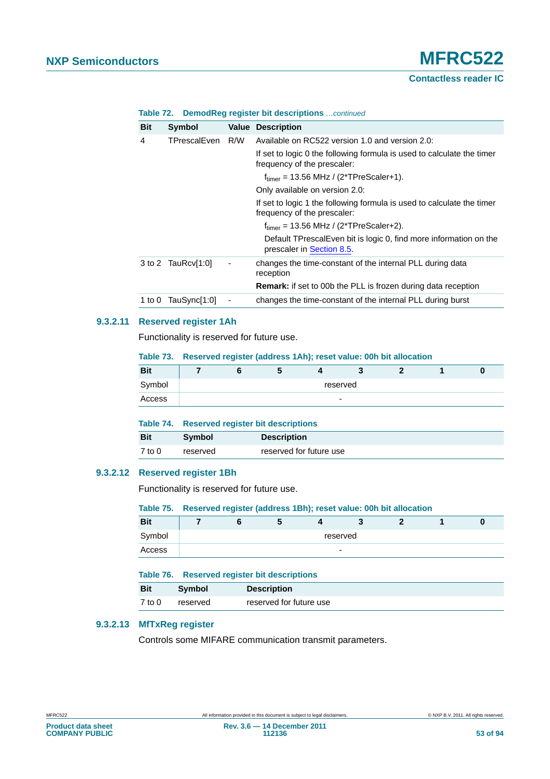# **Contactless reader IC**

| <b>Bit</b> | Symbol             |                          | <b>Value Description</b>                                                                              |
|------------|--------------------|--------------------------|-------------------------------------------------------------------------------------------------------|
| 4          | TPrescalEven       | R/W                      | Available on RC522 version 1.0 and version 2.0:                                                       |
|            |                    |                          | If set to logic 0 the following formula is used to calculate the timer<br>frequency of the prescaler: |
|            |                    |                          | $ftimer = 13.56 MHz / (2*TPreScalar+1).$                                                              |
|            |                    |                          | Only available on version 2.0:                                                                        |
|            |                    |                          | If set to logic 1 the following formula is used to calculate the timer<br>frequency of the prescaler: |
|            |                    |                          | $f_{timer}$ = 13.56 MHz / (2*TPreScaler+2).                                                           |
|            |                    |                          | Default TPrescalEven bit is logic 0, find more information on the<br>prescaler in Section 8.5.        |
|            | 3 to 2 TauRcv[1:0] | $\overline{\phantom{a}}$ | changes the time-constant of the internal PLL during data<br>reception                                |
|            |                    |                          | <b>Remark:</b> if set to 00b the PLL is frozen during data reception                                  |
| 1 to 0     | TauSync[1:0]       |                          | changes the time-constant of the internal PLL during burst                                            |

#### **Table 72. DemodReg register bit descriptions** *…continued*

#### **9.3.2.11 Reserved register 1Ah**

Functionality is reserved for future use.

#### **Table 73. Reserved register (address 1Ah); reset value: 00h bit allocation**

| <b>Bit</b> |  |  | $\overline{\phantom{a}}$ |  |  |
|------------|--|--|--------------------------|--|--|
| Symbol     |  |  | reserved                 |  |  |
| Access     |  |  | -                        |  |  |

|            | Table 74. Reserved register bit descriptions |                         |  |  |
|------------|----------------------------------------------|-------------------------|--|--|
| <b>Bit</b> | <b>Symbol</b>                                | <b>Description</b>      |  |  |
| $7$ to $0$ | reserved                                     | reserved for future use |  |  |

## **9.3.2.12 Reserved register 1Bh**

Functionality is reserved for future use.

#### **Table 75. Reserved register (address 1Bh); reset value: 00h bit allocation**

| <b>Bit</b> |  | $\overline{\phantom{a}}$ |          |  |  |
|------------|--|--------------------------|----------|--|--|
| Symbol     |  |                          | reserved |  |  |
| Access     |  |                          | -        |  |  |

|            |               | Table 76. Reserved register bit descriptions |
|------------|---------------|----------------------------------------------|
| <b>Bit</b> | <b>Symbol</b> | <b>Description</b>                           |
| 7 to 0     | reserved      | reserved for future use                      |

# **9.3.2.13 MfTxReg register**

Controls some MIFARE communication transmit parameters.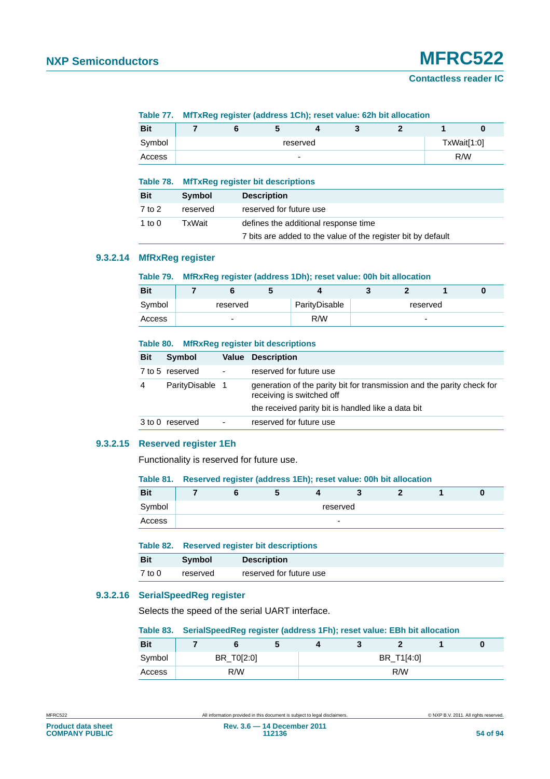# **NXP Semiconductors MFRC522**

#### **Table 77. MfTxReg register (address 1Ch); reset value: 62h bit allocation**

| <b>Bit</b> |  |          | w |  |             |
|------------|--|----------|---|--|-------------|
| Symbol     |  | reserved |   |  | TxWait[1:0] |
| Access     |  | -        |   |  | R/W         |

#### **Table 78. MfTxReg register bit descriptions**

| <b>Bit</b> | Symbol   | <b>Description</b>                                           |
|------------|----------|--------------------------------------------------------------|
| 7 to 2     | reserved | reserved for future use                                      |
| 1 to $0$   | TxWait   | defines the additional response time                         |
|            |          | 7 bits are added to the value of the register bit by default |

# **9.3.2.14 MfRxReg register**

#### **Table 79. MfRxReg register (address 1Dh); reset value: 00h bit allocation**

| <b>Bit</b> |                          |               |   |          |  |
|------------|--------------------------|---------------|---|----------|--|
| Symbol     | reserved                 | ParityDisable |   | reserved |  |
| Access     | $\overline{\phantom{0}}$ | R/W           | - |          |  |

#### **Table 80. MfRxReg register bit descriptions**

| <b>Bit</b> | Symbol          |                          | <b>Value Description</b>                                                                                                                                  |
|------------|-----------------|--------------------------|-----------------------------------------------------------------------------------------------------------------------------------------------------------|
|            | 7 to 5 reserved | $\overline{\phantom{a}}$ | reserved for future use                                                                                                                                   |
| 4          | ParityDisable 1 |                          | generation of the parity bit for transmission and the parity check for<br>receiving is switched off<br>the received parity bit is handled like a data bit |
|            |                 |                          |                                                                                                                                                           |
|            | 3 to 0 reserved | $\blacksquare$           | reserved for future use                                                                                                                                   |

#### **9.3.2.15 Reserved register 1Eh**

Functionality is reserved for future use.

#### **Table 81. Reserved register (address 1Eh); reset value: 00h bit allocation**

| <b>Bit</b> |  |  |          |  |  |
|------------|--|--|----------|--|--|
| Symbol     |  |  | reserved |  |  |
| Access     |  |  | -        |  |  |

|            |          | Table 82. Reserved register bit descriptions |
|------------|----------|----------------------------------------------|
| <b>Bit</b> | Symbol   | <b>Description</b>                           |
| $7$ to $0$ | reserved | reserved for future use                      |

# **9.3.2.16 SerialSpeedReg register**

Selects the speed of the serial UART interface.

#### **Table 83. SerialSpeedReg register (address 1Fh); reset value: EBh bit allocation**

| <b>Bit</b> |     |            |  |  |            |  |
|------------|-----|------------|--|--|------------|--|
| Symbol     |     | BR_T0[2:0] |  |  | BR_T1[4:0] |  |
| Access     | R/W |            |  |  | R/W        |  |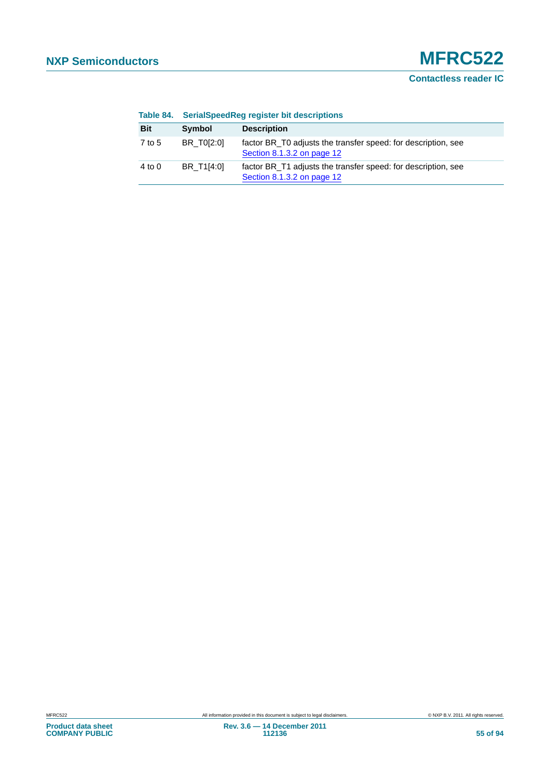| Table 84.  |            | SerialSpeedReg register bit descriptions                                                    |
|------------|------------|---------------------------------------------------------------------------------------------|
| <b>Bit</b> | Symbol     | <b>Description</b>                                                                          |
| 7 to 5     | BR T0[2:0] | factor BR_T0 adjusts the transfer speed: for description, see<br>Section 8.1.3.2 on page 12 |
| $4$ to $0$ | BR T1[4:0] | factor BR_T1 adjusts the transfer speed: for description, see<br>Section 8.1.3.2 on page 12 |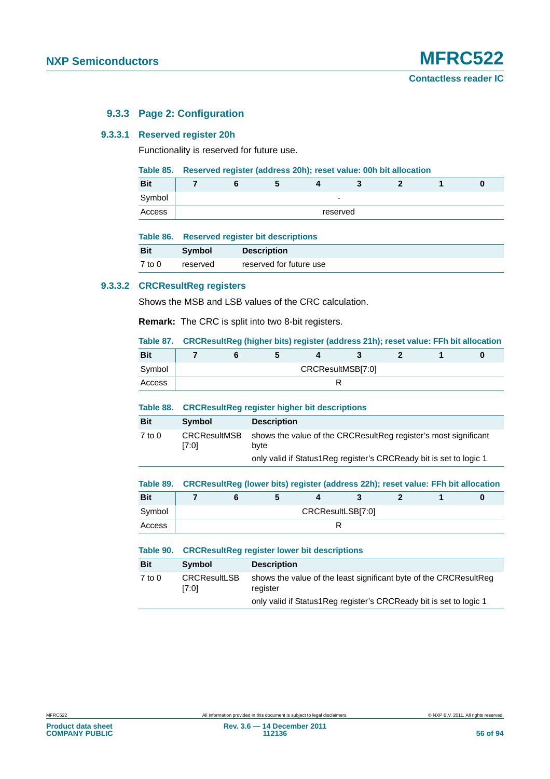# **9.3.3 Page 2: Configuration**

#### **9.3.3.1 Reserved register 20h**

Functionality is reserved for future use.

#### **Table 85. Reserved register (address 20h); reset value: 00h bit allocation**

| <b>Bit</b> |  |  |          |  |  |
|------------|--|--|----------|--|--|
| Symbol     |  |  | -        |  |  |
| Access     |  |  | reserved |  |  |

|  | Table 86. |  |  |  | <b>Reserved register bit descriptions</b> |
|--|-----------|--|--|--|-------------------------------------------|
|--|-----------|--|--|--|-------------------------------------------|

| <b>Bit</b> | <b>Symbol</b> | <b>Description</b>      |
|------------|---------------|-------------------------|
| 7 to 0     | reserved      | reserved for future use |

# **9.3.3.2 CRCResultReg registers**

Shows the MSB and LSB values of the CRC calculation.

**Remark:** The CRC is split into two 8-bit registers.

**Table 87. CRCResultReg (higher bits) register (address 21h); reset value: FFh bit allocation**

| <b>Bit</b> |                   |  |  |  |  |  |  |  |  |  |
|------------|-------------------|--|--|--|--|--|--|--|--|--|
| Symbol     | CRCResultMSB[7:0] |  |  |  |  |  |  |  |  |  |
| Access     |                   |  |  |  |  |  |  |  |  |  |

#### **Table 88. CRCResultReg register higher bit descriptions**

| <b>Bit</b> | Symbol                       | <b>Description</b>                                                                                                                               |
|------------|------------------------------|--------------------------------------------------------------------------------------------------------------------------------------------------|
| $7$ to $0$ | <b>CRCResultMSB</b><br>[7:0] | shows the value of the CRCResultReg register's most significant<br>byte<br>only valid if Status 1 Reg register's CRC Ready bit is set to logic 1 |

#### **Table 89. CRCResultReg (lower bits) register (address 22h); reset value: FFh bit allocation**

| <b>Bit</b> |                   |  |  |  |  |  |  |  |  |  |
|------------|-------------------|--|--|--|--|--|--|--|--|--|
| Symbol     | CRCResultLSB[7:0] |  |  |  |  |  |  |  |  |  |
| Access     |                   |  |  |  |  |  |  |  |  |  |

|            | Table 90. CRCResultReg register lower bit descriptions |                                                                               |  |  |  |
|------------|--------------------------------------------------------|-------------------------------------------------------------------------------|--|--|--|
| <b>Bit</b> | Symbol                                                 | <b>Description</b>                                                            |  |  |  |
| $7$ to 0   | <b>CRCResultLSB</b><br>[7:0]                           | shows the value of the least significant byte of the CRCResultReg<br>register |  |  |  |
|            |                                                        | only valid if Status1Reg register's CRCReady bit is set to logic 1            |  |  |  |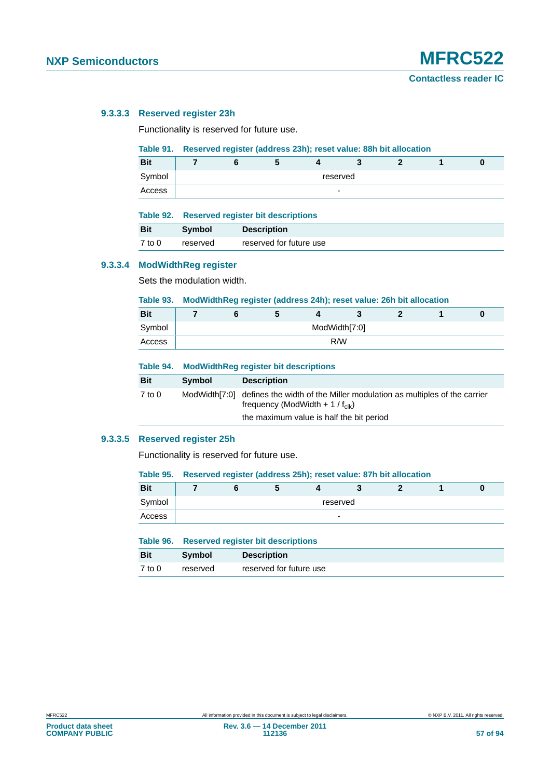# **9.3.3.3 Reserved register 23h**

Functionality is reserved for future use.

#### **Table 91. Reserved register (address 23h); reset value: 88h bit allocation**

| <b>Bit</b> |          |  |  |  |   |  |  |  |  |  |
|------------|----------|--|--|--|---|--|--|--|--|--|
| Symbol     | reserved |  |  |  |   |  |  |  |  |  |
| Access     |          |  |  |  | - |  |  |  |  |  |

|            |               | Table 92. Reserved register bit descriptions |  |  |  |  |
|------------|---------------|----------------------------------------------|--|--|--|--|
| <b>Bit</b> | <b>Symbol</b> | <b>Description</b>                           |  |  |  |  |
| $7$ to $0$ | reserved      | reserved for future use                      |  |  |  |  |

#### **9.3.3.4 ModWidthReg register**

Sets the modulation width.

# **Table 93. ModWidthReg register (address 24h); reset value: 26h bit allocation**

| <b>Bit</b> |               |  |  |  |     |  |  |  |  |  |  |
|------------|---------------|--|--|--|-----|--|--|--|--|--|--|
| Symbol     | ModWidth[7:0] |  |  |  |     |  |  |  |  |  |  |
| Access     |               |  |  |  | R/W |  |  |  |  |  |  |

#### **Table 94. ModWidthReg register bit descriptions**

| <b>Bit</b> | <b>Symbol</b> | <b>Description</b>                                                                                                                   |
|------------|---------------|--------------------------------------------------------------------------------------------------------------------------------------|
| 7 to 0     |               | ModWidth[7:0] defines the width of the Miller modulation as multiples of the carrier<br>frequency (ModWidth + 1 / $f_{\text{clk}}$ ) |
|            |               | the maximum value is half the bit period                                                                                             |

#### **9.3.3.5 Reserved register 25h**

Functionality is reserved for future use.

|            | Table 95. Reserved register (address 25h); reset value: 87h bit allocation |  |  |  |   |  |  |  |  |  |
|------------|----------------------------------------------------------------------------|--|--|--|---|--|--|--|--|--|
| <b>Bit</b> |                                                                            |  |  |  |   |  |  |  |  |  |
| Symbol     | reserved                                                                   |  |  |  |   |  |  |  |  |  |
| Access     |                                                                            |  |  |  | - |  |  |  |  |  |
|            |                                                                            |  |  |  |   |  |  |  |  |  |

|            |               | Table 96. Reserved register bit descriptions |  |  |  |  |
|------------|---------------|----------------------------------------------|--|--|--|--|
| <b>Bit</b> | <b>Symbol</b> | <b>Description</b>                           |  |  |  |  |
| 7 to 0     | reserved      | reserved for future use                      |  |  |  |  |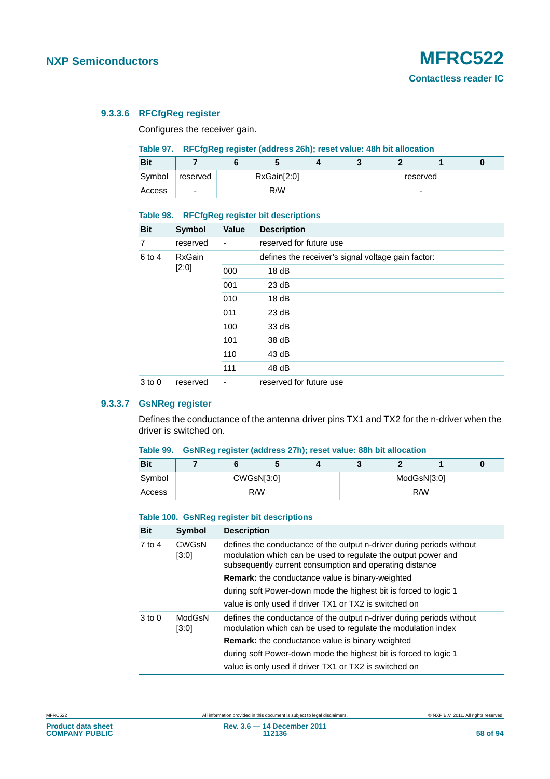# **9.3.3.6 RFCfgReg register**

Configures the receiver gain.

#### **Table 97. RFCfgReg register (address 26h); reset value: 48h bit allocation**

| <b>Bit</b> |          |             |  |          |  |  |
|------------|----------|-------------|--|----------|--|--|
| Symbol     | reserved | RxGain[2:0] |  | reserved |  |  |
| Access     | ۰        | R/W         |  | ۰        |  |  |

#### **Table 98. RFCfgReg register bit descriptions**

| <b>Bit</b> | <b>Symbol</b> | Value          | <b>Description</b>                                 |
|------------|---------------|----------------|----------------------------------------------------|
| 7          | reserved      | -              | reserved for future use                            |
| 6 to 4     | <b>RxGain</b> |                | defines the receiver's signal voltage gain factor: |
|            | $[2:0]$       | 000            | 18dB                                               |
|            |               | 001            | 23 dB                                              |
|            |               | 010            | 18dB                                               |
|            |               | 011            | 23 dB                                              |
|            |               | 100            | 33 dB                                              |
|            |               | 101            | 38 dB                                              |
|            |               | 110            | 43 dB                                              |
|            |               | 111            | 48 dB                                              |
| $3$ to $0$ | reserved      | $\overline{a}$ | reserved for future use                            |

# **9.3.3.7 GsNReg register**

Defines the conductance of the antenna driver pins TX1 and TX2 for the n-driver when the driver is switched on.

# **Table 99. GsNReg register (address 27h); reset value: 88h bit allocation**

| <b>Bit</b> |  | $\overline{\phantom{a}}$ |             |  |     |  |  |
|------------|--|--------------------------|-------------|--|-----|--|--|
| Symbol     |  | CWGsN[3:0]               | ModGsN[3:0] |  |     |  |  |
| Access     |  | R/W                      |             |  | R/W |  |  |

#### **Table 100. GsNReg register bit descriptions**

| <b>Bit</b> | <b>Symbol</b>         | <b>Description</b>                                                                                                                                                                                |  |  |  |  |  |
|------------|-----------------------|---------------------------------------------------------------------------------------------------------------------------------------------------------------------------------------------------|--|--|--|--|--|
| $7$ to 4   | <b>CWGsN</b><br>[3:0] | defines the conductance of the output n-driver during periods without<br>modulation which can be used to regulate the output power and<br>subsequently current consumption and operating distance |  |  |  |  |  |
|            |                       | <b>Remark:</b> the conductance value is binary-weighted                                                                                                                                           |  |  |  |  |  |
|            |                       | during soft Power-down mode the highest bit is forced to logic 1                                                                                                                                  |  |  |  |  |  |
|            |                       | value is only used if driver TX1 or TX2 is switched on                                                                                                                                            |  |  |  |  |  |
| $3$ to $0$ | ModGsN<br>[3:0]       | defines the conductance of the output n-driver during periods without<br>modulation which can be used to regulate the modulation index                                                            |  |  |  |  |  |
|            |                       | <b>Remark:</b> the conductance value is binary weighted                                                                                                                                           |  |  |  |  |  |
|            |                       | during soft Power-down mode the highest bit is forced to logic 1                                                                                                                                  |  |  |  |  |  |
|            |                       | value is only used if driver TX1 or TX2 is switched on                                                                                                                                            |  |  |  |  |  |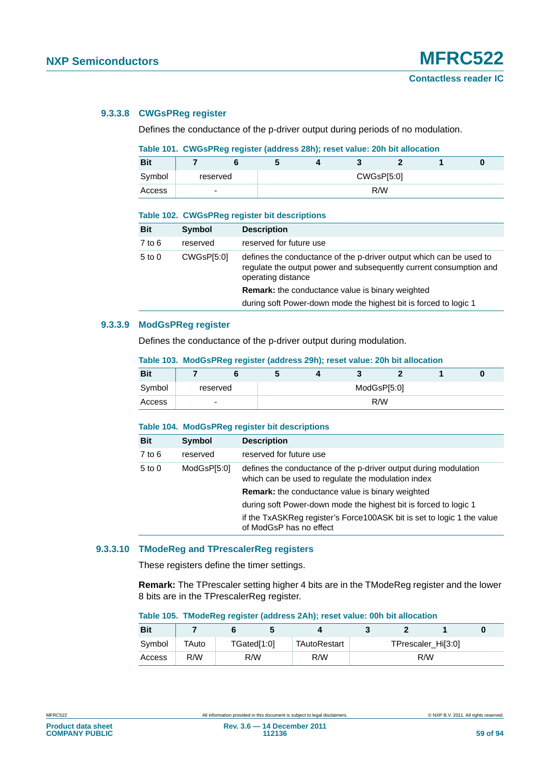#### **9.3.3.8 CWGsPReg register**

Defines the conductance of the p-driver output during periods of no modulation.

# **Table 101. CWGsPReg register (address 28h); reset value: 20h bit allocation**

| <b>Bit</b> |                          |     |  |  |            |  |  |
|------------|--------------------------|-----|--|--|------------|--|--|
| Symbol     | reserved                 |     |  |  | CWGsP[5:0] |  |  |
| Access     | $\overline{\phantom{0}}$ | R/W |  |  |            |  |  |

#### **Table 102. CWGsPReg register bit descriptions**

| <b>Bit</b> | Symbol     | <b>Description</b>                                                                                                                                              |
|------------|------------|-----------------------------------------------------------------------------------------------------------------------------------------------------------------|
| $7$ to $6$ | reserved   | reserved for future use                                                                                                                                         |
| $5$ to $0$ | CWGsP[5:0] | defines the conductance of the p-driver output which can be used to<br>requiate the output power and subsequently current consumption and<br>operating distance |
|            |            | <b>Remark:</b> the conductance value is binary weighted                                                                                                         |
|            |            | during soft Power-down mode the highest bit is forced to logic 1                                                                                                |

#### **9.3.3.9 ModGsPReg register**

Defines the conductance of the p-driver output during modulation.

# **Table 103. ModGsPReg register (address 29h); reset value: 20h bit allocation**

| <b>Bit</b> |                          |     |  |             |  |  |  |  |  |
|------------|--------------------------|-----|--|-------------|--|--|--|--|--|
| Symbol     | reserved                 |     |  | ModGsP[5:0] |  |  |  |  |  |
| Access     | $\overline{\phantom{0}}$ | R/W |  |             |  |  |  |  |  |

#### **Table 104. ModGsPReg register bit descriptions**

| Bit    | Symbol      | <b>Description</b>                                                                                                     |
|--------|-------------|------------------------------------------------------------------------------------------------------------------------|
| 7 to 6 | reserved    | reserved for future use                                                                                                |
| 5 to 0 | ModGsP[5:0] | defines the conductance of the p-driver output during modulation<br>which can be used to regulate the modulation index |
|        |             | <b>Remark:</b> the conductance value is binary weighted                                                                |
|        |             | during soft Power-down mode the highest bit is forced to logic 1                                                       |
|        |             | if the TxASKReg register's Force100ASK bit is set to logic 1 the value<br>of ModGsP has no effect                      |

#### **9.3.3.10 TModeReg and TPrescalerReg registers**

These registers define the timer settings.

**Remark:** The TPrescaler setting higher 4 bits are in the TModeReg register and the lower 8 bits are in the TPrescalerReg register.

#### **Table 105. TModeReg register (address 2Ah); reset value: 00h bit allocation**

| <b>Bit</b> |       |             |              |  |                               |  |
|------------|-------|-------------|--------------|--|-------------------------------|--|
| Symbol     | TAuto | TGated[1:0] | TAutoRestart |  | TPrescaler Hil <sup>3:0</sup> |  |
| Access     | R/W   | R/W         | R/W          |  | R/W                           |  |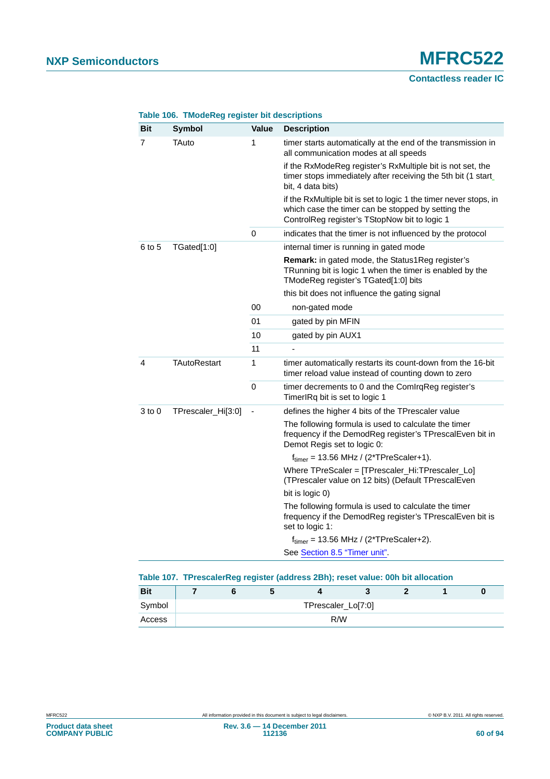| Bit        | <b>Symbol</b>       | <b>Value</b> | <b>Description</b>                                                                                                                                                       |
|------------|---------------------|--------------|--------------------------------------------------------------------------------------------------------------------------------------------------------------------------|
| 7          | TAuto               | 1            | timer starts automatically at the end of the transmission in<br>all communication modes at all speeds                                                                    |
|            |                     |              | if the RxModeReg register's RxMultiple bit is not set, the<br>timer stops immediately after receiving the 5th bit (1 start<br>bit, 4 data bits)                          |
|            |                     |              | if the RxMultiple bit is set to logic 1 the timer never stops, in<br>which case the timer can be stopped by setting the<br>ControlReg register's TStopNow bit to logic 1 |
|            |                     | $\mathbf 0$  | indicates that the timer is not influenced by the protocol                                                                                                               |
| 6 to 5     | TGated[1:0]         |              | internal timer is running in gated mode                                                                                                                                  |
|            |                     |              | <b>Remark:</b> in gated mode, the Status1Reg register's<br>TRunning bit is logic 1 when the timer is enabled by the<br>TModeReg register's TGated[1:0] bits              |
|            |                     |              | this bit does not influence the gating signal                                                                                                                            |
|            |                     | 00           | non-gated mode                                                                                                                                                           |
|            |                     | 01           | gated by pin MFIN                                                                                                                                                        |
|            |                     | 10           | gated by pin AUX1                                                                                                                                                        |
|            |                     | 11           |                                                                                                                                                                          |
| 4          | <b>TAutoRestart</b> | 1            | timer automatically restarts its count-down from the 16-bit<br>timer reload value instead of counting down to zero                                                       |
|            |                     | 0            | timer decrements to 0 and the ComlrqReg register's<br>TimerIRq bit is set to logic 1                                                                                     |
| $3$ to $0$ | TPrescaler_Hi[3:0]  |              | defines the higher 4 bits of the TPrescaler value                                                                                                                        |
|            |                     |              | The following formula is used to calculate the timer<br>frequency if the DemodReg register's TPrescalEven bit in<br>Demot Regis set to logic 0:                          |
|            |                     |              | $ftimer = 13.56 MHz / (2*TPreScaler+1).$                                                                                                                                 |
|            |                     |              | Where TPreScaler = [TPrescaler_Hi:TPrescaler_Lo]<br>(TPrescaler value on 12 bits) (Default TPrescalEven                                                                  |
|            |                     |              | bit is logic 0)                                                                                                                                                          |
|            |                     |              | The following formula is used to calculate the timer<br>frequency if the DemodReg register's TPrescalEven bit is<br>set to logic 1:                                      |
|            |                     |              | $ftimer = 13.56 MHz / (2*TPreScalar+2).$                                                                                                                                 |
|            |                     |              | See Section 8.5 "Timer unit".                                                                                                                                            |

# **Table 106. TModeReg register bit descriptions**

|            |  | .                  |  |  |
|------------|--|--------------------|--|--|
| <b>Bit</b> |  |                    |  |  |
| Symbol     |  | TPrescaler_Lo[7:0] |  |  |
| Access     |  | R/W                |  |  |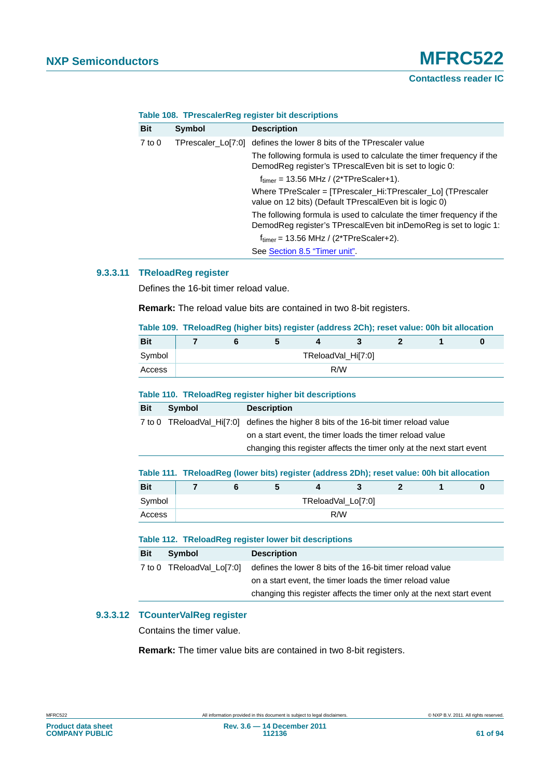| <b>Bit</b> | Symbol             | <b>Description</b>                                                                                                                         |
|------------|--------------------|--------------------------------------------------------------------------------------------------------------------------------------------|
| $7$ to $0$ | TPrescaler_Lo[7:0] | defines the lower 8 bits of the TPrescaler value                                                                                           |
|            |                    | The following formula is used to calculate the timer frequency if the<br>DemodReg register's TPrescalEven bit is set to logic 0:           |
|            |                    | $f_{\text{timer}}$ = 13.56 MHz / (2*TPreScaler+1).                                                                                         |
|            |                    | Where TPreScaler = [TPrescaler_Hi:TPrescaler_Lo] (TPrescaler<br>value on 12 bits) (Default TPrescalEven bit is logic 0)                    |
|            |                    | The following formula is used to calculate the timer frequency if the<br>DemodReg register's TPrescalEven bit inDemoReg is set to logic 1: |
|            |                    | $f_{\text{timer}}$ = 13.56 MHz / (2*TPreScaler+2).                                                                                         |
|            |                    | See Section 8.5 "Timer unit".                                                                                                              |

#### **Table 108. TPrescalerReg register bit descriptions**

# **9.3.3.11 TReloadReg register**

Defines the 16-bit timer reload value.

**Remark:** The reload value bits are contained in two 8-bit registers.

|  |  | Table 109.  TReloadReg (higher bits) register (address 2Ch); reset value: 00h bit allocation |  |  |
|--|--|----------------------------------------------------------------------------------------------|--|--|
|  |  |                                                                                              |  |  |

| <b>Bit</b> |  |  |                    |  |  |
|------------|--|--|--------------------|--|--|
| Symbol     |  |  | TReloadVal_Hi[7:0] |  |  |
| Access     |  |  | R/W                |  |  |

#### **Table 110. TReloadReg register higher bit descriptions**

| <b>Bit</b> | Symbol | <b>Description</b>                                                                   |
|------------|--------|--------------------------------------------------------------------------------------|
|            |        | 7 to 0 TReloadVal Hilz:0] defines the higher 8 bits of the 16-bit timer reload value |
|            |        | on a start event, the timer loads the timer reload value                             |
|            |        | changing this register affects the timer only at the next start event                |

|            |  |    | Table 111. TReloadReg (lower bits) register (address 2Dh); reset value: 00h bit allocation |  |  |
|------------|--|----|--------------------------------------------------------------------------------------------|--|--|
| <b>Bit</b> |  | b. |                                                                                            |  |  |
| Svmbol     |  |    | TReloadVal Lo[7:0]                                                                         |  |  |
| Access     |  |    | R/W                                                                                        |  |  |

#### **Table 112. TReloadReg register lower bit descriptions**

| <b>Bit</b> | Symbol                    | <b>Description</b>                                                    |
|------------|---------------------------|-----------------------------------------------------------------------|
|            | 7 to 0 TReloadVal Lo[7:0] | defines the lower 8 bits of the 16-bit timer reload value             |
|            |                           | on a start event, the timer loads the timer reload value              |
|            |                           | changing this register affects the timer only at the next start event |

# **9.3.3.12 TCounterValReg register**

Contains the timer value.

**Remark:** The timer value bits are contained in two 8-bit registers.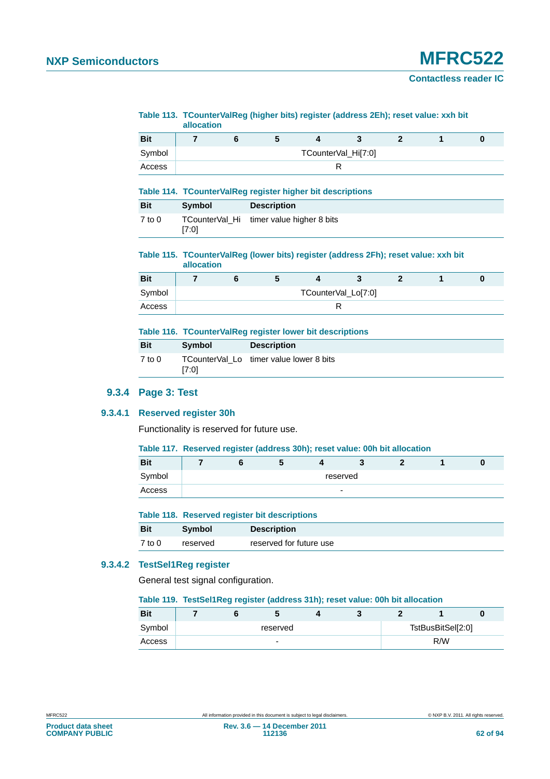# **NXP Semiconductors MFRC522**

**Contactless reader IC**

#### **Table 113. TCounterValReg (higher bits) register (address 2Eh); reset value: xxh bit allocation**

| <b>Bit</b> |  |  |                     |  |  |
|------------|--|--|---------------------|--|--|
| Symbol     |  |  | TCounterVal_Hi[7:0] |  |  |
| Access     |  |  |                     |  |  |

#### **Table 114. TCounterValReg register higher bit descriptions**

| <b>Bit</b> | Symbol | <b>Description</b>                       |  |
|------------|--------|------------------------------------------|--|
| 7 to 0     | [7:0]  | TCounterVal Hi timer value higher 8 bits |  |

#### **Table 115. TCounterValReg (lower bits) register (address 2Fh); reset value: xxh bit allocation**

| <b>Bit</b> |  |  |                     |  |  |
|------------|--|--|---------------------|--|--|
| Symbol     |  |  | TCounterVal_Lo[7:0] |  |  |
| Access     |  |  |                     |  |  |

#### **Table 116. TCounterValReg register lower bit descriptions**

| <b>Bit</b> | <b>Symbol</b> | <b>Description</b>                      |
|------------|---------------|-----------------------------------------|
| $7$ to $0$ | [7:0]         | TCounterVal Lo timer value lower 8 bits |

# **9.3.4 Page 3: Test**

#### **9.3.4.1 Reserved register 30h**

Functionality is reserved for future use.

#### **Table 117. Reserved register (address 30h); reset value: 00h bit allocation**

| <b>Bit</b> |          |  |  |  | -                        |  |  |
|------------|----------|--|--|--|--------------------------|--|--|
| Symbol     | reserved |  |  |  |                          |  |  |
| Access     |          |  |  |  | $\overline{\phantom{0}}$ |  |  |

#### **Table 118. Reserved register bit descriptions**

| <b>Bit</b> | <b>Symbol</b> | <b>Description</b>      |
|------------|---------------|-------------------------|
| $7$ to $0$ | reserved      | reserved for future use |

# **9.3.4.2 TestSel1Reg register**

General test signal configuration.

#### **Table 119. TestSel1Reg register (address 31h); reset value: 00h bit allocation**

| <b>Bit</b> |          |  |                          |  |  |                   |  |
|------------|----------|--|--------------------------|--|--|-------------------|--|
| Symbol     | reserved |  |                          |  |  | TstBusBitSel[2:0] |  |
| Access     |          |  | $\overline{\phantom{0}}$ |  |  | R/W               |  |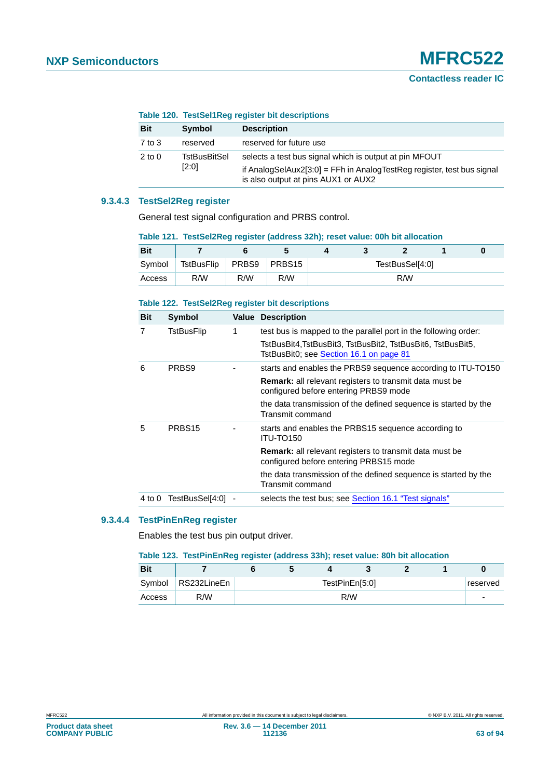|            | <u>rapic TZU. TCSLOCHINGY IGYISIGI DILUCSUTIDIIDIIS</u> |                                                                                                                                                                         |  |  |  |
|------------|---------------------------------------------------------|-------------------------------------------------------------------------------------------------------------------------------------------------------------------------|--|--|--|
| <b>Bit</b> | Symbol                                                  | <b>Description</b>                                                                                                                                                      |  |  |  |
| 7 to 3     | reserved                                                | reserved for future use                                                                                                                                                 |  |  |  |
| $2$ to 0   | TstBusBitSel<br>[2:0]                                   | selects a test bus signal which is output at pin MFOUT<br>if AnalogSelAux2[3:0] = FFh in AnalogTestReg register, test bus signal<br>is also output at pins AUX1 or AUX2 |  |  |  |

## **Table 120. TestSel1Reg register bit descriptions**

# **9.3.4.3 TestSel2Reg register**

General test signal configuration and PRBS control.

| TANIC TET. TOSIOCIZINCY TOYISIGI TAGGI OSS JZITI, TOSOL VAIUG. UVIT DIL AIIOGANOTI |            |              |     |                 |  |     |  |  |  |  |  |  |
|------------------------------------------------------------------------------------|------------|--------------|-----|-----------------|--|-----|--|--|--|--|--|--|
| <b>Bit</b>                                                                         |            |              |     |                 |  |     |  |  |  |  |  |  |
| Symbol                                                                             | TstBusFlip | PRBS9 PRBS15 |     | TestBusSel[4:0] |  |     |  |  |  |  |  |  |
| Access                                                                             | R/W        | R/W          | R/W |                 |  | R/W |  |  |  |  |  |  |

#### **Table 121. TestSel2Reg register (address 32h); reset value: 00h bit allocation**

#### **Table 122. TestSel2Reg register bit descriptions**

| <b>Bit</b> | Symbol             |   | <b>Value Description</b>                                                                                 |
|------------|--------------------|---|----------------------------------------------------------------------------------------------------------|
| 7          | TstBusFlip         | 1 | test bus is mapped to the parallel port in the following order:                                          |
|            |                    |   | TstBusBit4,TstBusBit3, TstBusBit2, TstBusBit6, TstBusBit5,<br>TstBusBit0; see Section 16.1 on page 81    |
| 6          | PRBS9              |   | starts and enables the PRBS9 sequence according to ITU-TO150                                             |
|            |                    |   | <b>Remark:</b> all relevant registers to transmit data must be<br>configured before entering PRBS9 mode  |
|            |                    |   | the data transmission of the defined sequence is started by the<br>Transmit command                      |
| 5          | PRBS <sub>15</sub> |   | starts and enables the PRBS15 sequence according to<br>ITU-TO150                                         |
|            |                    |   | <b>Remark:</b> all relevant registers to transmit data must be<br>configured before entering PRBS15 mode |
|            |                    |   | the data transmission of the defined sequence is started by the<br>Transmit command                      |
| 4 to 0     | TestBusSel[4:0]    |   | selects the test bus; see Section 16.1 "Test signals"                                                    |

# **9.3.4.4 TestPinEnReg register**

Enables the test bus pin output driver.

|  |  | Table 123. TestPinEnReg register (address 33h); reset value: 80h bit allocation |  |  |  |  |  |  |
|--|--|---------------------------------------------------------------------------------|--|--|--|--|--|--|
|--|--|---------------------------------------------------------------------------------|--|--|--|--|--|--|

| <b>Bit</b> |                      |                            |  |  |  |  |  |  |  |
|------------|----------------------|----------------------------|--|--|--|--|--|--|--|
|            | Symbol   RS232LineEn | TestPinEn[5:0]<br>reserved |  |  |  |  |  |  |  |
| Access     | R/W                  | R/W                        |  |  |  |  |  |  |  |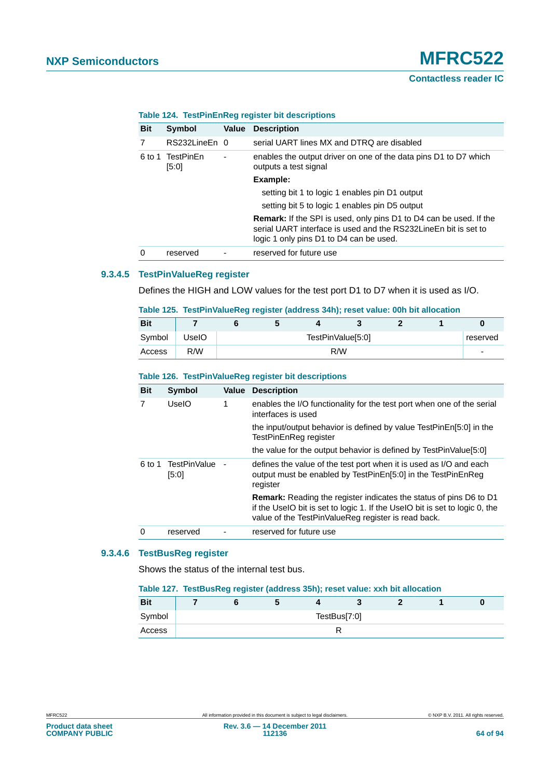| <b>Bit</b> | Symbol                    | Value | <b>Description</b>                                                                                                                                                                      |
|------------|---------------------------|-------|-----------------------------------------------------------------------------------------------------------------------------------------------------------------------------------------|
| 7          | RS232LineEn 0             |       | serial UART lines MX and DTRQ are disabled                                                                                                                                              |
|            | 6 to 1 TestPinEn<br>[5:0] | ٠     | enables the output driver on one of the data pins D1 to D7 which<br>outputs a test signal                                                                                               |
|            |                           |       | Example:                                                                                                                                                                                |
|            |                           |       | setting bit 1 to logic 1 enables pin D1 output                                                                                                                                          |
|            |                           |       | setting bit 5 to logic 1 enables pin D5 output                                                                                                                                          |
|            |                           |       | <b>Remark:</b> If the SPI is used, only pins D1 to D4 can be used. If the<br>serial UART interface is used and the RS232LineEn bit is set to<br>logic 1 only pins D1 to D4 can be used. |
| 0          | reserved                  |       | reserved for future use                                                                                                                                                                 |

# **Table 124. TestPinEnReg register bit descriptions**

# **9.3.4.5 TestPinValueReg register**

Defines the HIGH and LOW values for the test port D1 to D7 when it is used as I/O.

| Table TZJ. Testi ilivalueneg register (audiess JHII), reset value. VVII bit allocation |       |  |  |  |                   |  |  |          |  |  |
|----------------------------------------------------------------------------------------|-------|--|--|--|-------------------|--|--|----------|--|--|
| <b>Bit</b>                                                                             |       |  |  |  |                   |  |  |          |  |  |
| Symbol                                                                                 | UseIO |  |  |  | TestPinValue[5:0] |  |  | reserved |  |  |

Access R/W - R/W - R/W - R/W - Particular and the set of the set of the set of the set of the set of the set o

# **Table 125. TestPinValueReg register (address 34h); reset value: 00h bit allocation**

| <b>Bit</b> | <b>Symbol</b>         | Value | <b>Description</b>                                                                                                                                                                                              |
|------------|-----------------------|-------|-----------------------------------------------------------------------------------------------------------------------------------------------------------------------------------------------------------------|
| 7          | UselO                 | 1     | enables the I/O functionality for the test port when one of the serial<br>interfaces is used                                                                                                                    |
|            |                       |       | the input/output behavior is defined by value TestPinEn[5:0] in the<br>TestPinEnReg register                                                                                                                    |
|            |                       |       | the value for the output behavior is defined by TestPinValue[5:0]                                                                                                                                               |
| 6 to 1     | TestPinValue<br>[5:0] |       | defines the value of the test port when it is used as I/O and each<br>output must be enabled by TestPinEn[5:0] in the TestPinEnReg<br>register                                                                  |
|            |                       |       | <b>Remark:</b> Reading the register indicates the status of pins D6 to D1<br>if the UselO bit is set to logic 1. If the UselO bit is set to logic 0, the<br>value of the TestPinValueReg register is read back. |
| 0          | reserved              |       | reserved for future use                                                                                                                                                                                         |

# **9.3.4.6 TestBusReg register**

Shows the status of the internal test bus.

#### **Table 127. TestBusReg register (address 35h); reset value: xxh bit allocation**

| <b>Bit</b> |  |  |              |  |  |
|------------|--|--|--------------|--|--|
| Symbol     |  |  | TestBus[7:0] |  |  |
| Access     |  |  |              |  |  |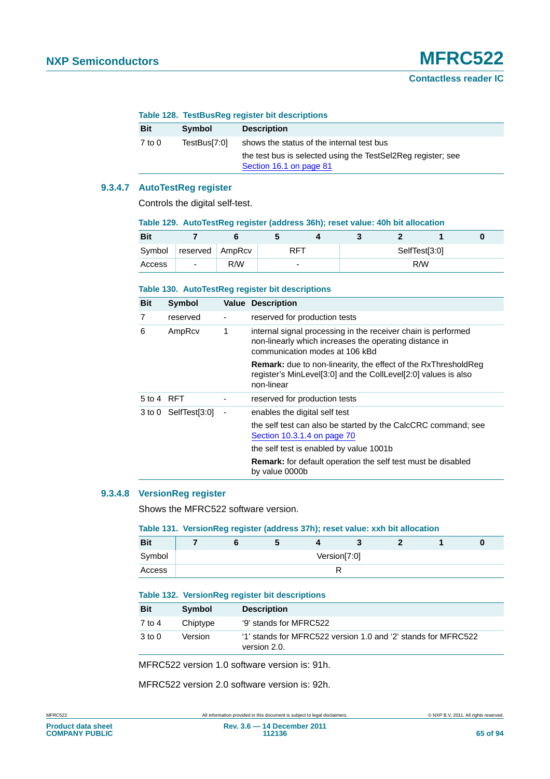|            | Table 128. TestBusReg register bit descriptions |                                           |
|------------|-------------------------------------------------|-------------------------------------------|
| <b>Bit</b> | Symbol                                          | <b>Description</b>                        |
| 7 to 0     | TestBus[7:0]                                    | shows the status of the internal test bus |

| TestBusl7:01 | shows the status of the internal test bus                    |
|--------------|--------------------------------------------------------------|
|              | the test bus is selected using the TestSel2Reg register; see |
|              | Section 16.1 on page 81                                      |

## **9.3.4.7 AutoTestReg register**

Controls the digital self-test.

| Table 129. AutoTestReg register (address 36h); reset value: 40h bit allocation |                          |        |            |   |               |     |  |  |  |  |  |
|--------------------------------------------------------------------------------|--------------------------|--------|------------|---|---------------|-----|--|--|--|--|--|
| <b>Bit</b>                                                                     |                          |        |            |   |               |     |  |  |  |  |  |
| Symbol                                                                         | reserved                 | AmpRcv | <b>RFT</b> |   | SelfTest[3:0] |     |  |  |  |  |  |
| Access                                                                         | $\overline{\phantom{a}}$ | R/W    |            | - |               | R/W |  |  |  |  |  |

#### **Table 130. AutoTestReg register bit descriptions**

| <b>Bit</b>            | Symbol               |   | <b>Value Description</b>                                                                                                                                  |
|-----------------------|----------------------|---|-----------------------------------------------------------------------------------------------------------------------------------------------------------|
| 7                     | reserved             |   | reserved for production tests                                                                                                                             |
| 6                     | AmpRcv               | 1 | internal signal processing in the receiver chain is performed<br>non-linearly which increases the operating distance in<br>communication modes at 106 kBd |
|                       |                      |   | <b>Remark:</b> due to non-linearity, the effect of the RxThresholdReg<br>register's MinLevel[3:0] and the CollLevel[2:0] values is also<br>non-linear     |
| $5 \text{ to } 4$ RFT |                      |   | reserved for production tests                                                                                                                             |
|                       | 3 to 0 SelfTest[3:0] | ٠ | enables the digital self test                                                                                                                             |
|                       |                      |   | the self test can also be started by the CalcCRC command; see<br>Section 10.3.1.4 on page 70                                                              |
|                       |                      |   | the self test is enabled by value 1001b                                                                                                                   |
|                       |                      |   | <b>Remark:</b> for default operation the self test must be disabled<br>by value 0000b                                                                     |

# **9.3.4.8 VersionReg register**

Shows the MFRC522 software version.

#### **Table 131. VersionReg register (address 37h); reset value: xxh bit allocation**

| <b>Bit</b> |  |  |              |  |  |
|------------|--|--|--------------|--|--|
| Symbol     |  |  | Version[7:0] |  |  |
| Access     |  |  |              |  |  |

#### **Table 132. VersionReg register bit descriptions**

| <b>Bit</b> | Symbol   | <b>Description</b>                                                            |
|------------|----------|-------------------------------------------------------------------------------|
| 7 to 4     | Chiptype | '9' stands for MFRC522                                                        |
| $3$ to $0$ | Version  | '1' stands for MFRC522 version 1.0 and '2' stands for MFRC522<br>version 2.0. |

MFRC522 version 1.0 software version is: 91h.

MFRC522 version 2.0 software version is: 92h.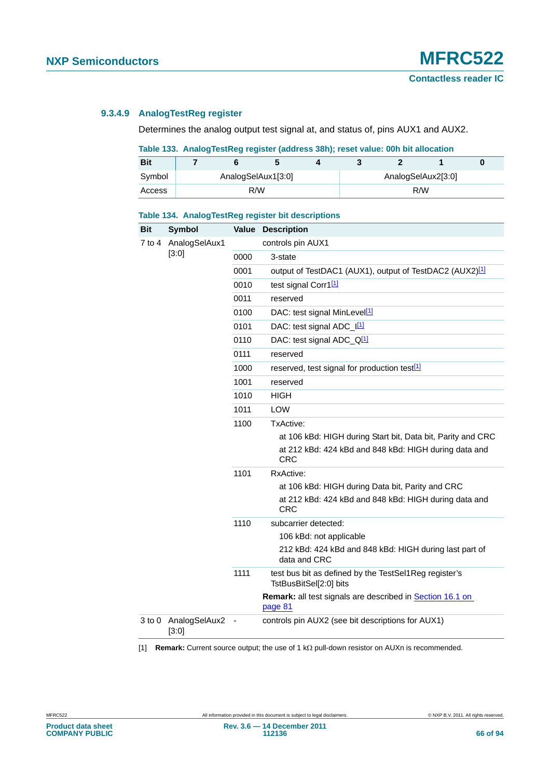# **9.3.4.9 AnalogTestReg register**

Determines the analog output test signal at, and status of, pins AUX1 and AUX2.

# **Table 133. AnalogTestReg register (address 38h); reset value: 00h bit allocation**

| <b>Bit</b> |  |                    |  |                    |  |
|------------|--|--------------------|--|--------------------|--|
| Symbol     |  | AnalogSelAux1[3:0] |  | AnalogSelAux2[3:0] |  |
| Access     |  | R/W                |  | R/W                |  |

#### **Table 134. AnalogTestReg register bit descriptions**

| <b>Bit</b> | <b>Symbol</b>          |                | <b>Value Description</b>                                                                                  |
|------------|------------------------|----------------|-----------------------------------------------------------------------------------------------------------|
| 7 to 4     | AnalogSelAux1          |                | controls pin AUX1                                                                                         |
|            | [3:0]                  | 0000           | 3-state                                                                                                   |
|            |                        | 0001           | output of TestDAC1 (AUX1), output of TestDAC2 (AUX2) <sup>[1]</sup>                                       |
|            |                        | 0010           | test signal Corr1[1]                                                                                      |
|            |                        | 0011           | reserved                                                                                                  |
|            |                        | 0100           | DAC: test signal MinLevel <sup>[1]</sup>                                                                  |
|            |                        | 0101           | DAC: test signal ADC_I[1]                                                                                 |
|            |                        | 0110           | DAC: test signal ADC_Q <sup>[1]</sup>                                                                     |
|            |                        | 0111           | reserved                                                                                                  |
|            |                        | 1000           | reserved, test signal for production test <sup>[1]</sup>                                                  |
|            |                        | 1001           | reserved                                                                                                  |
|            |                        | 1010           | <b>HIGH</b>                                                                                               |
|            |                        | 1011           | <b>LOW</b>                                                                                                |
|            |                        | 1100           | TxActive:                                                                                                 |
|            |                        |                | at 106 kBd: HIGH during Start bit, Data bit, Parity and CRC                                               |
|            |                        |                | at 212 kBd: 424 kBd and 848 kBd: HIGH during data and                                                     |
|            |                        |                | <b>CRC</b>                                                                                                |
|            |                        | 1101           | RxActive:                                                                                                 |
|            |                        |                | at 106 kBd: HIGH during Data bit, Parity and CRC<br>at 212 kBd: 424 kBd and 848 kBd: HIGH during data and |
|            |                        |                | <b>CRC</b>                                                                                                |
|            |                        | 1110           | subcarrier detected:                                                                                      |
|            |                        |                | 106 kBd: not applicable                                                                                   |
|            |                        |                | 212 kBd: 424 kBd and 848 kBd: HIGH during last part of<br>data and CRC                                    |
|            |                        | 1111           | test bus bit as defined by the TestSel1Reg register's<br>TstBusBitSel[2:0] bits                           |
|            |                        |                | <b>Remark:</b> all test signals are described in Section 16.1 on<br>page 81                               |
| 3 to 0     | AnalogSelAux2<br>[3:0] | $\overline{a}$ | controls pin AUX2 (see bit descriptions for AUX1)                                                         |

<span id="page-65-0"></span>[1] **Remark:** Current source output; the use of 1 k $\Omega$  pull-down resistor on AUXn is recommended.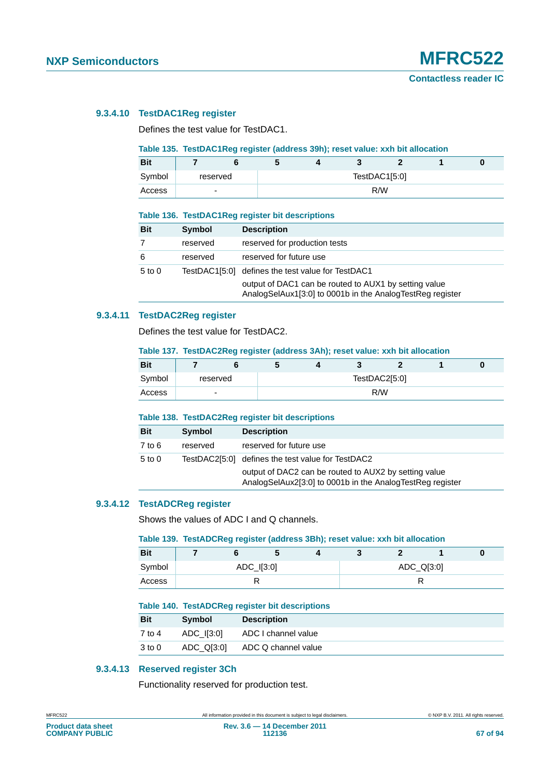# **9.3.4.10 TestDAC1Reg register**

Defines the test value for TestDAC1.

# **Table 135. TestDAC1Reg register (address 39h); reset value: xxh bit allocation**

| <b>Bit</b> |                          |  |               |  |
|------------|--------------------------|--|---------------|--|
| Symbol     | reserved                 |  | TestDAC1[5:0] |  |
| Access     | $\overline{\phantom{0}}$ |  | R/W           |  |

#### **Table 136. TestDAC1Reg register bit descriptions**

| <b>Bit</b> | Symbol   | <b>Description</b>                                                                                                 |
|------------|----------|--------------------------------------------------------------------------------------------------------------------|
|            | reserved | reserved for production tests                                                                                      |
| 6          | reserved | reserved for future use                                                                                            |
| $5$ to $0$ |          | TestDAC1[5:0] defines the test value for TestDAC1                                                                  |
|            |          | output of DAC1 can be routed to AUX1 by setting value<br>AnalogSelAux1[3:0] to 0001b in the AnalogTestReg register |

# **9.3.4.11 TestDAC2Reg register**

Defines the test value for TestDAC2.

#### **Table 137. TestDAC2Reg register (address 3Ah); reset value: xxh bit allocation**

| <b>Bit</b> |          |  |     |               |  |
|------------|----------|--|-----|---------------|--|
| Symbol     | reserved |  |     | TestDAC2[5:0] |  |
| Access     | -        |  | R/W |               |  |

#### **Table 138. TestDAC2Reg register bit descriptions**

| <b>Bit</b> | Symbol   | <b>Description</b>                                                                                                 |
|------------|----------|--------------------------------------------------------------------------------------------------------------------|
| $7$ to 6   | reserved | reserved for future use                                                                                            |
| $5$ to $0$ |          | TestDAC2[5:0] defines the test value for TestDAC2                                                                  |
|            |          | output of DAC2 can be routed to AUX2 by setting value<br>AnalogSelAux2[3:0] to 0001b in the AnalogTestReg register |

# **9.3.4.12 TestADCReg register**

Shows the values of ADC I and Q channels.

#### **Table 139. TestADCReg register (address 3Bh); reset value: xxh bit allocation**

| <b>Bit</b> |  | Ð          |  |            |  |
|------------|--|------------|--|------------|--|
| Symbol     |  | ADC_I[3:0] |  | ADC_Q[3:0] |  |
| Access     |  | ĸ          |  |            |  |

#### **Table 140. TestADCReg register bit descriptions**

| <b>Bit</b> | <b>Symbol</b> | <b>Description</b>  |
|------------|---------------|---------------------|
| 7 to 4     | ADC I[3:0]    | ADC I channel value |
| $3$ to $0$ | ADC Q[3:0]    | ADC Q channel value |

# **9.3.4.13 Reserved register 3Ch**

Functionality reserved for production test.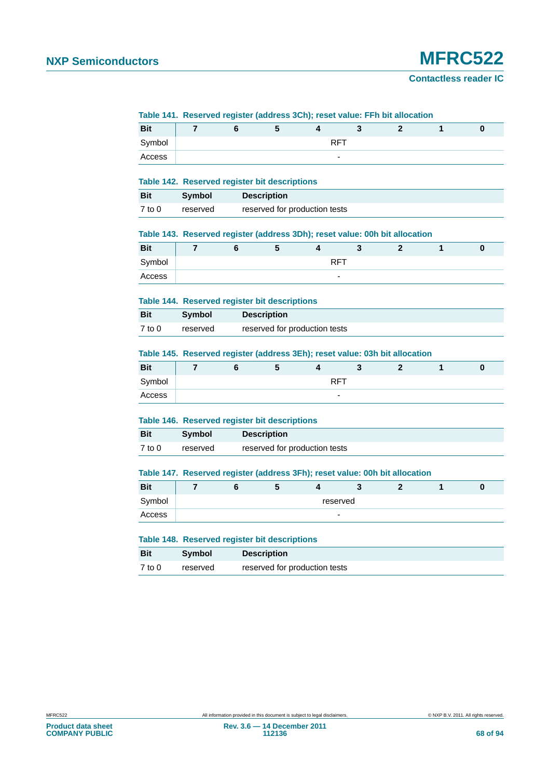#### **Contactless reader IC**

#### **Table 141. Reserved register (address 3Ch); reset value: FFh bit allocation**

| <b>Bit</b> |  |                          | $\sim$ |  |  |
|------------|--|--------------------------|--------|--|--|
| Symbol     |  | RFT                      |        |  |  |
| Access     |  | $\overline{\phantom{0}}$ |        |  |  |

#### **Table 142. Reserved register bit descriptions**

| Bit    | Symbol   | <b>Description</b>            |
|--------|----------|-------------------------------|
| 7 to 0 | reserved | reserved for production tests |

#### **Table 143. Reserved register (address 3Dh); reset value: 00h bit allocation**

|            | . . | __       | __                       |  |  |
|------------|-----|----------|--------------------------|--|--|
| <b>Bit</b> |     | . .<br>w |                          |  |  |
| Symbol     |     |          | <b>RFT</b>               |  |  |
| Access     |     |          | $\overline{\phantom{a}}$ |  |  |

#### **Table 144. Reserved register bit descriptions**

| <b>Bit</b> | Symbol   | <b>Description</b>            |
|------------|----------|-------------------------------|
| $7$ to $0$ | reserved | reserved for production tests |

#### **Table 145. Reserved register (address 3Eh); reset value: 03h bit allocation**

| <b>Bit</b> |  | $\overline{\phantom{a}}$ |                          |  |  |
|------------|--|--------------------------|--------------------------|--|--|
| Symbol     |  |                          | <b>RFT</b>               |  |  |
| Access     |  |                          | $\overline{\phantom{0}}$ |  |  |

#### **Table 146. Reserved register bit descriptions**

| <b>Bit</b> | Symbol   | <b>Description</b>            |
|------------|----------|-------------------------------|
| 7 to 0     | reserved | reserved for production tests |

#### **Table 147. Reserved register (address 3Fh); reset value: 00h bit allocation**

| <b>Bit</b> |  |                          |  |  |
|------------|--|--------------------------|--|--|
| Symbol     |  | reserved                 |  |  |
| Access     |  | $\overline{\phantom{0}}$ |  |  |

|            |               | Table 148. Reserved register bit descriptions |  |  |  |  |
|------------|---------------|-----------------------------------------------|--|--|--|--|
| <b>Bit</b> | <b>Symbol</b> | <b>Description</b>                            |  |  |  |  |
| $7$ to $0$ | reserved      | reserved for production tests                 |  |  |  |  |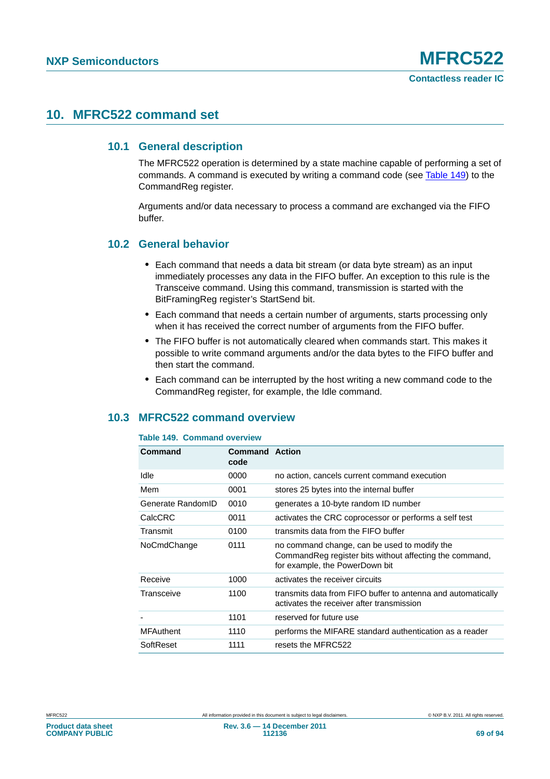# **10. MFRC522 command set**

# **10.1 General description**

The MFRC522 operation is determined by a state machine capable of performing a set of commands. A command is executed by writing a command code (see [Table 149\)](#page-68-1) to the CommandReg register.

Arguments and/or data necessary to process a command are exchanged via the FIFO buffer.

# **10.2 General behavior**

- **•** Each command that needs a data bit stream (or data byte stream) as an input immediately processes any data in the FIFO buffer. An exception to this rule is the Transceive command. Using this command, transmission is started with the BitFramingReg register's StartSend bit.
- **•** Each command that needs a certain number of arguments, starts processing only when it has received the correct number of arguments from the FIFO buffer.
- **•** The FIFO buffer is not automatically cleared when commands start. This makes it possible to write command arguments and/or the data bytes to the FIFO buffer and then start the command.
- **•** Each command can be interrupted by the host writing a new command code to the CommandReg register, for example, the Idle command.

# <span id="page-68-0"></span>**10.3 MFRC522 command overview**

# <span id="page-68-1"></span>**Table 149. Command overview**

| Command           | <b>Command Action</b><br>code |                                                                                                                                            |
|-------------------|-------------------------------|--------------------------------------------------------------------------------------------------------------------------------------------|
| Idle              | 0000                          | no action, cancels current command execution                                                                                               |
| Mem               | 0001                          | stores 25 bytes into the internal buffer                                                                                                   |
| Generate RandomID | 0010                          | generates a 10-byte random ID number                                                                                                       |
| CalcCRC           | 0011                          | activates the CRC coprocessor or performs a self test                                                                                      |
| Transmit          | 0100                          | transmits data from the FIFO buffer                                                                                                        |
| NoCmdChange       | 0111                          | no command change, can be used to modify the<br>Command Reg register bits without affecting the command,<br>for example, the PowerDown bit |
| Receive           | 1000                          | activates the receiver circuits                                                                                                            |
| Transceive        | 1100                          | transmits data from FIFO buffer to antenna and automatically<br>activates the receiver after transmission                                  |
|                   | 1101                          | reserved for future use                                                                                                                    |
| <b>MFAuthent</b>  | 1110                          | performs the MIFARE standard authentication as a reader                                                                                    |
| SoftReset         | 1111                          | resets the MFRC522                                                                                                                         |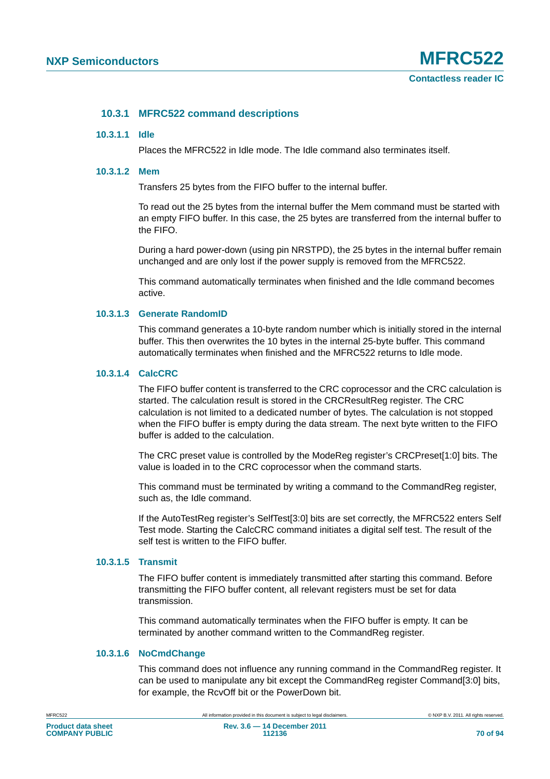# **10.3.1 MFRC522 command descriptions**

#### **10.3.1.1 Idle**

Places the MFRC522 in Idle mode. The Idle command also terminates itself.

#### **10.3.1.2 Mem**

Transfers 25 bytes from the FIFO buffer to the internal buffer.

To read out the 25 bytes from the internal buffer the Mem command must be started with an empty FIFO buffer. In this case, the 25 bytes are transferred from the internal buffer to the FIFO.

During a hard power-down (using pin NRSTPD), the 25 bytes in the internal buffer remain unchanged and are only lost if the power supply is removed from the MFRC522.

This command automatically terminates when finished and the Idle command becomes active.

#### **10.3.1.3 Generate RandomID**

This command generates a 10-byte random number which is initially stored in the internal buffer. This then overwrites the 10 bytes in the internal 25-byte buffer. This command automatically terminates when finished and the MFRC522 returns to Idle mode.

#### <span id="page-69-0"></span>**10.3.1.4 CalcCRC**

The FIFO buffer content is transferred to the CRC coprocessor and the CRC calculation is started. The calculation result is stored in the CRCResultReg register. The CRC calculation is not limited to a dedicated number of bytes. The calculation is not stopped when the FIFO buffer is empty during the data stream. The next byte written to the FIFO buffer is added to the calculation.

The CRC preset value is controlled by the ModeReg register's CRCPreset[1:0] bits. The value is loaded in to the CRC coprocessor when the command starts.

This command must be terminated by writing a command to the CommandReg register, such as, the Idle command.

If the AutoTestReg register's SelfTest[3:0] bits are set correctly, the MFRC522 enters Self Test mode. Starting the CalcCRC command initiates a digital self test. The result of the self test is written to the FIFO buffer.

# **10.3.1.5 Transmit**

The FIFO buffer content is immediately transmitted after starting this command. Before transmitting the FIFO buffer content, all relevant registers must be set for data transmission.

This command automatically terminates when the FIFO buffer is empty. It can be terminated by another command written to the CommandReg register.

# **10.3.1.6 NoCmdChange**

This command does not influence any running command in the CommandReg register. It can be used to manipulate any bit except the CommandReg register Command[3:0] bits, for example, the RcvOff bit or the PowerDown bit.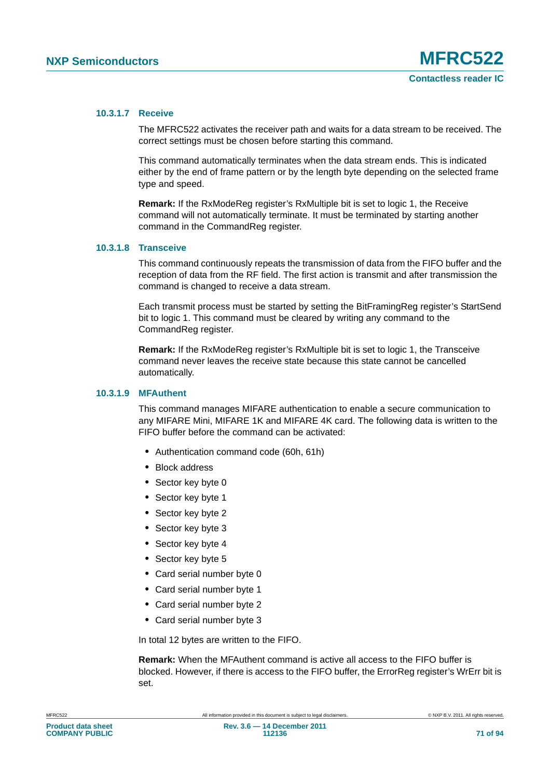#### **10.3.1.7 Receive**

The MFRC522 activates the receiver path and waits for a data stream to be received. The correct settings must be chosen before starting this command.

This command automatically terminates when the data stream ends. This is indicated either by the end of frame pattern or by the length byte depending on the selected frame type and speed.

**Remark:** If the RxModeReg register's RxMultiple bit is set to logic 1, the Receive command will not automatically terminate. It must be terminated by starting another command in the CommandReg register.

# **10.3.1.8 Transceive**

This command continuously repeats the transmission of data from the FIFO buffer and the reception of data from the RF field. The first action is transmit and after transmission the command is changed to receive a data stream.

Each transmit process must be started by setting the BitFramingReg register's StartSend bit to logic 1. This command must be cleared by writing any command to the CommandReg register.

**Remark:** If the RxModeReg register's RxMultiple bit is set to logic 1, the Transceive command never leaves the receive state because this state cannot be cancelled automatically.

#### **10.3.1.9 MFAuthent**

This command manages MIFARE authentication to enable a secure communication to any MIFARE Mini, MIFARE 1K and MIFARE 4K card. The following data is written to the FIFO buffer before the command can be activated:

- **•** Authentication command code (60h, 61h)
- **•** Block address
- **•** Sector key byte 0
- **•** Sector key byte 1
- **•** Sector key byte 2
- **•** Sector key byte 3
- **•** Sector key byte 4
- **•** Sector key byte 5
- **•** Card serial number byte 0
- **•** Card serial number byte 1
- **•** Card serial number byte 2
- **•** Card serial number byte 3

In total 12 bytes are written to the FIFO.

**Remark:** When the MFAuthent command is active all access to the FIFO buffer is blocked. However, if there is access to the FIFO buffer, the ErrorReg register's WrErr bit is set.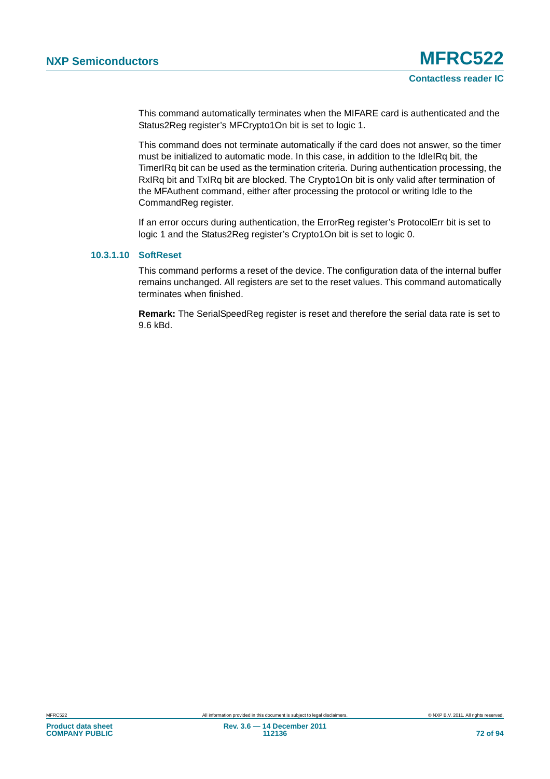This command automatically terminates when the MIFARE card is authenticated and the Status2Reg register's MFCrypto1On bit is set to logic 1.

This command does not terminate automatically if the card does not answer, so the timer must be initialized to automatic mode. In this case, in addition to the IdleIRq bit, the TimerIRq bit can be used as the termination criteria. During authentication processing, the RxIRq bit and TxIRq bit are blocked. The Crypto1On bit is only valid after termination of the MFAuthent command, either after processing the protocol or writing Idle to the CommandReg register.

If an error occurs during authentication, the ErrorReg register's ProtocolErr bit is set to logic 1 and the Status2Reg register's Crypto1On bit is set to logic 0.

# **10.3.1.10 SoftReset**

This command performs a reset of the device. The configuration data of the internal buffer remains unchanged. All registers are set to the reset values. This command automatically terminates when finished.

**Remark:** The SerialSpeedReg register is reset and therefore the serial data rate is set to 9.6 kBd.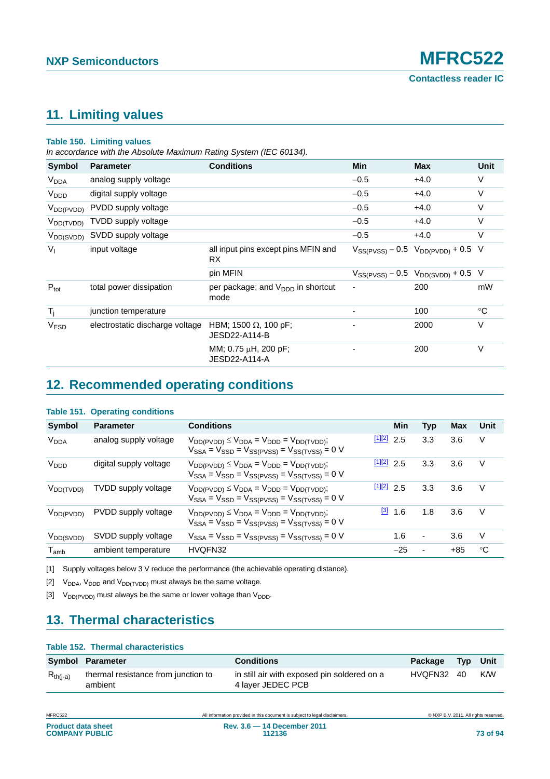### <span id="page-72-3"></span>**11. Limiting values**

#### **Table 150. Limiting values**

*In accordance with the Absolute Maximum Rating System (IEC 60134).*

| <b>Symbol</b>          | <b>Parameter</b>                | <b>Conditions</b>                              | <b>Min</b> | <b>Max</b>                                  | <b>Unit</b> |
|------------------------|---------------------------------|------------------------------------------------|------------|---------------------------------------------|-------------|
| <b>V<sub>DDA</sub></b> | analog supply voltage           |                                                | $-0.5$     | $+4.0$                                      | $\vee$      |
| V <sub>DDD</sub>       | digital supply voltage          |                                                | $-0.5$     | $+4.0$                                      | $\vee$      |
| $V_{DD(PVDD)}$         | PVDD supply voltage             |                                                | $-0.5$     | $+4.0$                                      | V           |
| $V_{DD(TVDD)}$         | TVDD supply voltage             |                                                | $-0.5$     | $+4.0$                                      | $\vee$      |
| $V_{DD(SVDD)}$         | SVDD supply voltage             |                                                | $-0.5$     | $+4.0$                                      | V           |
| $V_{\perp}$            | input voltage                   | all input pins except pins MFIN and<br>RX.     |            | $V_{SS(PVSS)} - 0.5$ $V_{DD(PVDD)} + 0.5$ V |             |
|                        |                                 | pin MFIN                                       |            | $V_{SS(PVSS)} - 0.5$ $V_{DD(SVDD)} + 0.5$ V |             |
| $P_{\text{tot}}$       | total power dissipation         | per package; and $V_{DDD}$ in shortcut<br>mode | ٠          | 200                                         | mW          |
| $T_i$                  | junction temperature            |                                                |            | 100                                         | $^{\circ}C$ |
| <b>VESD</b>            | electrostatic discharge voltage | HBM; 1500 Ω, 100 pF;<br>JESD22-A114-B          |            | 2000                                        | $\vee$      |
|                        |                                 | MM; 0.75 μH, 200 pF;<br>JESD22-A114-A          |            | 200                                         | $\vee$      |

### <span id="page-72-4"></span>**12. Recommended operating conditions**

#### **Symbol Parameter Conditions Min Typ Max Unit**  $V_{DDA}$  analog supply voltage  $V_{DD(PVDD)} \leq V_{DDA} = V_{DDD} = V_{DD(TVDD)}$ ;  $V_{SSA} = V_{SSD} = V_{SS(PVSS)} = V_{SS(TVSS)} = 0$  V  $11[2]$  $11[2]$  2.5 3.3 3.6 V  $V_{\text{DDD}}$  digital supply voltage  $V_{\text{DD(PVDD)}} \leq V_{\text{DDA}} = V_{\text{DDD}} = V_{\text{DD(TVDD)}}$ ;  $V<sub>SSA</sub> = V<sub>SSD</sub> = V<sub>SS(PVSS)</sub> = V<sub>SS(TVSS)</sub> = 0 V$  $\frac{[1][2]}{2.5}$  $\frac{[1][2]}{2.5}$  $\frac{[1][2]}{2.5}$  $\frac{[1][2]}{2.5}$  3.3 3.6 V  $V_{DD(TVDD)}$  TVDD supply voltage  $V_{DD(PVDD)} \leq V_{DDA} = V_{DDD} = V_{DD(TVDD)}$ ;  $V_{SSA} = V_{SSD} = V_{SS(PVSS)} = V_{SS(TVSS)} = 0$ [\[1\]](#page-72-0)[\[2\]](#page-72-1) 2.5 3.3 3.6 V  $V_{DD(PVDD)}$  PVDD supply voltage  $V_{DD(PVDD)} \leq V_{DDA} = V_{DDD} = V_{DD(TVDD)}$ ;  $V_{SSA} = V_{SSD} = V_{SS(PVSS)} = V_{SS(TVSS)} = 0$  V  $\frac{3}{1.6}$  1.8 3.6 V  $V_{DD(SVDD)}$  SVDD supply voltage  $V_{SSA} = V_{SSD} = V_{SS(PVSS)} = V_{SS(TVSS)} = 0 \text{ V}$  1.6 - 3.6 V T<sub>amb</sub> ambient temperature HVQFN32 25 - +85 °C

#### **Table 151. Operating conditions**

<span id="page-72-0"></span>[1] Supply voltages below 3 V reduce the performance (the achievable operating distance).

<span id="page-72-1"></span>[2]  $V_{DDA}$ ,  $V_{DDD}$  and  $V_{DD(TVDD)}$  must always be the same voltage.

<span id="page-72-2"></span>[3]  $V_{DD(PVDD)}$  must always be the same or lower voltage than  $V_{DDD}$ .

### <span id="page-72-5"></span>**13. Thermal characteristics**

|               | Table 152. Thermal characteristics             |                                                                  |            |                 |     |
|---------------|------------------------------------------------|------------------------------------------------------------------|------------|-----------------|-----|
|               | Symbol Parameter                               | <b>Conditions</b>                                                | Package    | <b>Typ</b> Unit |     |
| $R_{th(i-a)}$ | thermal resistance from junction to<br>ambient | in still air with exposed pin soldered on a<br>4 layer JEDEC PCB | HVQFN32 40 |                 | K/W |

| <b>Product data sheet</b> |  |
|---------------------------|--|
| <b>COMPANY PUBLIC</b>     |  |

**Rev. 3.6 — 14 December 2011**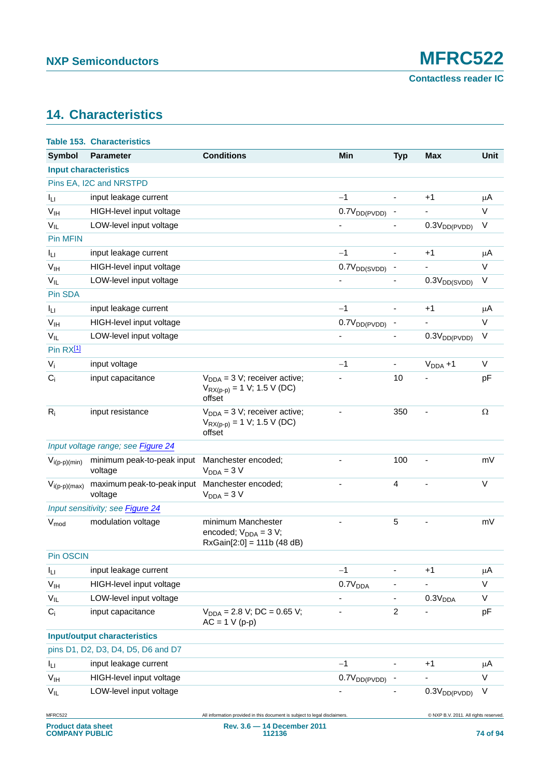## <span id="page-73-0"></span>**14. Characteristics**

|                            | <b>Table 153. Characteristics</b>     |                                                                                  |                          |                |                                       |             |
|----------------------------|---------------------------------------|----------------------------------------------------------------------------------|--------------------------|----------------|---------------------------------------|-------------|
| Symbol                     | <b>Parameter</b>                      | <b>Conditions</b>                                                                | Min                      | <b>Typ</b>     | <b>Max</b>                            | <b>Unit</b> |
|                            | <b>Input characteristics</b>          |                                                                                  |                          |                |                                       |             |
|                            | Pins EA, I2C and NRSTPD               |                                                                                  |                          |                |                                       |             |
| $I_{LI}$                   | input leakage current                 |                                                                                  | $-1$                     | $\frac{1}{2}$  | $+1$                                  | μA          |
| V <sub>IH</sub>            | HIGH-level input voltage              |                                                                                  | $0.7V_{DD(PVDD)}$        |                |                                       | V           |
| $V_{IL}$                   | LOW-level input voltage               |                                                                                  |                          |                | $0.3V_{DD(PVDD)}$                     | V           |
| Pin MFIN                   |                                       |                                                                                  |                          |                |                                       |             |
| $I_{LI}$                   | input leakage current                 |                                                                                  | $-1$                     |                | $+1$                                  | μA          |
| V <sub>IH</sub>            | HIGH-level input voltage              |                                                                                  | 0.7V <sub>DD(SVDD)</sub> |                |                                       | V           |
| $V_{IL}$                   | LOW-level input voltage               |                                                                                  |                          |                | 0.3V <sub>DD(SVDD)</sub>              | V           |
| Pin SDA                    |                                       |                                                                                  |                          |                |                                       |             |
| $I_{LI}$                   | input leakage current                 |                                                                                  | $-1$                     |                | $+1$                                  | μA          |
| $\mathsf{V}_{\mathsf{IH}}$ | HIGH-level input voltage              |                                                                                  | $0.7V_{DD(PVDD)}$        |                |                                       | V           |
| $V_{IL}$                   | LOW-level input voltage               |                                                                                  |                          |                | 0.3V <sub>DD(PVDD)</sub>              | V           |
| Pin RX <sup>[1]</sup>      |                                       |                                                                                  |                          |                |                                       |             |
| $V_i$                      | input voltage                         |                                                                                  | $-1$                     |                | $V_{DDA} + 1$                         | V           |
| $C_i$                      | input capacitance                     | $V_{DDA} = 3 V$ ; receiver active;<br>$V_{RX(p-p)} = 1 V; 1.5 V (DC)$<br>offset  |                          | 10             |                                       | pF          |
| $R_i$                      | input resistance                      | $V_{DDA} = 3 V$ ; receiver active;<br>$V_{RX(p-p)} = 1$ V; 1.5 V (DC)<br>offset  |                          | 350            | $\qquad \qquad \blacksquare$          | $\Omega$    |
|                            | Input voltage range; see Figure 24    |                                                                                  |                          |                |                                       |             |
| $V_{i(p-p)(min)}$          | minimum peak-to-peak input<br>voltage | Manchester encoded;<br>$V_{DDA} = 3 V$                                           |                          | 100            |                                       | mV          |
| $V_{i(p-p)(max)}$          | maximum peak-to-peak input<br>voltage | Manchester encoded;<br>$V_{DDA} = 3 V$                                           |                          | 4              |                                       | V           |
|                            | Input sensitivity; see Figure 24      |                                                                                  |                          |                |                                       |             |
| V <sub>mod</sub>           | modulation voltage                    | minimum Manchester<br>encoded; $V_{DDA} = 3 V$ ;<br>$RxGain[2:0] = 111b (48 dB)$ |                          | 5              |                                       | mV          |
| Pin OSCIN                  |                                       |                                                                                  |                          |                |                                       |             |
| $I_{LI}$                   | input leakage current                 |                                                                                  | $-1$                     |                | $+1$                                  | μA          |
| V <sub>IH</sub>            | HIGH-level input voltage              |                                                                                  | 0.7V <sub>DDA</sub>      |                |                                       | V           |
| $V_{IL}$                   | LOW-level input voltage               |                                                                                  |                          |                | 0.3V <sub>DDA</sub>                   | V           |
| $C_i$                      | input capacitance                     | $V_{DDA} = 2.8 V$ ; DC = 0.65 V;<br>$AC = 1$ V (p-p)                             |                          | $\overline{c}$ | ÷,                                    | pF          |
|                            | <b>Input/output characteristics</b>   |                                                                                  |                          |                |                                       |             |
|                            | pins D1, D2, D3, D4, D5, D6 and D7    |                                                                                  |                          |                |                                       |             |
| Ιu                         | input leakage current                 |                                                                                  | $-1$                     |                | $+1$                                  | μA          |
| V <sub>IH</sub>            | HIGH-level input voltage              |                                                                                  | $0.7V_{DD(PVDD)}$        |                |                                       | V           |
| $V_{IL}$                   | LOW-level input voltage               |                                                                                  |                          |                | 0.3V <sub>DD(PVDD)</sub>              | V           |
| MFRC522                    |                                       | All information provided in this document is subject to legal disclaimers.       |                          |                | © NXP B.V. 2011. All rights reserved. |             |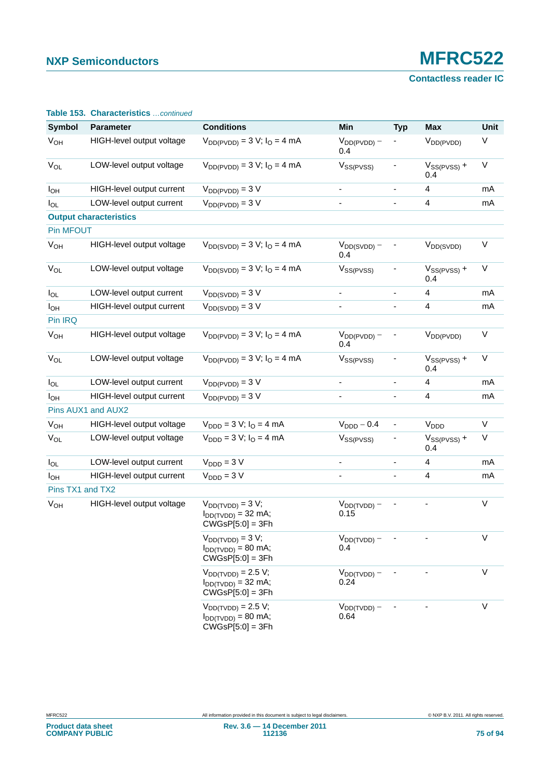**Contactless reader IC**

|                       | <b>Table 133. Griddeter Istics</b> <i>continued</i> |                                                                                   |                          |                          |                         |             |
|-----------------------|-----------------------------------------------------|-----------------------------------------------------------------------------------|--------------------------|--------------------------|-------------------------|-------------|
| <b>Symbol</b>         | <b>Parameter</b>                                    | <b>Conditions</b>                                                                 | Min                      | <b>Typ</b>               | <b>Max</b>              | Unit        |
| <b>V<sub>OH</sub></b> | HIGH-level output voltage                           | $V_{DD(PVDD)} = 3 V; IO = 4 mA$                                                   | $V_{DD(PVDD)} -$<br>0.4  |                          | $V_{DD(PVDD)}$          | V           |
| $V_{OL}$              | LOW-level output voltage                            | $V_{DD(PVDD)} = 3 V; IO = 4 mA$                                                   | V <sub>SS(PVSS)</sub>    |                          | $V_{SS(PVSS)} +$<br>0.4 | $\mathsf V$ |
| $I_{OH}$              | HIGH-level output current                           | $V_{DD(PVDD)} = 3 V$                                                              | -                        | $\overline{\phantom{a}}$ | 4                       | mA          |
| $I_{OL}$              | LOW-level output current                            | $V_{DD(PVDD)} = 3 V$                                                              |                          |                          | $\overline{\mathbf{4}}$ | mA          |
|                       | <b>Output characteristics</b>                       |                                                                                   |                          |                          |                         |             |
| Pin MFOUT             |                                                     |                                                                                   |                          |                          |                         |             |
| <b>V<sub>OH</sub></b> | HIGH-level output voltage                           | $V_{DD(SVDD)} = 3 V; IO = 4 mA$                                                   | $V_{DD(SVDD)} -$<br>0.4  |                          | $V_{DD(SVDD)}$          | $\vee$      |
| $V_{OL}$              | LOW-level output voltage                            | $V_{DD(SVDD)} = 3 V; IO = 4 mA$                                                   | $V_{SS(PVSS)}$           |                          | $V_{SS(PVSS)} +$<br>0.4 | $\vee$      |
| $I_{OL}$              | LOW-level output current                            | $V_{DD(SVDD)} = 3 V$                                                              |                          | $\overline{\phantom{a}}$ | 4                       | mA          |
| $I_{OH}$              | HIGH-level output current                           | $V_{DD(SVDD)} = 3 V$                                                              |                          |                          | 4                       | mA          |
| Pin IRQ               |                                                     |                                                                                   |                          |                          |                         |             |
| $V_{OH}$              | HIGH-level output voltage                           | $V_{DD(PVDD)} = 3 V; IO = 4 mA$                                                   | $V_{DD(PVDD)} -$<br>0.4  |                          | $V_{DD(PVDD)}$          | $\vee$      |
| $V_{OL}$              | LOW-level output voltage                            | $V_{DD(PVDD)} = 3 V; IO = 4 mA$                                                   | $V_{SS(PVSS)}$           |                          | $V_{SS(PVSS)} +$<br>0.4 | $\sf V$     |
| $I_{OL}$              | LOW-level output current                            | $V_{DD(PVDD)} = 3 V$                                                              |                          | $\overline{\phantom{a}}$ | 4                       | mA          |
| $I_{OH}$              | HIGH-level output current                           | $V_{DD(PVDD)} = 3 V$                                                              |                          |                          | $\overline{4}$          | mA          |
|                       | Pins AUX1 and AUX2                                  |                                                                                   |                          |                          |                         |             |
| $V_{OH}$              | HIGH-level output voltage                           | $V_{\text{DDD}} = 3 V; I_{\text{O}} = 4 mA$                                       | $VDDD - 0.4$             | $\blacksquare$           | V <sub>DDD</sub>        | $\vee$      |
| $V_{OL}$              | LOW-level output voltage                            | $V_{\text{DDD}} = 3 V; I_{\text{O}} = 4 mA$                                       | $V_{SS(PVSS)}$           | ۰                        | $V_{SS(PVSS)} +$<br>0.4 | V           |
| $I_{OL}$              | LOW-level output current                            | $V_{\text{DDD}} = 3 V$                                                            | $\blacksquare$           | ÷,                       | 4                       | mA          |
| $I_{OH}$              | HIGH-level output current                           | $VDDD = 3 V$                                                                      |                          | $\blacksquare$           | 4                       | mA          |
| Pins TX1 and TX2      |                                                     |                                                                                   |                          |                          |                         |             |
| $V_{OH}$              | HIGH-level output voltage                           | $V_{DD(TVDD)} = 3 V;$<br>$I_{DD(TVDD)} = 32 \text{ mA};$<br>$CWGsP[5:0] = 3Fh$    | $V_{DD(TVDD)} -$<br>0.15 |                          |                         | $\mathsf V$ |
|                       |                                                     | $V_{DD(TVDD)} = 3 V;$<br>$I_{DD(TVDD)} = 80$ mA;<br>$CWGsP[5:0] = 3Fh$            | $V_{DD(TVDD)} -$<br>0.4  |                          |                         | $\vee$      |
|                       |                                                     | $V_{DD(TVDD)} = 2.5 V;$<br>$I_{DD(TVDD)} = 32 \text{ mA}$ ;<br>$CWGsP[5:0] = 3Fh$ | $V_{DD(TVDD)} -$<br>0.24 |                          |                         | $\vee$      |
|                       |                                                     | $V_{DD(TVDD)} = 2.5 V;$<br>$I_{DD(TVDD)} = 80$ mA;<br>$CWGsP[5:0] = 3Fh$          | $V_{DD(TVDD)} -$<br>0.64 |                          |                         | $\vee$      |

#### **Table 153. Characteristics** *…continued*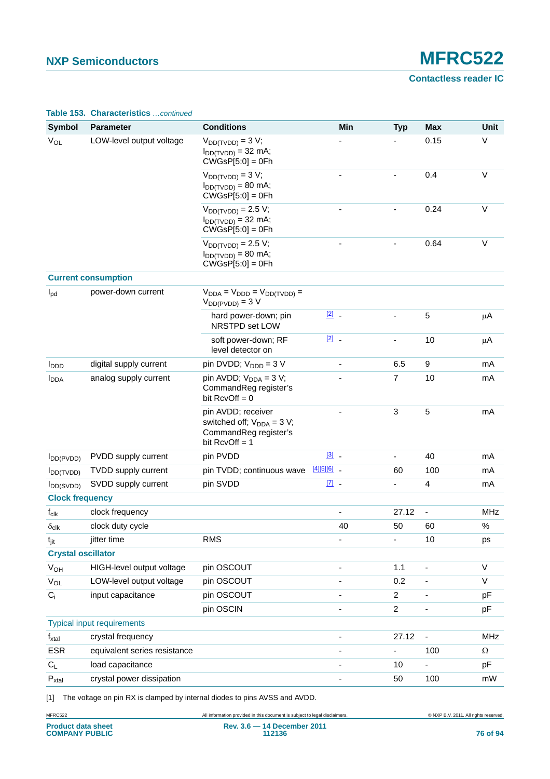**Contactless reader IC**

| <b>Symbol</b>                            | <b>Parameter</b>                  | <b>Conditions</b>                                                                                  |               | Min                      | <b>Typ</b>               | <b>Max</b>               | <b>Unit</b> |
|------------------------------------------|-----------------------------------|----------------------------------------------------------------------------------------------------|---------------|--------------------------|--------------------------|--------------------------|-------------|
| $V_{OL}$                                 | LOW-level output voltage          | $V_{DD(TVDD)} = 3 V;$<br>$I_{DD(TVDD)} = 32$ mA;<br>$CWGsP[5:0] = 0Fh$                             |               |                          |                          | 0.15                     | $\vee$      |
|                                          |                                   | $V_{DD(TVDD)} = 3 V;$<br>$I_{DD(TVDD)} = 80$ mA;<br>$CWGsP[5:0] = 0Fh$                             |               |                          | $\overline{\phantom{0}}$ | 0.4                      | $\vee$      |
|                                          |                                   | $V_{DD(TVDD)} = 2.5 V;$<br>$I_{DD(TVDD)} = 32 \text{ mA}$ ;<br>$CWGsP[5:0] = 0Fh$                  |               |                          |                          | 0.24                     | $\vee$      |
|                                          |                                   | $V_{DD(TVDD)} = 2.5 V;$<br>$I_{DD(TVDD)} = 80$ mA;<br>$CWGsP[5:0] = 0Fh$                           |               |                          |                          | 0.64                     | $\vee$      |
|                                          | <b>Current consumption</b>        |                                                                                                    |               |                          |                          |                          |             |
| $I_{\text{pd}}$                          | power-down current                | $V_{DDA} = V_{DDD} = V_{DD(TVDD)} =$<br>$V_{DD(PVDD)} = 3 V$                                       |               |                          |                          |                          |             |
|                                          |                                   | hard power-down; pin<br>NRSTPD set LOW                                                             | $\boxed{2}$ . |                          |                          | $\sqrt{5}$               | μA          |
|                                          |                                   | soft power-down; RF<br>level detector on                                                           | $\boxed{2}$ . |                          | -                        | 10                       | μA          |
| <b>I</b> <sub>DDD</sub>                  | digital supply current            | pin DVDD; $V_{\text{DDD}} = 3 V$                                                                   |               | $\overline{\phantom{m}}$ | 6.5                      | 9                        | mA          |
| <b>I</b> <sub>DDA</sub>                  | analog supply current             | pin AVDD; $V_{DDA} = 3 V$ ;<br>CommandReg register's<br>bit $RcvOff = 0$                           |               |                          | 7                        | 10                       | mA          |
|                                          |                                   | pin AVDD; receiver<br>switched off; $V_{DDA} = 3 V$ ;<br>CommandReg register's<br>bit $RcvOff = 1$ |               |                          | 3                        | 5                        | mA          |
| $I_{DD(PVDD)}$                           | PVDD supply current               | pin PVDD                                                                                           | $\boxed{3}$ . |                          | L,                       | 40                       | mA          |
| $I_{DD(TVDD)}$                           | TVDD supply current               | pin TVDD; continuous wave                                                                          | $[4][5][6]$ _ |                          | 60                       | 100                      | mA          |
| $I_{DD(SVDD)}$<br><b>Clock frequency</b> | SVDD supply current               | pin SVDD                                                                                           | $\boxed{7}$   |                          | ۰                        | $\overline{4}$           | mA          |
| $f_{clk}$                                | clock frequency                   |                                                                                                    |               |                          | 27.12                    | $\blacksquare$           | <b>MHz</b>  |
| $\delta_{\text{clk}}$                    | clock duty cycle                  |                                                                                                    |               | 40                       | 50                       | 60                       | $\%$        |
| $t_{\text{jit}}$                         | jitter time                       | <b>RMS</b>                                                                                         |               |                          | ٠                        | 10                       | ps          |
| <b>Crystal oscillator</b>                |                                   |                                                                                                    |               |                          |                          |                          |             |
| $V_{OH}$                                 | HIGH-level output voltage         | pin OSCOUT                                                                                         |               | $\blacksquare$           | 1.1                      | $\overline{\phantom{a}}$ | $\vee$      |
| $V_{OL}$                                 | LOW-level output voltage          | pin OSCOUT                                                                                         |               |                          | 0.2                      | $\blacksquare$           | $\vee$      |
| $C_i$                                    | input capacitance                 | pin OSCOUT                                                                                         |               |                          | $\overline{2}$           |                          | pF          |
|                                          |                                   | pin OSCIN                                                                                          |               |                          | $\overline{a}$           | $\overline{\phantom{a}}$ | pF          |
|                                          | <b>Typical input requirements</b> |                                                                                                    |               |                          |                          |                          |             |
| $f_{xtal}$                               | crystal frequency                 |                                                                                                    |               | $\blacksquare$           | 27.12                    | $\blacksquare$           | MHz         |
| <b>ESR</b>                               | equivalent series resistance      |                                                                                                    |               |                          | $\overline{\phantom{0}}$ | 100                      | $\Omega$    |
| $C_L$                                    | load capacitance                  |                                                                                                    |               | $\blacksquare$           | 10                       | ÷,                       | pF          |
| $P_{xtal}$                               | crystal power dissipation         |                                                                                                    |               | -                        | 50                       | 100                      | mW          |

#### **Table 153. Characteristics** *…continued*

<span id="page-75-0"></span>[1] The voltage on pin RX is clamped by internal diodes to pins AVSS and AVDD.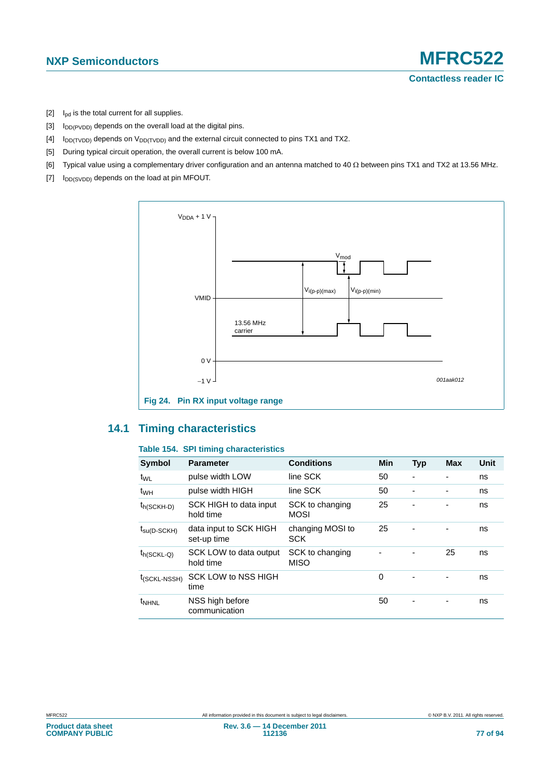- <span id="page-76-1"></span> $[2]$  I<sub>pd</sub> is the total current for all supplies.
- <span id="page-76-2"></span> $[3]$  I<sub>DD(PVDD)</sub> depends on the overall load at the digital pins.
- <span id="page-76-3"></span> $[4]$  I<sub>DD(TVDD)</sub> depends on V<sub>DD(TVDD)</sub> and the external circuit connected to pins TX1 and TX2.
- <span id="page-76-4"></span>[5] During typical circuit operation, the overall current is below 100 mA.
- <span id="page-76-5"></span>[6] Typical value using a complementary driver configuration and an antenna matched to 40  $\Omega$  between pins TX1 and TX2 at 13.56 MHz.
- <span id="page-76-6"></span> $[7]$   $I_{DD(SVDD)}$  depends on the load at pin MFOUT.



#### <span id="page-76-8"></span><span id="page-76-0"></span>**14.1 Timing characteristics**

#### <span id="page-76-7"></span>**Table 154. SPI timing characteristics**

| <b>Symbol</b>            | <b>Parameter</b>                      | <b>Conditions</b>              | Min | <b>Typ</b>               | <b>Max</b> | Unit |
|--------------------------|---------------------------------------|--------------------------------|-----|--------------------------|------------|------|
| t <sub>WL</sub>          | pulse width LOW                       | line SCK                       | 50  | $\overline{\phantom{0}}$ | ٠          | ns   |
| t <sub>WH</sub>          | pulse width HIGH                      | line SCK                       | 50  |                          |            | ns   |
| t <sub>h</sub> (SCKH-D)  | SCK HIGH to data input<br>hold time   | SCK to changing<br><b>MOSI</b> | 25  | ٠                        |            | ns   |
| $t_{\text{SU(D-SCKH)}}$  | data input to SCK HIGH<br>set-up time | changing MOSI to<br><b>SCK</b> | 25  | ٠                        |            | ns   |
| $t_{h(SCKL-Q)}$          | SCK LOW to data output<br>hold time   | SCK to changing<br><b>MISO</b> |     |                          | 25         | ns   |
| t <sub>(SCKL-NSSH)</sub> | SCK LOW to NSS HIGH<br>time           |                                | 0   |                          |            | ns   |
| <sup>t</sup> NHNL        | NSS high before<br>communication      |                                | 50  |                          |            | ns   |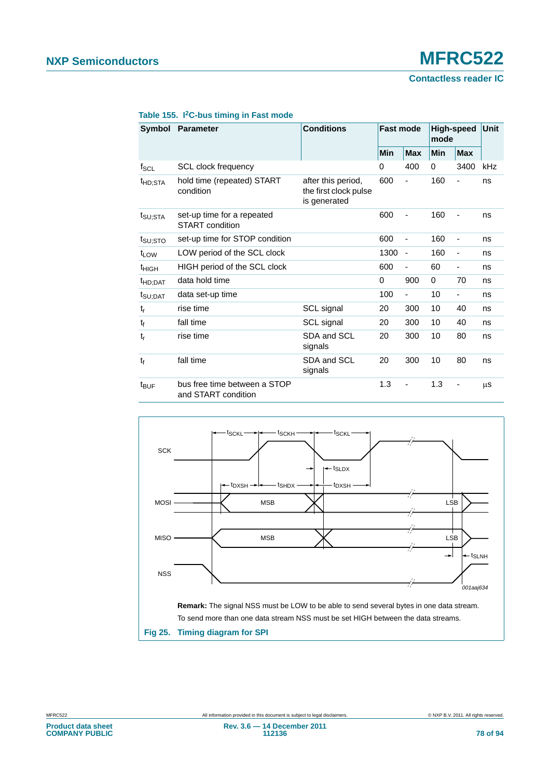**Contactless reader IC**

| <b>Symbol</b>       | <b>Parameter</b>                                                                                       | <b>Conditions</b>      | <b>Fast mode</b> |                          | mode       | <b>High-speed</b>            | Unit |
|---------------------|--------------------------------------------------------------------------------------------------------|------------------------|------------------|--------------------------|------------|------------------------------|------|
|                     |                                                                                                        |                        | Min              | <b>Max</b>               | <b>Min</b> | <b>Max</b>                   |      |
| $f_{\mathsf{SCL}}$  | <b>SCL clock frequency</b>                                                                             |                        | 0                | 400                      | 0          | 3400                         | kHz  |
| <sup>t</sup> HD;STA | hold time (repeated) START<br>after this period,<br>condition<br>the first clock pulse<br>is generated |                        | 600              |                          | 160        | ä,                           | ns   |
| $t_{\text{SU;STA}}$ | set-up time for a repeated<br><b>START</b> condition                                                   |                        | 600              |                          | 160        |                              | ns   |
| t <sub>SU;STO</sub> | set-up time for STOP condition                                                                         |                        | 600              | $\overline{\phantom{m}}$ | 160        | ÷,                           | ns   |
| t <sub>LOW</sub>    | LOW period of the SCL clock                                                                            |                        | 1300             | $\overline{\phantom{a}}$ | 160        | $\qquad \qquad \blacksquare$ | ns   |
| $t_{HIGH}$          | HIGH period of the SCL clock                                                                           |                        | 600              | $\overline{\phantom{m}}$ | 60         | ٠                            | ns   |
| <sup>t</sup> HD:DAT | data hold time                                                                                         |                        | 0                | 900                      | 0          | 70                           | ns   |
| t <sub>SU;DAT</sub> | data set-up time                                                                                       |                        | 100              | $\overline{\phantom{a}}$ | 10         | ÷,                           | ns   |
| $t_r$               | rise time                                                                                              | SCL signal             | 20               | 300                      | 10         | 40                           | ns   |
| t <sub>f</sub>      | fall time                                                                                              | SCL signal             | 20               | 300                      | 10         | 40                           | ns   |
| $t_{r}$             | rise time                                                                                              | SDA and SCL<br>signals | 20               | 300                      | 10         | 80                           | ns   |
| $t_{f}$             | fall time                                                                                              | SDA and SCL<br>signals | 20               | 300                      | 10         | 80                           | ns   |
| $t_{\text{BUF}}$    | bus free time between a STOP<br>and START condition                                                    |                        | 1.3              |                          | 1.3        | -                            | μS   |

#### **Table 155. I2C-bus timing in Fast mode**



**Fig 25. Timing diagram for SPI**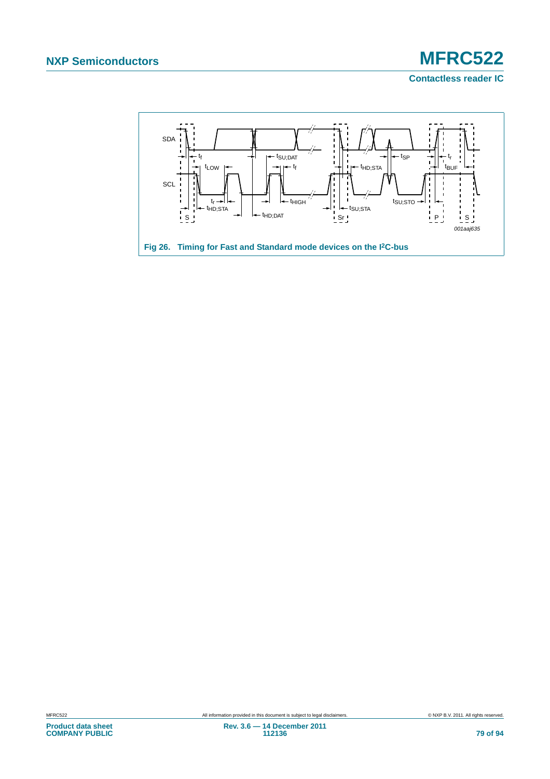**Contactless reader IC**

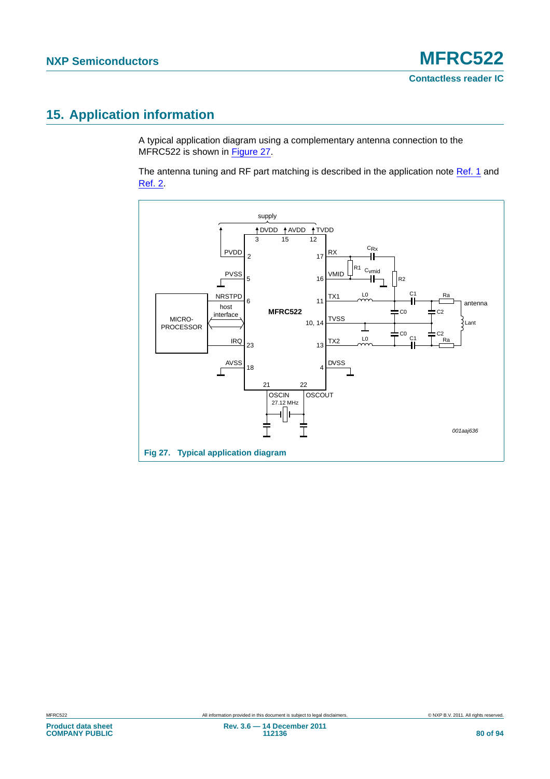### <span id="page-79-1"></span>**15. Application information**

A typical application diagram using a complementary antenna connection to the MFRC522 is shown in [Figure 27.](#page-79-0)

The antenna tuning and RF part matching is described in the application note [Ref. 1](#page-88-0) and [Ref. 2.](#page-88-1)

<span id="page-79-0"></span>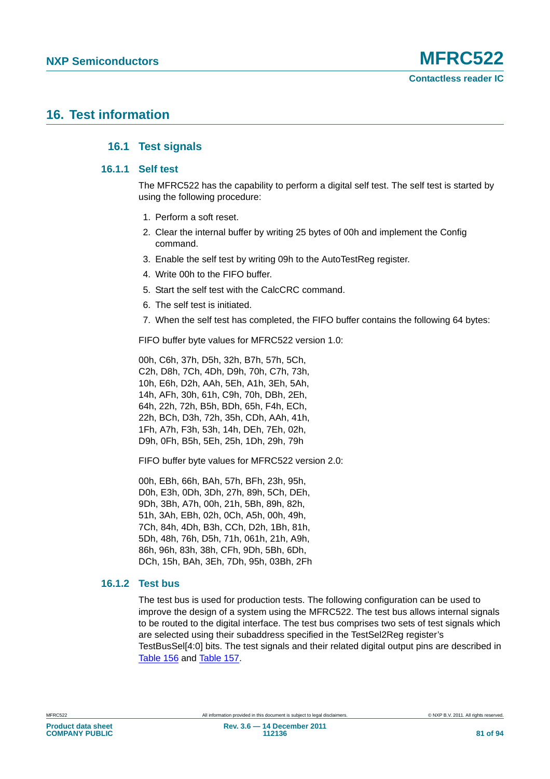### <span id="page-80-3"></span><span id="page-80-2"></span><span id="page-80-1"></span>**16. Test information**

#### **16.1 Test signals**

#### **16.1.1 Self test**

The MFRC522 has the capability to perform a digital self test. The self test is started by using the following procedure:

- 1. Perform a soft reset.
- 2. Clear the internal buffer by writing 25 bytes of 00h and implement the Config command.
- 3. Enable the self test by writing 09h to the AutoTestReg register.
- 4. Write 00h to the FIFO buffer.
- 5. Start the self test with the CalcCRC command.
- 6. The self test is initiated.
- 7. When the self test has completed, the FIFO buffer contains the following 64 bytes:

FIFO buffer byte values for MFRC522 version 1.0:

00h, C6h, 37h, D5h, 32h, B7h, 57h, 5Ch, C2h, D8h, 7Ch, 4Dh, D9h, 70h, C7h, 73h, 10h, E6h, D2h, AAh, 5Eh, A1h, 3Eh, 5Ah, 14h, AFh, 30h, 61h, C9h, 70h, DBh, 2Eh, 64h, 22h, 72h, B5h, BDh, 65h, F4h, ECh, 22h, BCh, D3h, 72h, 35h, CDh, AAh, 41h, 1Fh, A7h, F3h, 53h, 14h, DEh, 7Eh, 02h, D9h, 0Fh, B5h, 5Eh, 25h, 1Dh, 29h, 79h

FIFO buffer byte values for MFRC522 version 2.0:

00h, EBh, 66h, BAh, 57h, BFh, 23h, 95h, D0h, E3h, 0Dh, 3Dh, 27h, 89h, 5Ch, DEh, 9Dh, 3Bh, A7h, 00h, 21h, 5Bh, 89h, 82h, 51h, 3Ah, EBh, 02h, 0Ch, A5h, 00h, 49h, 7Ch, 84h, 4Dh, B3h, CCh, D2h, 1Bh, 81h, 5Dh, 48h, 76h, D5h, 71h, 061h, 21h, A9h, 86h, 96h, 83h, 38h, CFh, 9Dh, 5Bh, 6Dh, DCh, 15h, BAh, 3Eh, 7Dh, 95h, 03Bh, 2Fh

#### <span id="page-80-0"></span>**16.1.2 Test bus**

The test bus is used for production tests. The following configuration can be used to improve the design of a system using the MFRC522. The test bus allows internal signals to be routed to the digital interface. The test bus comprises two sets of test signals which are selected using their subaddress specified in the TestSel2Reg register's TestBusSel[4:0] bits. The test signals and their related digital output pins are described in [Table 156](#page-81-0) and [Table 157.](#page-81-1)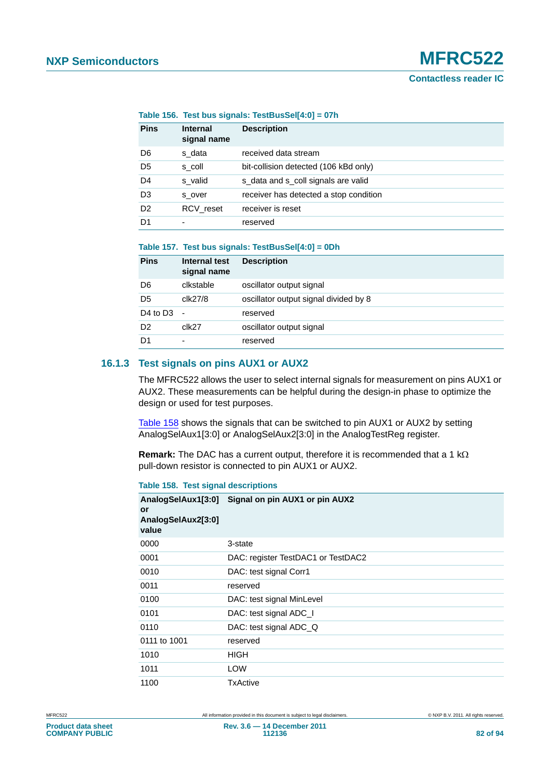<span id="page-81-0"></span>

| <b>Pins</b>    | <b>Internal</b><br>signal name | <b>Description</b>                     |
|----------------|--------------------------------|----------------------------------------|
| D <sub>6</sub> | s data                         | received data stream                   |
| D <sub>5</sub> | s coll                         | bit-collision detected (106 kBd only)  |
| D <sub>4</sub> | s valid                        | s data and s coll signals are valid    |
| D <sub>3</sub> | s over                         | receiver has detected a stop condition |
| D <sub>2</sub> | RCV reset                      | receiver is reset                      |
| D1             | -                              | reserved                               |

#### <span id="page-81-1"></span>**Table 157. Test bus signals: TestBusSel[4:0] = 0Dh**

| <b>Pins</b>                      | Internal test<br>signal name | <b>Description</b>                    |
|----------------------------------|------------------------------|---------------------------------------|
| D <sub>6</sub>                   | clkstable                    | oscillator output signal              |
| D5                               | clk27/8                      | oscillator output signal divided by 8 |
| D <sub>4</sub> to D <sub>3</sub> | $\overline{\phantom{a}}$     | reserved                              |
| D2                               | clk27                        | oscillator output signal              |
| D1                               | ۰                            | reserved                              |

#### <span id="page-81-3"></span>**16.1.3 Test signals on pins AUX1 or AUX2**

The MFRC522 allows the user to select internal signals for measurement on pins AUX1 or AUX2. These measurements can be helpful during the design-in phase to optimize the design or used for test purposes.

[Table 158](#page-81-2) shows the signals that can be switched to pin AUX1 or AUX2 by setting AnalogSelAux1[3:0] or AnalogSelAux2[3:0] in the AnalogTestReg register.

Remark: The DAC has a current output, therefore it is recommended that a 1 k $\Omega$ pull-down resistor is connected to pin AUX1 or AUX2.

<span id="page-81-2"></span>

|  |  | <b>Table 158. Test signal descriptions</b> |
|--|--|--------------------------------------------|
|--|--|--------------------------------------------|

| or<br>AnalogSelAux2[3:0]<br>value | AnalogSelAux1[3:0] Signal on pin AUX1 or pin AUX2 |
|-----------------------------------|---------------------------------------------------|
| 0000                              | 3-state                                           |
| 0001                              | DAC: register TestDAC1 or TestDAC2                |
| 0010                              | DAC: test signal Corr1                            |
| 0011                              | reserved                                          |
| 0100                              | DAC: test signal MinLevel                         |
| 0101                              | DAC: test signal ADC_I                            |
| 0110                              | DAC: test signal ADC_Q                            |
| 0111 to 1001                      | reserved                                          |
| 1010                              | HIGH                                              |
| 1011                              | LOW                                               |
| 1100                              | TxActive                                          |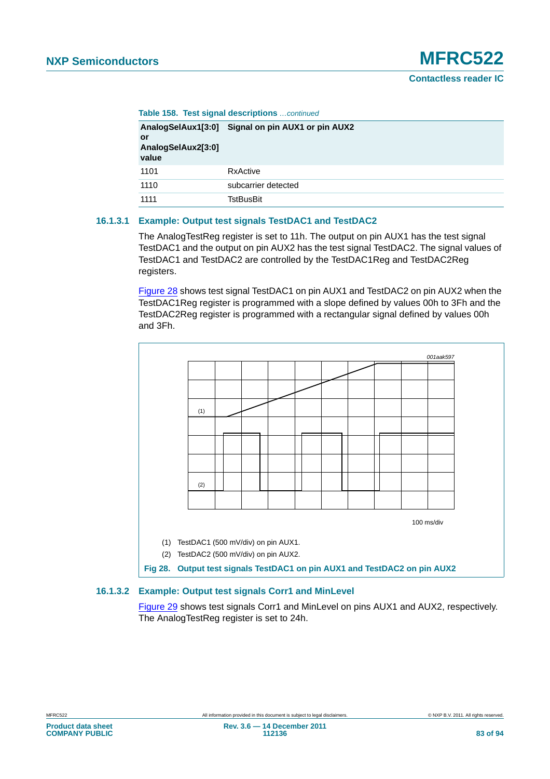|  | Table 158. Test signal descriptions  continued |  |
|--|------------------------------------------------|--|
|  |                                                |  |

| or<br>AnalogSelAux2[3:0]<br>value | AnalogSelAux1[3:0] Signal on pin AUX1 or pin AUX2 |
|-----------------------------------|---------------------------------------------------|
| 1101                              | RxActive                                          |
| 1110                              | subcarrier detected                               |
| 1111                              | TstBusBit                                         |

#### <span id="page-82-1"></span>**16.1.3.1 Example: Output test signals TestDAC1 and TestDAC2**

The AnalogTestReg register is set to 11h. The output on pin AUX1 has the test signal TestDAC1 and the output on pin AUX2 has the test signal TestDAC2. The signal values of TestDAC1 and TestDAC2 are controlled by the TestDAC1Reg and TestDAC2Reg registers.

[Figure 28](#page-82-0) shows test signal TestDAC1 on pin AUX1 and TestDAC2 on pin AUX2 when the TestDAC1Reg register is programmed with a slope defined by values 00h to 3Fh and the TestDAC2Reg register is programmed with a rectangular signal defined by values 00h and 3Fh.



#### <span id="page-82-2"></span>**16.1.3.2 Example: Output test signals Corr1 and MinLevel**

<span id="page-82-0"></span>[Figure 29](#page-83-0) shows test signals Corr1 and MinLevel on pins AUX1 and AUX2, respectively. The AnalogTestReg register is set to 24h.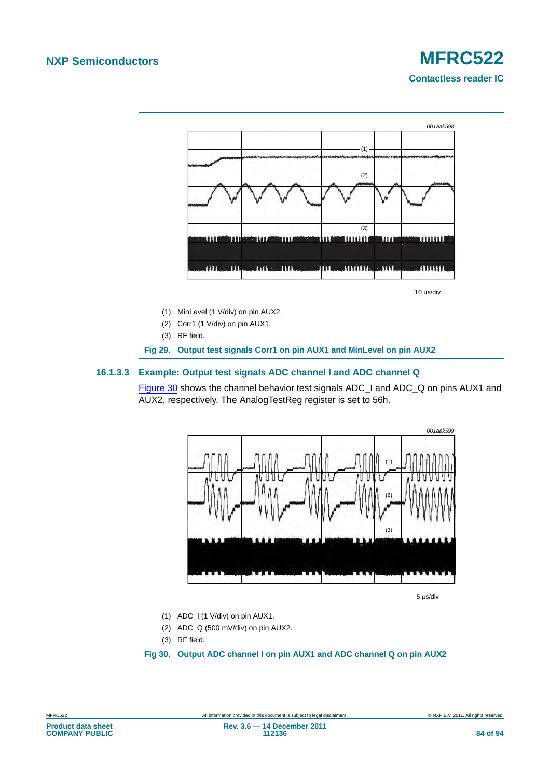**Contactless reader IC**



#### <span id="page-83-2"></span>**16.1.3.3 Example: Output test signals ADC channel I and ADC channel Q**

<span id="page-83-0"></span>[Figure 30](#page-83-1) shows the channel behavior test signals ADC\_I and ADC\_Q on pins AUX1 and AUX2, respectively. The AnalogTestReg register is set to 56h.

<span id="page-83-1"></span>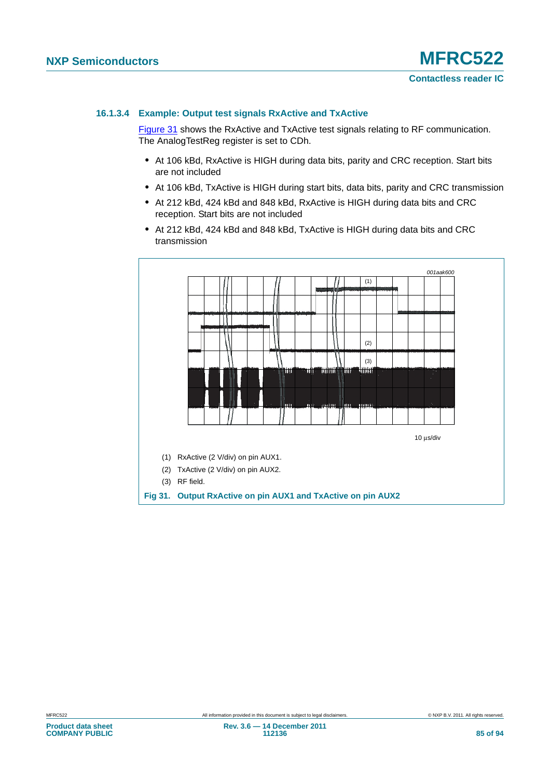#### <span id="page-84-1"></span>**16.1.3.4 Example: Output test signals RxActive and TxActive**

[Figure 31](#page-84-0) shows the RxActive and TxActive test signals relating to RF communication. The AnalogTestReg register is set to CDh.

- **•** At 106 kBd, RxActive is HIGH during data bits, parity and CRC reception. Start bits are not included
- **•** At 106 kBd, TxActive is HIGH during start bits, data bits, parity and CRC transmission
- **•** At 212 kBd, 424 kBd and 848 kBd, RxActive is HIGH during data bits and CRC reception. Start bits are not included
- **•** At 212 kBd, 424 kBd and 848 kBd, TxActive is HIGH during data bits and CRC transmission

<span id="page-84-0"></span>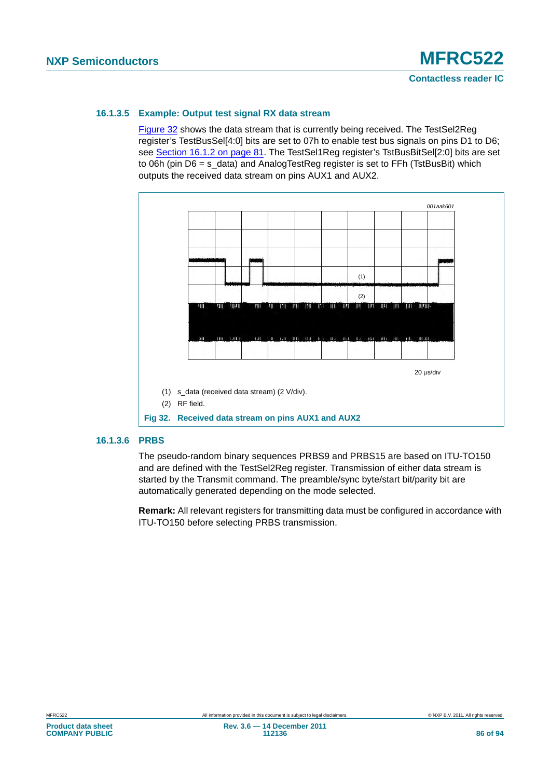#### <span id="page-85-1"></span>**16.1.3.5 Example: Output test signal RX data stream**

[Figure 32](#page-85-0) shows the data stream that is currently being received. The TestSel2Reg register's TestBusSel[4:0] bits are set to 07h to enable test bus signals on pins D1 to D6; see [Section 16.1.2 on page 81](#page-80-0). The TestSel1Reg register's TstBusBitSel[2:0] bits are set to 06h (pin D6 = s\_data) and AnalogTestReg register is set to FFh (TstBusBit) which outputs the received data stream on pins AUX1 and AUX2.



#### <span id="page-85-2"></span>**16.1.3.6 PRBS**

<span id="page-85-0"></span>The pseudo-random binary sequences PRBS9 and PRBS15 are based on ITU-TO150 and are defined with the TestSel2Reg register. Transmission of either data stream is started by the Transmit command. The preamble/sync byte/start bit/parity bit are automatically generated depending on the mode selected.

**Remark:** All relevant registers for transmitting data must be configured in accordance with ITU-TO150 before selecting PRBS transmission.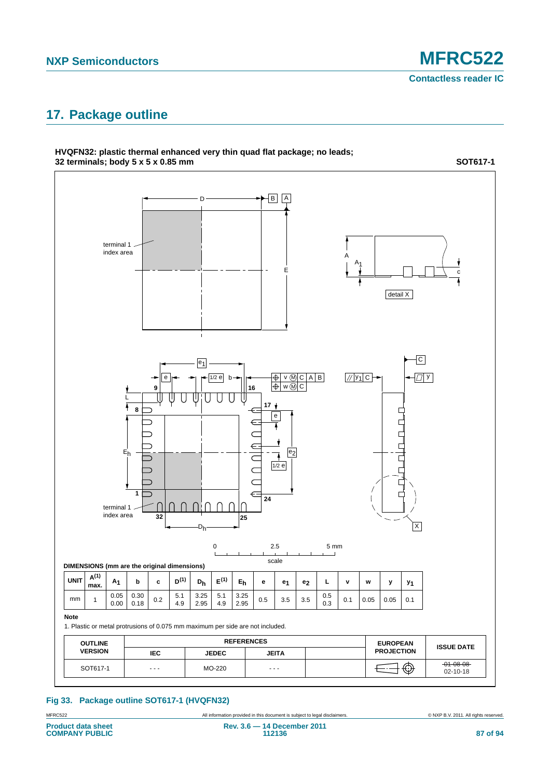### <span id="page-86-0"></span>**17. Package outline**

**HVQFN32: plastic thermal enhanced very thin quad flat package; no leads;**



All information provided in this document is subject to legal disclaimers. **Example 2014** COMP B.V. 2011. All rights reserved. **Fig 33. Package outline SOT617-1 (HVQFN32)**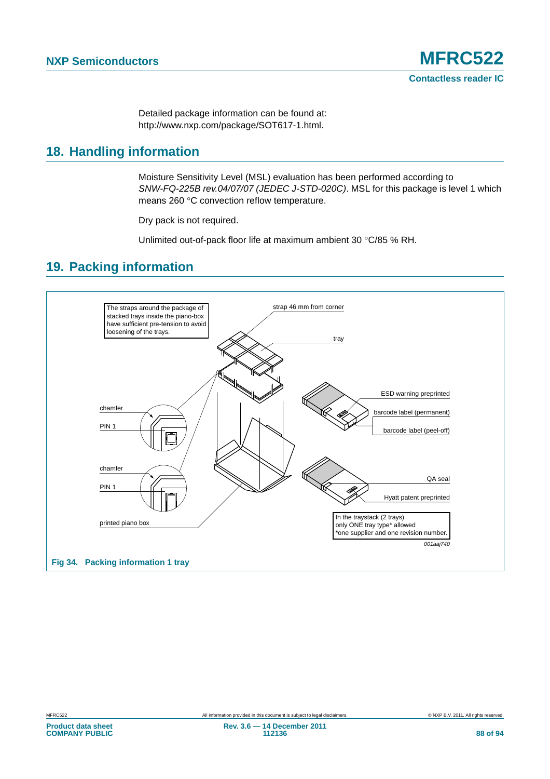Detailed package information can be found at: http://www.nxp.com/package/SOT617-1.html.

### <span id="page-87-0"></span>**18. Handling information**

Moisture Sensitivity Level (MSL) evaluation has been performed according to *SNW-FQ-225B rev.04/07/07 (JEDEC J-STD-020C)*. MSL for this package is level 1 which means 260 °C convection reflow temperature.

Dry pack is not required.

Unlimited out-of-pack floor life at maximum ambient 30 °C/85 % RH.

### <span id="page-87-1"></span>**19. Packing information**

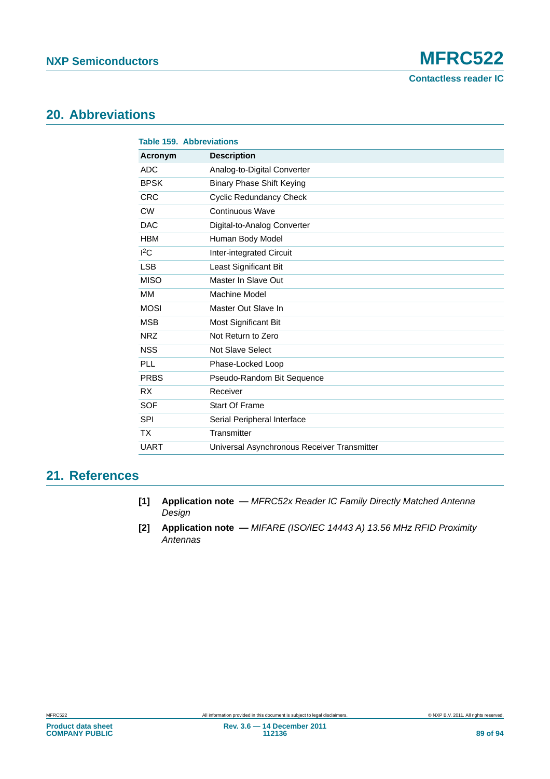**Contactless reader IC**

### <span id="page-88-2"></span>**20. Abbreviations**

| <b>Table 159. Abbreviations</b> |                                             |
|---------------------------------|---------------------------------------------|
| Acronym                         | <b>Description</b>                          |
| <b>ADC</b>                      | Analog-to-Digital Converter                 |
| <b>BPSK</b>                     | <b>Binary Phase Shift Keying</b>            |
| <b>CRC</b>                      | <b>Cyclic Redundancy Check</b>              |
| <b>CW</b>                       | Continuous Wave                             |
| <b>DAC</b>                      | Digital-to-Analog Converter                 |
| <b>HBM</b>                      | Human Body Model                            |
| ${}^{12}$ C                     | Inter-integrated Circuit                    |
| <b>LSB</b>                      | Least Significant Bit                       |
| <b>MISO</b>                     | Master In Slave Out                         |
| MM                              | Machine Model                               |
| <b>MOSI</b>                     | Master Out Slave In                         |
| <b>MSB</b>                      | <b>Most Significant Bit</b>                 |
| <b>NRZ</b>                      | Not Return to Zero                          |
| <b>NSS</b>                      | Not Slave Select                            |
| <b>PLL</b>                      | Phase-Locked Loop                           |
| <b>PRBS</b>                     | Pseudo-Random Bit Sequence                  |
| <b>RX</b>                       | Receiver                                    |
| <b>SOF</b>                      | <b>Start Of Frame</b>                       |
| <b>SPI</b>                      | Serial Peripheral Interface                 |
| <b>TX</b>                       | Transmitter                                 |
| <b>UART</b>                     | Universal Asynchronous Receiver Transmitter |

### <span id="page-88-3"></span>**21. References**

- <span id="page-88-0"></span>**[1] Application note —** *MFRC52x Reader IC Family Directly Matched Antenna Design*
- <span id="page-88-1"></span>**[2] Application note —** *MIFARE (ISO/IEC 14443 A) 13.56 MHz RFID Proximity Antennas*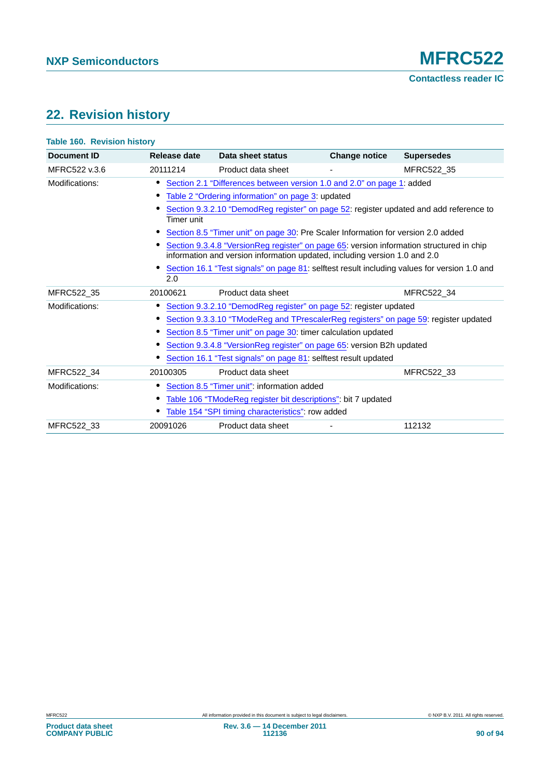## <span id="page-89-0"></span>**22. Revision history**

| <b>Document ID</b> | Release date                                                                      | Data sheet status                                                                                                                                                      | <b>Change notice</b> | <b>Supersedes</b> |
|--------------------|-----------------------------------------------------------------------------------|------------------------------------------------------------------------------------------------------------------------------------------------------------------------|----------------------|-------------------|
| MFRC522 v.3.6      | 20111214                                                                          | Product data sheet                                                                                                                                                     |                      | MFRC522 35        |
| Modifications:     |                                                                                   | Section 2.1 "Differences between version 1.0 and 2.0" on page 1: added                                                                                                 |                      |                   |
|                    |                                                                                   | Table 2 "Ordering information" on page 3: updated                                                                                                                      |                      |                   |
|                    | Timer unit                                                                        | Section 9.3.2.10 "DemodReg register" on page 52: register updated and add reference to                                                                                 |                      |                   |
|                    | Section 8.5 "Timer unit" on page 30: Pre Scaler Information for version 2.0 added |                                                                                                                                                                        |                      |                   |
|                    |                                                                                   | Section 9.3.4.8 "VersionReg register" on page 65: version information structured in chip<br>information and version information updated, including version 1.0 and 2.0 |                      |                   |
|                    | 2.0                                                                               | Section 16.1 "Test signals" on page 81: selftest result including values for version 1.0 and                                                                           |                      |                   |
| MFRC522 35         | 20100621                                                                          | Product data sheet                                                                                                                                                     |                      | MFRC522 34        |
| Modifications:     |                                                                                   | Section 9.3.2.10 "DemodReg register" on page 52: register updated                                                                                                      |                      |                   |
|                    |                                                                                   | Section 9.3.3.10 "TModeReg and TPrescalerReg registers" on page 59: register updated                                                                                   |                      |                   |
|                    |                                                                                   | Section 8.5 "Timer unit" on page 30: timer calculation updated                                                                                                         |                      |                   |
|                    |                                                                                   | Section 9.3.4.8 "VersionReg register" on page 65: version B2h updated                                                                                                  |                      |                   |
|                    |                                                                                   | Section 16.1 "Test signals" on page 81: selftest result updated                                                                                                        |                      |                   |
| MFRC522 34         | 20100305                                                                          | Product data sheet                                                                                                                                                     |                      | MFRC522 33        |
| Modifications:     |                                                                                   | Section 8.5 "Timer unit": information added                                                                                                                            |                      |                   |
|                    |                                                                                   | Table 106 "TModeReg register bit descriptions": bit 7 updated                                                                                                          |                      |                   |
|                    |                                                                                   | Table 154 "SPI timing characteristics": row added                                                                                                                      |                      |                   |
| MFRC522_33         | 20091026                                                                          | Product data sheet                                                                                                                                                     |                      | 112132            |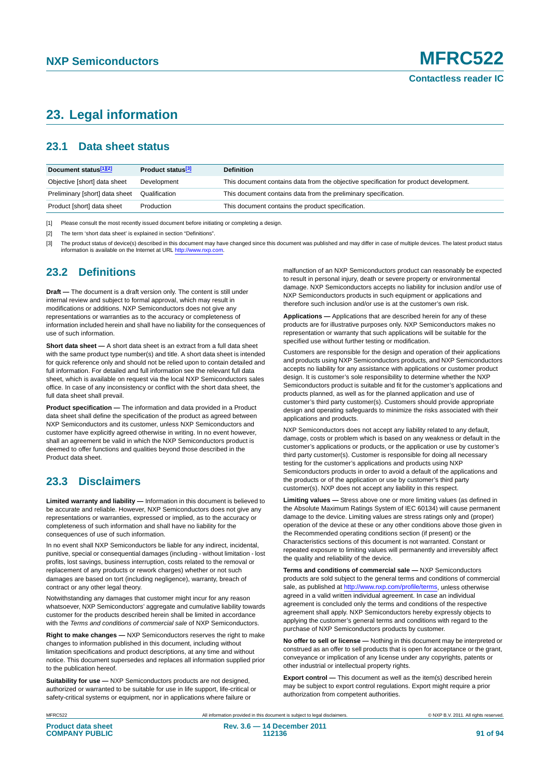### <span id="page-90-0"></span>**23. Legal information**

### <span id="page-90-1"></span>**23.1 Data sheet status**

| Document status[1][2]          | Product status <sup>[3]</sup> | <b>Definition</b>                                                                     |
|--------------------------------|-------------------------------|---------------------------------------------------------------------------------------|
| Objective [short] data sheet   | Development                   | This document contains data from the objective specification for product development. |
| Preliminary [short] data sheet | Qualification                 | This document contains data from the preliminary specification.                       |
| Product [short] data sheet     | Production                    | This document contains the product specification.                                     |

[1] Please consult the most recently issued document before initiating or completing a design.

[2] The term 'short data sheet' is explained in section "Definitions".

[3] The product status of device(s) described in this document may have changed since this document was published and may differ in case of multiple devices. The latest product status<br>information is available on the Intern

### <span id="page-90-2"></span>**23.2 Definitions**

**Draft —** The document is a draft version only. The content is still under internal review and subject to formal approval, which may result in modifications or additions. NXP Semiconductors does not give any representations or warranties as to the accuracy or completeness of information included herein and shall have no liability for the consequences of use of such information.

**Short data sheet —** A short data sheet is an extract from a full data sheet with the same product type number(s) and title. A short data sheet is intended for quick reference only and should not be relied upon to contain detailed and full information. For detailed and full information see the relevant full data sheet, which is available on request via the local NXP Semiconductors sales office. In case of any inconsistency or conflict with the short data sheet, the full data sheet shall prevail.

**Product specification —** The information and data provided in a Product data sheet shall define the specification of the product as agreed between NXP Semiconductors and its customer, unless NXP Semiconductors and customer have explicitly agreed otherwise in writing. In no event however, shall an agreement be valid in which the NXP Semiconductors product is deemed to offer functions and qualities beyond those described in the Product data sheet.

### <span id="page-90-3"></span>**23.3 Disclaimers**

**Limited warranty and liability —** Information in this document is believed to be accurate and reliable. However, NXP Semiconductors does not give any representations or warranties, expressed or implied, as to the accuracy or completeness of such information and shall have no liability for the consequences of use of such information.

In no event shall NXP Semiconductors be liable for any indirect, incidental, punitive, special or consequential damages (including - without limitation - lost profits, lost savings, business interruption, costs related to the removal or replacement of any products or rework charges) whether or not such damages are based on tort (including negligence), warranty, breach of contract or any other legal theory.

Notwithstanding any damages that customer might incur for any reason whatsoever, NXP Semiconductors' aggregate and cumulative liability towards customer for the products described herein shall be limited in accordance with the *Terms and conditions of commercial sale* of NXP Semiconductors.

**Right to make changes —** NXP Semiconductors reserves the right to make changes to information published in this document, including without limitation specifications and product descriptions, at any time and without notice. This document supersedes and replaces all information supplied prior to the publication hereof.

**Suitability for use —** NXP Semiconductors products are not designed, authorized or warranted to be suitable for use in life support, life-critical or safety-critical systems or equipment, nor in applications where failure or

malfunction of an NXP Semiconductors product can reasonably be expected to result in personal injury, death or severe property or environmental damage. NXP Semiconductors accepts no liability for inclusion and/or use of NXP Semiconductors products in such equipment or applications and therefore such inclusion and/or use is at the customer's own risk.

**Applications —** Applications that are described herein for any of these products are for illustrative purposes only. NXP Semiconductors makes no representation or warranty that such applications will be suitable for the specified use without further testing or modification.

Customers are responsible for the design and operation of their applications and products using NXP Semiconductors products, and NXP Semiconductors accepts no liability for any assistance with applications or customer product design. It is customer's sole responsibility to determine whether the NXP Semiconductors product is suitable and fit for the customer's applications and products planned, as well as for the planned application and use of customer's third party customer(s). Customers should provide appropriate design and operating safeguards to minimize the risks associated with their applications and products.

NXP Semiconductors does not accept any liability related to any default, damage, costs or problem which is based on any weakness or default in the customer's applications or products, or the application or use by customer's third party customer(s). Customer is responsible for doing all necessary testing for the customer's applications and products using NXP Semiconductors products in order to avoid a default of the applications and the products or of the application or use by customer's third party customer(s). NXP does not accept any liability in this respect.

**Limiting values —** Stress above one or more limiting values (as defined in the Absolute Maximum Ratings System of IEC 60134) will cause permanent damage to the device. Limiting values are stress ratings only and (proper) operation of the device at these or any other conditions above those given in the Recommended operating conditions section (if present) or the Characteristics sections of this document is not warranted. Constant or repeated exposure to limiting values will permanently and irreversibly affect the quality and reliability of the device.

**Terms and conditions of commercial sale —** NXP Semiconductors products are sold subject to the general terms and conditions of commercial sale, as published at<http://www.nxp.com/profile/terms>, unless otherwise agreed in a valid written individual agreement. In case an individual agreement is concluded only the terms and conditions of the respective agreement shall apply. NXP Semiconductors hereby expressly objects to applying the customer's general terms and conditions with regard to the purchase of NXP Semiconductors products by customer.

**No offer to sell or license —** Nothing in this document may be interpreted or construed as an offer to sell products that is open for acceptance or the grant, conveyance or implication of any license under any copyrights, patents or other industrial or intellectual property rights.

**Export control —** This document as well as the item(s) described herein may be subject to export control regulations. Export might require a prior authorization from competent authorities.

MFRC522 All information provided in this document is subject to legal disclaimers. © NXP B.V. 2011. All rights reserved.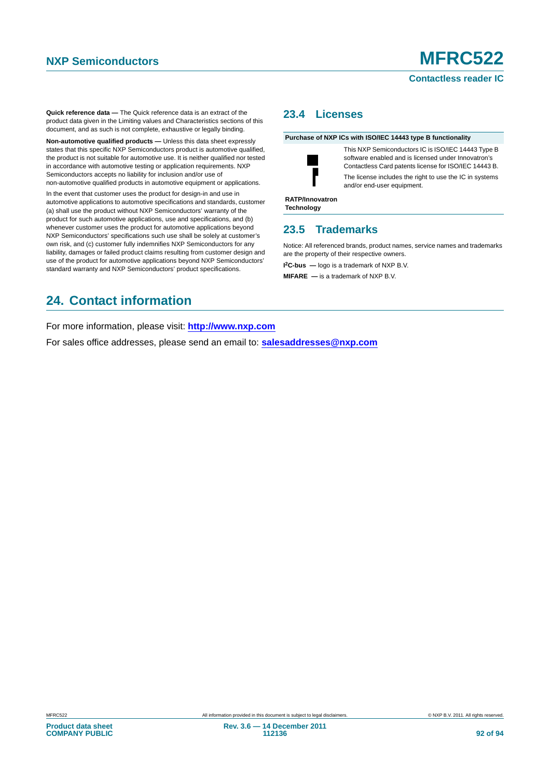#### **Contactless reader IC**

**Quick reference data —** The Quick reference data is an extract of the product data given in the Limiting values and Characteristics sections of this document, and as such is not complete, exhaustive or legally binding.

**Non-automotive qualified products —** Unless this data sheet expressly states that this specific NXP Semiconductors product is automotive qualified, the product is not suitable for automotive use. It is neither qualified nor tested in accordance with automotive testing or application requirements. NXP Semiconductors accepts no liability for inclusion and/or use of non-automotive qualified products in automotive equipment or applications.

In the event that customer uses the product for design-in and use in automotive applications to automotive specifications and standards, customer (a) shall use the product without NXP Semiconductors' warranty of the product for such automotive applications, use and specifications, and (b) whenever customer uses the product for automotive applications beyond NXP Semiconductors' specifications such use shall be solely at customer's own risk, and (c) customer fully indemnifies NXP Semiconductors for any liability, damages or failed product claims resulting from customer design and use of the product for automotive applications beyond NXP Semiconductors' standard warranty and NXP Semiconductors' product specifications.

### <span id="page-91-0"></span>**23.4 Licenses**

**Purchase of NXP ICs with ISO/IEC 14443 type B functionality**



This NXP Semiconductors IC is ISO/IEC 14443 Type B software enabled and is licensed under Innovatron's Contactless Card patents license for ISO/IEC 14443 B. The license includes the right to use the IC in systems and/or end-user equipment.

**RATP/Innovatron Technology**

### <span id="page-91-1"></span>**23.5 Trademarks**

Notice: All referenced brands, product names, service names and trademarks are the property of their respective owners.

**I 2C-bus —** logo is a trademark of NXP B.V.

**MIFARE —** is a trademark of NXP B.V.

## <span id="page-91-2"></span>**24. Contact information**

For more information, please visit: **http://www.nxp.com**

For sales office addresses, please send an email to: **salesaddresses@nxp.com**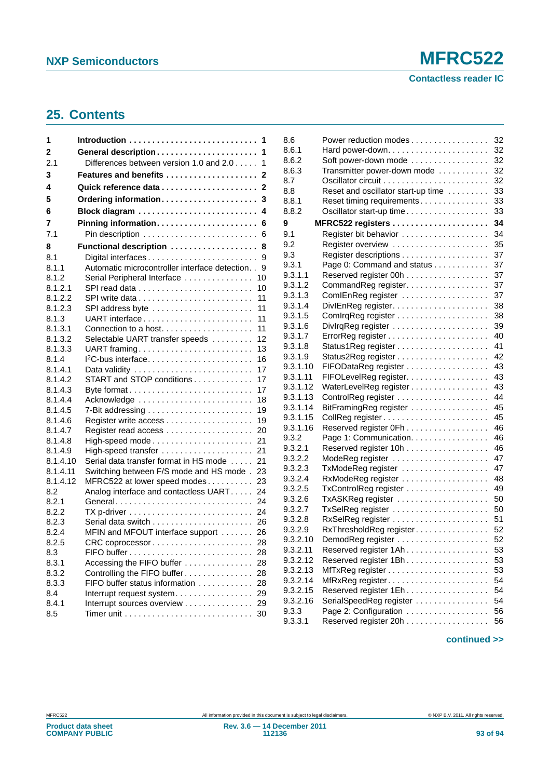**Contactless reader IC**

## <span id="page-92-0"></span>**25. Contents**

| 1        | 1                                                                             |
|----------|-------------------------------------------------------------------------------|
| 2        | 1                                                                             |
| 2.1      | Differences between version 1.0 and 2.0<br>1                                  |
| 3        | Features and benefits<br>2                                                    |
| 4        | 2                                                                             |
| 5        | Ordering information<br>3                                                     |
| 6        | Block diagram<br>4                                                            |
| 7        | Pinning information<br>6                                                      |
| 7.1      | 6                                                                             |
| 8        | Functional description<br>8                                                   |
| 8.1      | 9                                                                             |
| 8.1.1    | Automatic microcontroller interface detection<br>9                            |
| 8.1.2    | Serial Peripheral Interface<br>10                                             |
| 8.1.2.1  | 10                                                                            |
| 8.1.2.2  | 11                                                                            |
| 8.1.2.3  | 11<br>SPI address byte                                                        |
| 8.1.3    | UART interface<br>11                                                          |
| 8.1.3.1  | 11<br>Connection to a host                                                    |
| 8.1.3.2  | Selectable UART transfer speeds<br>12                                         |
| 8.1.3.3  | 13<br>UART framing                                                            |
| 8.1.4    | 16<br>$12C$ -bus interface                                                    |
| 8.1.4.1  | 17                                                                            |
| 8.1.4.2  | START and STOP conditions<br>17                                               |
| 8.1.4.3  | 17                                                                            |
| 8.1.4.4  | Acknowledge<br>18                                                             |
| 8.1.4.5  | 7-Bit addressing $\ldots \ldots \ldots \ldots \ldots \ldots \ldots$<br>19     |
| 8.1.4.6  | 19                                                                            |
| 8.1.4.7  | 20                                                                            |
| 8.1.4.8  | 21                                                                            |
| 8.1.4.9  | 21<br>High-speed transfer                                                     |
| 8.1.4.10 | 21<br>Serial data transfer format in HS mode                                  |
| 8.1.4.11 | Switching between F/S mode and HS mode.<br>23                                 |
| 8.1.4.12 | 23<br>MFRC522 at lower speed modes                                            |
| 8.2      | Analog interface and contactless UART<br>24                                   |
| 8.2.1    | 24<br>General                                                                 |
| 8.2.2    | 24<br>$TX$ p-driver $\ldots \ldots \ldots \ldots \ldots \ldots \ldots \ldots$ |
| 8.2.3    | 26                                                                            |
| 8.2.4    | MFIN and MFOUT interface support<br>26                                        |
| 8.2.5    | 28                                                                            |
| 8.3      | 28                                                                            |
| 8.3.1    | Accessing the FIFO buffer<br>28                                               |
| 8.3.2    | Controlling the FIFO buffer<br>28                                             |
| 8.3.3    | FIFO buffer status information<br>28                                          |
| 8.4      | Interrupt request system<br>29                                                |
| 8.4.1    | Interrupt sources overview<br>29                                              |
| 8.5      | Timer unit $\ldots \ldots \ldots \ldots \ldots \ldots \ldots \ldots$<br>30    |

| 8.6      | Power reduction modes              | 32 |
|----------|------------------------------------|----|
| 8.6.1    |                                    | 32 |
| 8.6.2    | Soft power-down mode               | 32 |
| 8.6.3    | Transmitter power-down mode        | 32 |
| 8.7      |                                    | 32 |
| 8.8      | Reset and oscillator start-up time | 33 |
| 8.8.1    | Reset timing requirements          | 33 |
| 8.8.2    | Oscillator start-up time           | 33 |
| 9        |                                    | 34 |
| 9.1      |                                    | 34 |
| 9.2      | Register overview                  | 35 |
| 9.3      |                                    | 37 |
| 9.3.1    | Page 0: Command and status         | 37 |
| 9.3.1.1  | Reserved register 00h              | 37 |
| 9.3.1.2  | CommandReg register.               | 37 |
| 9.3.1.3  | ComIEnReg register                 | 37 |
| 9.3.1.4  |                                    | 38 |
| 9.3.1.5  |                                    | 38 |
| 9.3.1.6  |                                    | 39 |
| 9.3.1.7  |                                    | 40 |
| 9.3.1.8  |                                    | 41 |
| 9.3.1.9  |                                    | 42 |
| 9.3.1.10 | FIFODataReg register               | 43 |
| 9.3.1.11 | FIFOLevelReg register.             | 43 |
| 9.3.1.12 | WaterLevelReg register             | 43 |
| 9.3.1.13 |                                    | 44 |
| 9.3.1.14 | BitFramingReg register             | 45 |
| 9.3.1.15 |                                    | 45 |
| 9.3.1.16 | Reserved register 0Fh              | 46 |
| 9.3.2    | Page 1: Communication.             | 46 |
| 9.3.2.1  | Reserved register 10h              | 46 |
| 9.3.2.2  | ModeReg register                   | 47 |
| 9.3.2.3  | TxModeReg register                 | 47 |
| 9.3.2.4  |                                    | 48 |
| 9.3.2.5  | TxControlReg register              | 49 |
| 9.3.2.6  |                                    | 50 |
| 9.3.2.7  |                                    | 50 |
| 9.3.2.8  |                                    | 51 |
| 9.3.2.9  | RxThresholdReg register            | 52 |
| 9.3.2.10 | DemodReg register<br>.             | 52 |
| 9.3.2.11 | Reserved register 1Ah              | 53 |
| 9.3.2.12 | Reserved register 1Bh.             | 53 |
| 9.3.2.13 |                                    | 53 |
| 9.3.2.14 | MfRxReg register                   | 54 |
| 9.3.2.15 | Reserved register 1Eh.             | 54 |
| 9.3.2.16 | SerialSpeedReg register            | 54 |
| 9.3.3    | Page 2: Configuration              | 56 |
| 9.3.3.1  | Reserved register 20h              | 56 |
|          |                                    |    |

#### **continued >>**